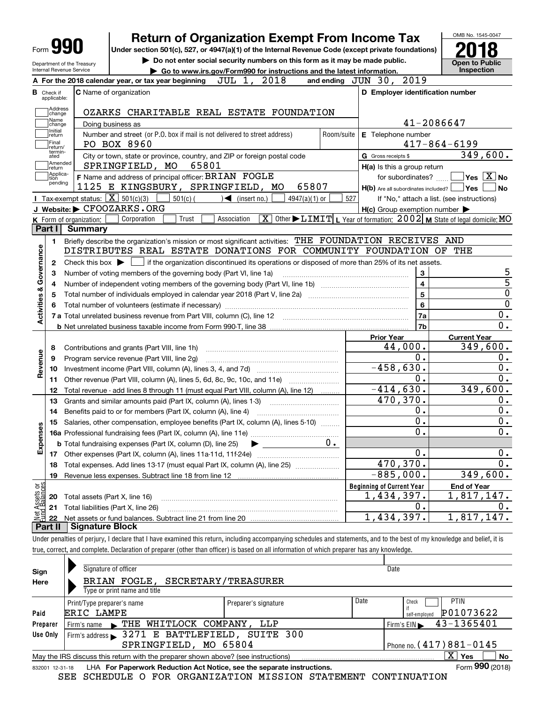|                                                          |                                                                                                                                                                                         |            |                                                     | OMB No. 1545-0047                                                                                                                                                                                                        |
|----------------------------------------------------------|-----------------------------------------------------------------------------------------------------------------------------------------------------------------------------------------|------------|-----------------------------------------------------|--------------------------------------------------------------------------------------------------------------------------------------------------------------------------------------------------------------------------|
| $_{\text{Form}}$ 99                                      | <b>Return of Organization Exempt From Income Tax</b><br>Under section 501(c), 527, or 4947(a)(1) of the Internal Revenue Code (except private foundations)                              |            |                                                     |                                                                                                                                                                                                                          |
|                                                          | Do not enter social security numbers on this form as it may be made public.                                                                                                             |            |                                                     |                                                                                                                                                                                                                          |
| Internal Revenue Service                                 | Department of the Treasury<br>Go to www.irs.gov/Form990 for instructions and the latest information.                                                                                    |            |                                                     | <b>Open to Public</b><br>Inspection                                                                                                                                                                                      |
|                                                          | JUL 1, 2018<br>A For the 2018 calendar year, or tax year beginning                                                                                                                      |            | and ending JUN 30, 2019                             |                                                                                                                                                                                                                          |
| Check if                                                 | C Name of organization                                                                                                                                                                  |            | D Employer identification number                    |                                                                                                                                                                                                                          |
| applicable:                                              |                                                                                                                                                                                         |            |                                                     |                                                                                                                                                                                                                          |
| Address<br>change                                        | OZARKS CHARITABLE REAL ESTATE FOUNDATION                                                                                                                                                |            |                                                     |                                                                                                                                                                                                                          |
| Name<br>change                                           | Doing business as                                                                                                                                                                       |            | 41-2086647                                          |                                                                                                                                                                                                                          |
| Initial<br>return                                        | Number and street (or P.O. box if mail is not delivered to street address)                                                                                                              | Room/suite | E Telephone number                                  |                                                                                                                                                                                                                          |
| Final<br>return/                                         | PO BOX 8960                                                                                                                                                                             |            |                                                     | $417 - 864 - 6199$                                                                                                                                                                                                       |
| termin-<br>ated                                          | City or town, state or province, country, and ZIP or foreign postal code                                                                                                                |            | G Gross receipts \$                                 | 349, 600.                                                                                                                                                                                                                |
| Amended<br>return                                        | 65801<br>SPRINGFIELD, MO                                                                                                                                                                |            | H(a) Is this a group return                         |                                                                                                                                                                                                                          |
| Applica-<br>tion                                         | F Name and address of principal officer: BRIAN FOGLE                                                                                                                                    |            | for subordinates?                                   | $\sqrt{ }$ Yes $\sqrt{ \times }$ No                                                                                                                                                                                      |
| pending                                                  | 1125 E KINGSBURY, SPRINGFIELD, MO<br>65807                                                                                                                                              |            | $H(b)$ Are all subordinates included? $\Box$ Yes    | No                                                                                                                                                                                                                       |
|                                                          | Tax-exempt status: $\boxed{\mathbf{X}}$ 501(c)(3)<br>$501(c)$ (<br>$\blacktriangleleft$ (insert no.)<br>$4947(a)(1)$ or                                                                 | 527        |                                                     | If "No," attach a list. (see instructions)                                                                                                                                                                               |
|                                                          | J Website: CFOOZARKS.ORG                                                                                                                                                                |            | $H(c)$ Group exemption number $\blacktriangleright$ |                                                                                                                                                                                                                          |
|                                                          | $\boxed{\textbf{X}}$ Other $\blacktriangleright$ LIMIT $\mid$ L Year of formation: 2002 M State of legal domicile: MO<br>Corporation<br>Trust<br>K Form of organization:<br>Association |            |                                                     |                                                                                                                                                                                                                          |
| Part I                                                   | Summary                                                                                                                                                                                 |            |                                                     |                                                                                                                                                                                                                          |
| 1.                                                       | Briefly describe the organization's mission or most significant activities: THE FOUNDATION RECEIVES AND                                                                                 |            |                                                     |                                                                                                                                                                                                                          |
|                                                          | DISTRIBUTES REAL ESTATE DONATIONS FOR COMMUNITY FOUNDATION OF THE                                                                                                                       |            |                                                     |                                                                                                                                                                                                                          |
|                                                          | Check this box $\blacktriangleright$ $\Box$ if the organization discontinued its operations or disposed of more than 25% of its net assets.                                             |            |                                                     |                                                                                                                                                                                                                          |
|                                                          |                                                                                                                                                                                         |            |                                                     |                                                                                                                                                                                                                          |
|                                                          |                                                                                                                                                                                         |            |                                                     |                                                                                                                                                                                                                          |
|                                                          | Number of voting members of the governing body (Part VI, line 1a)                                                                                                                       |            | 3                                                   |                                                                                                                                                                                                                          |
|                                                          |                                                                                                                                                                                         |            | $\overline{4}$                                      |                                                                                                                                                                                                                          |
|                                                          |                                                                                                                                                                                         |            | $\overline{5}$                                      |                                                                                                                                                                                                                          |
|                                                          |                                                                                                                                                                                         |            | $6\phantom{a}$                                      |                                                                                                                                                                                                                          |
|                                                          |                                                                                                                                                                                         |            | 7a                                                  |                                                                                                                                                                                                                          |
|                                                          |                                                                                                                                                                                         |            | 7 <sub>b</sub>                                      |                                                                                                                                                                                                                          |
|                                                          |                                                                                                                                                                                         |            | <b>Prior Year</b>                                   | <b>Current Year</b>                                                                                                                                                                                                      |
|                                                          | Contributions and grants (Part VIII, line 1h)                                                                                                                                           |            | 44,000.                                             |                                                                                                                                                                                                                          |
|                                                          | Program service revenue (Part VIII, line 2g)                                                                                                                                            |            | 0.                                                  |                                                                                                                                                                                                                          |
|                                                          |                                                                                                                                                                                         |            | $-458,630.$                                         |                                                                                                                                                                                                                          |
|                                                          | Other revenue (Part VIII, column (A), lines 5, 6d, 8c, 9c, 10c, and 11e)                                                                                                                |            | 0.                                                  |                                                                                                                                                                                                                          |
|                                                          | Total revenue - add lines 8 through 11 (must equal Part VIII, column (A), line 12)                                                                                                      |            | $-414,630.$                                         |                                                                                                                                                                                                                          |
|                                                          | Grants and similar amounts paid (Part IX, column (A), lines 1-3)                                                                                                                        |            | 470,370.                                            |                                                                                                                                                                                                                          |
|                                                          | Benefits paid to or for members (Part IX, column (A), line 4)                                                                                                                           |            | 0.                                                  |                                                                                                                                                                                                                          |
|                                                          | Salaries, other compensation, employee benefits (Part IX, column (A), lines 5-10)                                                                                                       |            | $\overline{0}$ .                                    |                                                                                                                                                                                                                          |
|                                                          |                                                                                                                                                                                         |            | $\overline{\mathfrak{0}}$ .                         |                                                                                                                                                                                                                          |
|                                                          | <b>b</b> Total fundraising expenses (Part IX, column (D), line 25)                                                                                                                      | $0 \cdot$  |                                                     |                                                                                                                                                                                                                          |
| 2<br>з<br>4<br>5                                         | 17 Other expenses (Part IX, column (A), lines 11a-11d, 11f-24e)                                                                                                                         |            | 0.                                                  |                                                                                                                                                                                                                          |
|                                                          | Total expenses. Add lines 13-17 (must equal Part IX, column (A), line 25)                                                                                                               |            | 470,370.                                            |                                                                                                                                                                                                                          |
|                                                          | Revenue less expenses. Subtract line 18 from line 12                                                                                                                                    |            | $-885,000.$                                         |                                                                                                                                                                                                                          |
|                                                          |                                                                                                                                                                                         |            | <b>Beginning of Current Year</b>                    | <b>End of Year</b>                                                                                                                                                                                                       |
| 8<br>9                                                   | Total assets (Part X, line 16)                                                                                                                                                          |            | 1,434,397.                                          | 5<br>$\overline{5}$<br>$\overline{0}$<br>$\overline{0}$<br>$0$ .<br>$\overline{0}$ .<br>349,600.<br>0.<br>$\overline{0}$ .<br>0.<br>349,600.<br>0.<br>0.<br>0.<br>$\overline{0}$ .<br>0.<br>0.<br>349,600.<br>1,817,147. |
| 10<br>11<br>12<br>13<br>14<br>15<br>18<br>19<br>20<br>21 | Total liabilities (Part X, line 26)                                                                                                                                                     |            | 0.<br>1,434,397.                                    | Ο.<br>1,817,147.                                                                                                                                                                                                         |

Under penalties of perjury, I declare that I have examined this return, including accompanying schedules and statements, and to the best of my knowledge and belief, it is true, correct, and complete. Declaration of preparer (other than officer) is based on all information of which preparer has any knowledge.

| Sign            | Signature of officer                                                              |                      |      | Date                        |
|-----------------|-----------------------------------------------------------------------------------|----------------------|------|-----------------------------|
| Here            | BRIAN FOGLE, SECRETARY/TREASURER                                                  |                      |      |                             |
|                 | Type or print name and title                                                      |                      |      |                             |
|                 | Print/Type preparer's name                                                        | Preparer's signature | Date | <b>PTIN</b><br>Check        |
| Paid            | ERIC LAMPE                                                                        |                      |      | P01073622<br>self-emploved  |
| Preparer        | THE WHITLOCK COMPANY, LLP<br>Firm's name $\blacksquare$                           |                      |      | 43-1365401<br>Firm's $EIN$  |
| Use Only        | Firm's address > 3271 E BATTLEFIELD, SUITE 300                                    |                      |      |                             |
|                 | SPRINGFIELD, MO 65804                                                             |                      |      | Phone no. $(417)881 - 0145$ |
|                 | May the IRS discuss this return with the preparer shown above? (see instructions) |                      |      | $\mathbf{X}$<br>Yes<br>No   |
| 832001 12-31-18 | LHA For Paperwork Reduction Act Notice, see the separate instructions.            |                      |      | Form 990 (2018)             |

SEE SCHEDULE O FOR ORGANIZATION MISSION STATEMENT CONTINUATION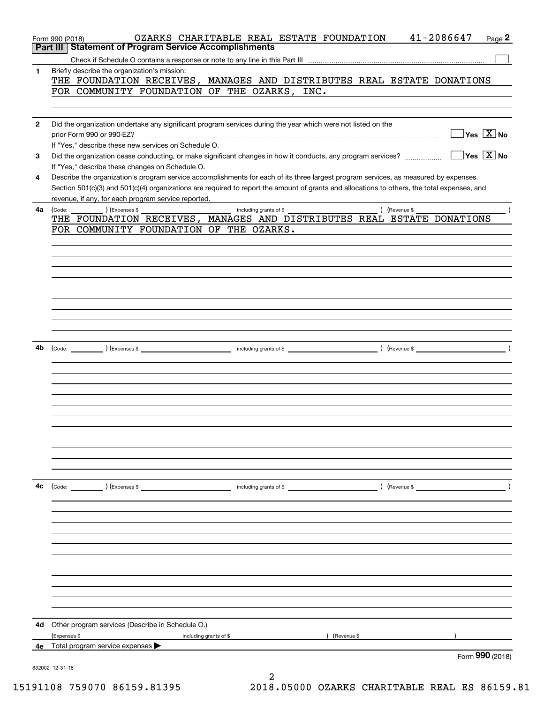| Part II      | Form 990 (2018)<br><b>Statement of Program Service Accomplishments</b>                                                                       | OZARKS CHARITABLE REAL ESTATE FOUNDATION                  |               | 41-2086647    | Page 2                                           |
|--------------|----------------------------------------------------------------------------------------------------------------------------------------------|-----------------------------------------------------------|---------------|---------------|--------------------------------------------------|
|              |                                                                                                                                              |                                                           |               |               |                                                  |
| 1.           | Briefly describe the organization's mission:                                                                                                 |                                                           |               |               |                                                  |
|              | THE FOUNDATION RECEIVES, MANAGES AND DISTRIBUTES REAL ESTATE DONATIONS                                                                       |                                                           |               |               |                                                  |
|              | FOR COMMUNITY FOUNDATION OF THE OZARKS, INC.                                                                                                 |                                                           |               |               |                                                  |
|              |                                                                                                                                              |                                                           |               |               |                                                  |
|              |                                                                                                                                              |                                                           |               |               |                                                  |
| $\mathbf{2}$ | Did the organization undertake any significant program services during the year which were not listed on the                                 |                                                           |               |               |                                                  |
|              | prior Form 990 or 990-EZ?                                                                                                                    |                                                           |               |               | $\sqrt{\mathsf{Yes}\mathord{\;\mathbb{X}}\,}$ No |
|              | If "Yes," describe these new services on Schedule O.                                                                                         |                                                           |               |               |                                                  |
| 3            | Did the organization cease conducting, or make significant changes in how it conducts, any program services?                                 |                                                           |               |               | $\sqrt{}$ Yes $\sqrt{}$ X $\sqrt{}$ No           |
|              | If "Yes," describe these changes on Schedule O.                                                                                              |                                                           |               |               |                                                  |
| 4            | Describe the organization's program service accomplishments for each of its three largest program services, as measured by expenses.         |                                                           |               |               |                                                  |
|              | Section 501(c)(3) and 501(c)(4) organizations are required to report the amount of grants and allocations to others, the total expenses, and |                                                           |               |               |                                                  |
|              | revenue, if any, for each program service reported.                                                                                          |                                                           |               |               |                                                  |
| 4a           | $\overline{a}$ ) (Expenses \$ $\overline{a}$<br>(Code:<br>THE FOUNDATION RECEIVES, MANAGES AND DISTRIBUTES REAL ESTATE DONATIONS             | including grants of \$                                    |               | ) (Revenue \$ |                                                  |
|              | FOR COMMUNITY FOUNDATION OF THE OZARKS.                                                                                                      |                                                           |               |               |                                                  |
|              |                                                                                                                                              |                                                           |               |               |                                                  |
|              |                                                                                                                                              |                                                           |               |               |                                                  |
|              |                                                                                                                                              |                                                           |               |               |                                                  |
|              |                                                                                                                                              |                                                           |               |               |                                                  |
|              |                                                                                                                                              |                                                           |               |               |                                                  |
|              |                                                                                                                                              |                                                           |               |               |                                                  |
|              |                                                                                                                                              |                                                           |               |               |                                                  |
|              |                                                                                                                                              |                                                           |               |               |                                                  |
|              |                                                                                                                                              |                                                           |               |               |                                                  |
|              |                                                                                                                                              |                                                           |               |               |                                                  |
| 4b           |                                                                                                                                              |                                                           |               |               |                                                  |
|              |                                                                                                                                              |                                                           |               |               |                                                  |
|              |                                                                                                                                              |                                                           |               |               |                                                  |
|              |                                                                                                                                              |                                                           |               |               |                                                  |
|              |                                                                                                                                              |                                                           |               |               |                                                  |
|              |                                                                                                                                              |                                                           |               |               |                                                  |
|              |                                                                                                                                              |                                                           |               |               |                                                  |
|              |                                                                                                                                              |                                                           |               |               |                                                  |
|              |                                                                                                                                              |                                                           |               |               |                                                  |
|              |                                                                                                                                              |                                                           |               |               |                                                  |
|              |                                                                                                                                              |                                                           |               |               |                                                  |
|              |                                                                                                                                              |                                                           |               |               |                                                  |
| 4c           | (Code: ) (Expenses \$                                                                                                                        | including grants of \$                      ) (Revenue \$ |               |               |                                                  |
|              |                                                                                                                                              |                                                           |               |               |                                                  |
|              |                                                                                                                                              |                                                           |               |               |                                                  |
|              |                                                                                                                                              |                                                           |               |               |                                                  |
|              |                                                                                                                                              |                                                           |               |               |                                                  |
|              |                                                                                                                                              |                                                           |               |               |                                                  |
|              |                                                                                                                                              |                                                           |               |               |                                                  |
|              |                                                                                                                                              |                                                           |               |               |                                                  |
|              |                                                                                                                                              |                                                           |               |               |                                                  |
|              |                                                                                                                                              |                                                           |               |               |                                                  |
|              |                                                                                                                                              |                                                           |               |               |                                                  |
|              |                                                                                                                                              |                                                           |               |               |                                                  |
|              |                                                                                                                                              |                                                           |               |               |                                                  |
| 4d           | Other program services (Describe in Schedule O.)                                                                                             |                                                           |               |               |                                                  |
|              | (Expenses \$<br>including grants of \$                                                                                                       |                                                           | ) (Revenue \$ |               |                                                  |
| 4e.          | Total program service expenses                                                                                                               |                                                           |               |               |                                                  |
|              |                                                                                                                                              |                                                           |               |               | Form 990 (2018)                                  |
|              | 832002 12-31-18                                                                                                                              | 2                                                         |               |               |                                                  |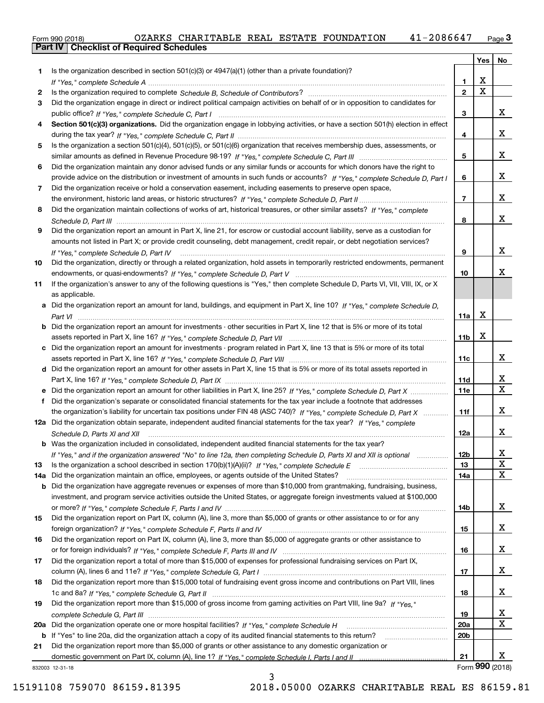|  | Form 990 (2018) |  |
|--|-----------------|--|

|     |                                                                                                                                  |                 | Yes         | No              |
|-----|----------------------------------------------------------------------------------------------------------------------------------|-----------------|-------------|-----------------|
| 1.  | Is the organization described in section $501(c)(3)$ or $4947(a)(1)$ (other than a private foundation)?                          |                 |             |                 |
|     |                                                                                                                                  | 1               | x           |                 |
| 2   |                                                                                                                                  | $\overline{2}$  | $\mathbf X$ |                 |
| З.  | Did the organization engage in direct or indirect political campaign activities on behalf of or in opposition to candidates for  |                 |             |                 |
|     |                                                                                                                                  | 3               |             | x               |
| 4   | Section 501(c)(3) organizations. Did the organization engage in lobbying activities, or have a section 501(h) election in effect |                 |             |                 |
|     |                                                                                                                                  | 4               |             | x               |
| 5   | Is the organization a section 501(c)(4), 501(c)(5), or 501(c)(6) organization that receives membership dues, assessments, or     |                 |             |                 |
|     |                                                                                                                                  | 5               |             | x               |
| 6   | Did the organization maintain any donor advised funds or any similar funds or accounts for which donors have the right to        |                 |             |                 |
|     | provide advice on the distribution or investment of amounts in such funds or accounts? If "Yes," complete Schedule D, Part I     | 6               |             | x               |
| 7   | Did the organization receive or hold a conservation easement, including easements to preserve open space,                        |                 |             |                 |
|     |                                                                                                                                  | $\overline{7}$  |             | x               |
| 8   | Did the organization maintain collections of works of art, historical treasures, or other similar assets? If "Yes," complete     |                 |             |                 |
|     |                                                                                                                                  | 8               |             | x               |
| 9   | Did the organization report an amount in Part X, line 21, for escrow or custodial account liability, serve as a custodian for    |                 |             |                 |
|     | amounts not listed in Part X; or provide credit counseling, debt management, credit repair, or debt negotiation services?        |                 |             |                 |
|     | If "Yes," complete Schedule D, Part IV                                                                                           | 9               |             | x               |
| 10  | Did the organization, directly or through a related organization, hold assets in temporarily restricted endowments, permanent    |                 |             |                 |
|     |                                                                                                                                  | 10              |             | x               |
| 11  | If the organization's answer to any of the following questions is "Yes," then complete Schedule D, Parts VI, VII, VIII, IX, or X |                 |             |                 |
|     | as applicable.                                                                                                                   |                 |             |                 |
|     | a Did the organization report an amount for land, buildings, and equipment in Part X, line 10? If "Yes," complete Schedule D,    |                 | X           |                 |
|     |                                                                                                                                  | 11a             |             |                 |
| b   | Did the organization report an amount for investments - other securities in Part X, line 12 that is 5% or more of its total      |                 | X           |                 |
|     |                                                                                                                                  | 11 <sub>b</sub> |             |                 |
| c   | Did the organization report an amount for investments - program related in Part X, line 13 that is 5% or more of its total       | 11c             |             | x               |
|     | d Did the organization report an amount for other assets in Part X, line 15 that is 5% or more of its total assets reported in   |                 |             |                 |
|     |                                                                                                                                  | <b>11d</b>      |             | х               |
|     | e Did the organization report an amount for other liabilities in Part X, line 25? If "Yes," complete Schedule D, Part X          | 11e             |             | X               |
| f   | Did the organization's separate or consolidated financial statements for the tax year include a footnote that addresses          |                 |             |                 |
|     | the organization's liability for uncertain tax positions under FIN 48 (ASC 740)? If "Yes," complete Schedule D, Part X           | 11f             |             | x               |
|     | 12a Did the organization obtain separate, independent audited financial statements for the tax year? If "Yes," complete          |                 |             |                 |
|     | Schedule D, Parts XI and XII                                                                                                     | 12a             |             | x               |
|     | <b>b</b> Was the organization included in consolidated, independent audited financial statements for the tax year?               |                 |             |                 |
|     | If "Yes," and if the organization answered "No" to line 12a, then completing Schedule D, Parts XI and XII is optional matures    | 12b             |             | X               |
| 13  |                                                                                                                                  | 13              |             | х               |
| 14a | Did the organization maintain an office, employees, or agents outside of the United States?                                      | 14a             |             | x               |
| b   | Did the organization have aggregate revenues or expenses of more than \$10,000 from grantmaking, fundraising, business,          |                 |             |                 |
|     | investment, and program service activities outside the United States, or aggregate foreign investments valued at \$100,000       |                 |             |                 |
|     |                                                                                                                                  | 14b             |             | x               |
| 15  | Did the organization report on Part IX, column (A), line 3, more than \$5,000 of grants or other assistance to or for any        |                 |             |                 |
|     |                                                                                                                                  | 15              |             | x               |
| 16  | Did the organization report on Part IX, column (A), line 3, more than \$5,000 of aggregate grants or other assistance to         |                 |             |                 |
|     |                                                                                                                                  | 16              |             | x               |
| 17  | Did the organization report a total of more than \$15,000 of expenses for professional fundraising services on Part IX,          |                 |             |                 |
|     |                                                                                                                                  | 17              |             | x               |
| 18  | Did the organization report more than \$15,000 total of fundraising event gross income and contributions on Part VIII, lines     |                 |             |                 |
|     |                                                                                                                                  | 18              |             | x               |
| 19  | Did the organization report more than \$15,000 of gross income from gaming activities on Part VIII, line 9a? If "Yes."           |                 |             |                 |
|     |                                                                                                                                  | 19              |             | X               |
| 20a |                                                                                                                                  | 20a             |             | x               |
| b   | If "Yes" to line 20a, did the organization attach a copy of its audited financial statements to this return?                     | 20 <sub>b</sub> |             |                 |
| 21  | Did the organization report more than \$5,000 of grants or other assistance to any domestic organization or                      |                 |             |                 |
|     |                                                                                                                                  | 21              |             | X.              |
|     | 832003 12-31-18                                                                                                                  |                 |             | Form 990 (2018) |

832003 12-31-18

15191108 759070 86159.81395 2018.05000 OZARKS CHARITABLE REAL ES 86159.81

3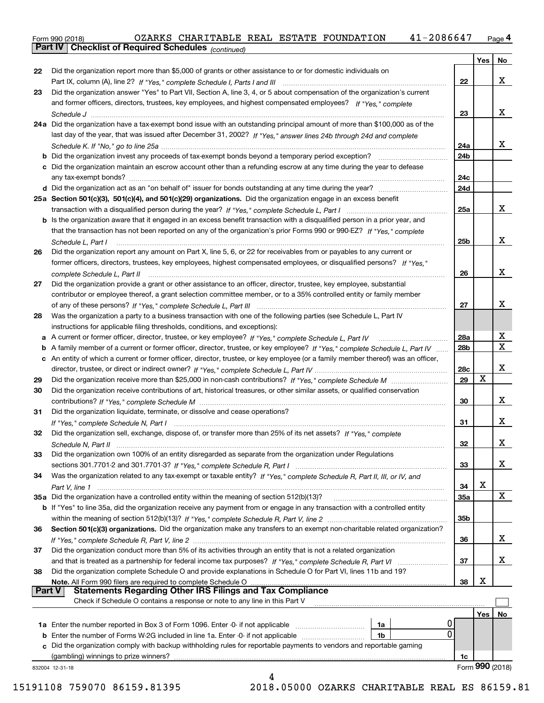Form 990 (2018) OZARKS CHARITABLE REAL ESTATE FOUNDATION 41-2 0 8 6 6 47 <sub>Page</sub> 4<br>**Part IV | Checklist of Required Schedules** <sub>(continued)</sub>

*(continued)*

|                            |                                                                                                                                                                                                                |        | Yes   No        |                         |
|----------------------------|----------------------------------------------------------------------------------------------------------------------------------------------------------------------------------------------------------------|--------|-----------------|-------------------------|
| 22                         | Did the organization report more than \$5,000 of grants or other assistance to or for domestic individuals on                                                                                                  |        |                 |                         |
|                            |                                                                                                                                                                                                                | $22\,$ |                 | X                       |
| 23                         | Did the organization answer "Yes" to Part VII, Section A, line 3, 4, or 5 about compensation of the organization's current                                                                                     |        |                 |                         |
|                            | and former officers, directors, trustees, key employees, and highest compensated employees? If "Yes." complete                                                                                                 |        |                 |                         |
|                            |                                                                                                                                                                                                                | 23     |                 | X                       |
|                            | 24a Did the organization have a tax-exempt bond issue with an outstanding principal amount of more than \$100,000 as of the                                                                                    |        |                 |                         |
|                            | last day of the year, that was issued after December 31, 2002? If "Yes," answer lines 24b through 24d and complete                                                                                             |        |                 |                         |
|                            |                                                                                                                                                                                                                | 24a    |                 | X                       |
|                            |                                                                                                                                                                                                                | 24b    |                 |                         |
|                            | c Did the organization maintain an escrow account other than a refunding escrow at any time during the year to defease                                                                                         |        |                 |                         |
|                            |                                                                                                                                                                                                                | 24c    |                 |                         |
|                            |                                                                                                                                                                                                                | 24d    |                 |                         |
|                            | 25a Section 501(c)(3), 501(c)(4), and 501(c)(29) organizations. Did the organization engage in an excess benefit                                                                                               |        |                 |                         |
|                            |                                                                                                                                                                                                                | 25a    |                 | X                       |
|                            | b Is the organization aware that it engaged in an excess benefit transaction with a disqualified person in a prior year, and                                                                                   |        |                 |                         |
|                            | that the transaction has not been reported on any of the organization's prior Forms 990 or 990-EZ? If "Yes," complete                                                                                          |        |                 |                         |
|                            | Schedule L. Part I                                                                                                                                                                                             | 25b    |                 | X                       |
| 26                         | Did the organization report any amount on Part X, line 5, 6, or 22 for receivables from or payables to any current or                                                                                          |        |                 |                         |
|                            | former officers, directors, trustees, key employees, highest compensated employees, or disqualified persons? If "Yes."                                                                                         |        |                 |                         |
|                            |                                                                                                                                                                                                                | 26     |                 | X                       |
| 27                         | Did the organization provide a grant or other assistance to an officer, director, trustee, key employee, substantial                                                                                           |        |                 |                         |
|                            | contributor or employee thereof, a grant selection committee member, or to a 35% controlled entity or family member                                                                                            |        |                 |                         |
|                            |                                                                                                                                                                                                                | 27     |                 | X                       |
| 28                         | Was the organization a party to a business transaction with one of the following parties (see Schedule L, Part IV                                                                                              |        |                 |                         |
|                            | instructions for applicable filing thresholds, conditions, and exceptions):                                                                                                                                    |        |                 |                         |
|                            |                                                                                                                                                                                                                | 28a    |                 | X                       |
| b                          | A family member of a current or former officer, director, trustee, or key employee? If "Yes," complete Schedule L, Part IV                                                                                     | 28b    |                 | $\overline{\textbf{X}}$ |
|                            | c An entity of which a current or former officer, director, trustee, or key employee (or a family member thereof) was an officer,                                                                              |        |                 |                         |
|                            |                                                                                                                                                                                                                | 28c    |                 | X                       |
| 29                         |                                                                                                                                                                                                                | 29     | X               |                         |
| 30                         | Did the organization receive contributions of art, historical treasures, or other similar assets, or qualified conservation                                                                                    |        |                 |                         |
|                            |                                                                                                                                                                                                                | 30     |                 | X                       |
| 31                         | Did the organization liquidate, terminate, or dissolve and cease operations?                                                                                                                                   |        |                 |                         |
|                            |                                                                                                                                                                                                                | 31     |                 | X                       |
| 32                         | Did the organization sell, exchange, dispose of, or transfer more than 25% of its net assets? If "Yes," complete                                                                                               |        |                 |                         |
|                            |                                                                                                                                                                                                                |        |                 | X                       |
|                            |                                                                                                                                                                                                                |        |                 |                         |
|                            |                                                                                                                                                                                                                | 32     |                 |                         |
|                            | Did the organization own 100% of an entity disregarded as separate from the organization under Regulations                                                                                                     |        |                 |                         |
|                            |                                                                                                                                                                                                                | 33     |                 | х                       |
|                            | Was the organization related to any tax-exempt or taxable entity? If "Yes," complete Schedule R, Part II, III, or IV, and                                                                                      |        |                 |                         |
|                            |                                                                                                                                                                                                                | 34     | X               |                         |
|                            | 35a Did the organization have a controlled entity within the meaning of section 512(b)(13)?<br>and a series of the contract of the contract of the contract of the contract of the contract of the contract of | 35а    |                 | X                       |
|                            | b If "Yes" to line 35a, did the organization receive any payment from or engage in any transaction with a controlled entity                                                                                    |        |                 |                         |
|                            |                                                                                                                                                                                                                | 35b    |                 |                         |
|                            | Section 501(c)(3) organizations. Did the organization make any transfers to an exempt non-charitable related organization?                                                                                     |        |                 |                         |
|                            |                                                                                                                                                                                                                | 36     |                 |                         |
|                            | Did the organization conduct more than 5% of its activities through an entity that is not a related organization                                                                                               |        |                 | х                       |
|                            |                                                                                                                                                                                                                | 37     |                 | х                       |
|                            | Did the organization complete Schedule O and provide explanations in Schedule O for Part VI, lines 11b and 19?                                                                                                 |        |                 |                         |
|                            |                                                                                                                                                                                                                | 38     | X               |                         |
|                            | <b>Statements Regarding Other IRS Filings and Tax Compliance</b>                                                                                                                                               |        |                 |                         |
|                            | Check if Schedule O contains a response or note to any line in this Part V                                                                                                                                     |        |                 |                         |
|                            |                                                                                                                                                                                                                |        | Yes             | No                      |
|                            | 1a Enter the number reported in Box 3 of Form 1096. Enter -0- if not applicable<br>1a                                                                                                                          |        |                 |                         |
| <b>Part V</b>              | 0<br><b>b</b> Enter the number of Forms W-2G included in line 1a. Enter -0- if not applicable<br>1b                                                                                                            |        |                 |                         |
|                            | c Did the organization comply with backup withholding rules for reportable payments to vendors and reportable gaming                                                                                           |        |                 |                         |
| 33<br>34<br>36<br>37<br>38 |                                                                                                                                                                                                                | 1c     | Form 990 (2018) |                         |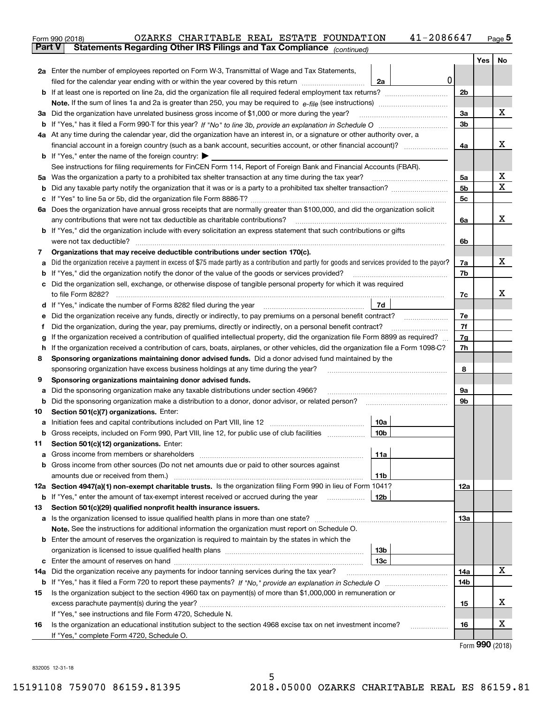|               | 41-2086647<br>OZARKS CHARITABLE REAL ESTATE FOUNDATION<br>Form 990 (2018)                                                                                                                   |     |     | $Page$ <sup>5</sup> |
|---------------|---------------------------------------------------------------------------------------------------------------------------------------------------------------------------------------------|-----|-----|---------------------|
| <b>Part V</b> | Statements Regarding Other IRS Filings and Tax Compliance (continued)                                                                                                                       |     |     |                     |
|               |                                                                                                                                                                                             |     | Yes | No                  |
|               | 2a Enter the number of employees reported on Form W-3, Transmittal of Wage and Tax Statements,                                                                                              |     |     |                     |
|               | 0<br>filed for the calendar year ending with or within the year covered by this return <i>manumumumum</i><br>2a                                                                             |     |     |                     |
|               |                                                                                                                                                                                             | 2b  |     |                     |
|               |                                                                                                                                                                                             |     |     |                     |
|               | 3a Did the organization have unrelated business gross income of \$1,000 or more during the year?                                                                                            | 3a  |     | х                   |
|               |                                                                                                                                                                                             | 3b  |     |                     |
|               | 4a At any time during the calendar year, did the organization have an interest in, or a signature or other authority over, a                                                                |     |     |                     |
|               |                                                                                                                                                                                             | 4a  |     | х                   |
|               | <b>b</b> If "Yes," enter the name of the foreign country: $\blacktriangleright$                                                                                                             |     |     |                     |
|               | See instructions for filing requirements for FinCEN Form 114, Report of Foreign Bank and Financial Accounts (FBAR).                                                                         |     |     |                     |
|               |                                                                                                                                                                                             | 5a  |     | х                   |
| b             |                                                                                                                                                                                             | 5b  |     | х                   |
| с             |                                                                                                                                                                                             | 5c  |     |                     |
|               | 6a Does the organization have annual gross receipts that are normally greater than \$100,000, and did the organization solicit                                                              |     |     |                     |
|               |                                                                                                                                                                                             | 6a  |     | х                   |
|               | <b>b</b> If "Yes," did the organization include with every solicitation an express statement that such contributions or gifts                                                               |     |     |                     |
|               | were not tax deductible?                                                                                                                                                                    | 6b  |     |                     |
| 7             | Organizations that may receive deductible contributions under section 170(c).                                                                                                               |     |     |                     |
| a             | Did the organization receive a payment in excess of \$75 made partly as a contribution and partly for goods and services provided to the payor?                                             | 7a  |     | х                   |
|               | <b>b</b> If "Yes," did the organization notify the donor of the value of the goods or services provided?                                                                                    | 7b  |     |                     |
|               | c Did the organization sell, exchange, or otherwise dispose of tangible personal property for which it was required                                                                         |     |     |                     |
|               |                                                                                                                                                                                             | 7c  |     | x                   |
|               | 7d                                                                                                                                                                                          |     |     |                     |
| е             | Did the organization receive any funds, directly or indirectly, to pay premiums on a personal benefit contract?                                                                             | 7e  |     |                     |
| f             | Did the organization, during the year, pay premiums, directly or indirectly, on a personal benefit contract?                                                                                | 7f  |     |                     |
| g             | If the organization received a contribution of qualified intellectual property, did the organization file Form 8899 as required?                                                            | 7g  |     |                     |
| h.            | If the organization received a contribution of cars, boats, airplanes, or other vehicles, did the organization file a Form 1098-C?                                                          | 7h  |     |                     |
| 8             | Sponsoring organizations maintaining donor advised funds. Did a donor advised fund maintained by the                                                                                        |     |     |                     |
|               | sponsoring organization have excess business holdings at any time during the year?                                                                                                          | 8   |     |                     |
| 9             | Sponsoring organizations maintaining donor advised funds.                                                                                                                                   |     |     |                     |
| а             | Did the sponsoring organization make any taxable distributions under section 4966?                                                                                                          | 9а  |     |                     |
| b             | Did the sponsoring organization make a distribution to a donor, donor advisor, or related person?                                                                                           | 9b  |     |                     |
| 10            | Section 501(c)(7) organizations. Enter:                                                                                                                                                     |     |     |                     |
|               | 10a                                                                                                                                                                                         |     |     |                     |
|               | 10b <br>Gross receipts, included on Form 990, Part VIII, line 12, for public use of club facilities                                                                                         |     |     |                     |
| 11            | Section 501(c)(12) organizations. Enter:                                                                                                                                                    |     |     |                     |
| a             | Gross income from members or shareholders<br>11a                                                                                                                                            |     |     |                     |
|               | b Gross income from other sources (Do not net amounts due or paid to other sources against                                                                                                  |     |     |                     |
|               | 11b                                                                                                                                                                                         |     |     |                     |
|               | 12a Section 4947(a)(1) non-exempt charitable trusts. Is the organization filing Form 990 in lieu of Form 1041?                                                                              | 12a |     |                     |
|               | 12b<br><b>b</b> If "Yes," enter the amount of tax-exempt interest received or accrued during the year                                                                                       |     |     |                     |
| 13            | Section 501(c)(29) qualified nonprofit health insurance issuers.                                                                                                                            |     |     |                     |
|               | a Is the organization licensed to issue qualified health plans in more than one state?<br>Note. See the instructions for additional information the organization must report on Schedule O. | 13а |     |                     |
|               | <b>b</b> Enter the amount of reserves the organization is required to maintain by the states in which the                                                                                   |     |     |                     |
|               | 13 <sub>b</sub>                                                                                                                                                                             |     |     |                     |
|               | 13с                                                                                                                                                                                         |     |     |                     |
| 14a           | Did the organization receive any payments for indoor tanning services during the tax year?                                                                                                  | 14a |     | x                   |
|               |                                                                                                                                                                                             | 14b |     |                     |
| 15            | Is the organization subject to the section 4960 tax on payment(s) of more than \$1,000,000 in remuneration or                                                                               |     |     |                     |
|               |                                                                                                                                                                                             | 15  |     | x                   |
|               | If "Yes," see instructions and file Form 4720, Schedule N.                                                                                                                                  |     |     |                     |
| 16            | Is the organization an educational institution subject to the section 4968 excise tax on net investment income?                                                                             | 16  |     | х                   |
|               | If "Yes," complete Form 4720, Schedule O.                                                                                                                                                   |     |     |                     |
|               |                                                                                                                                                                                             |     |     |                     |

Form (2018) **990**

832005 12-31-18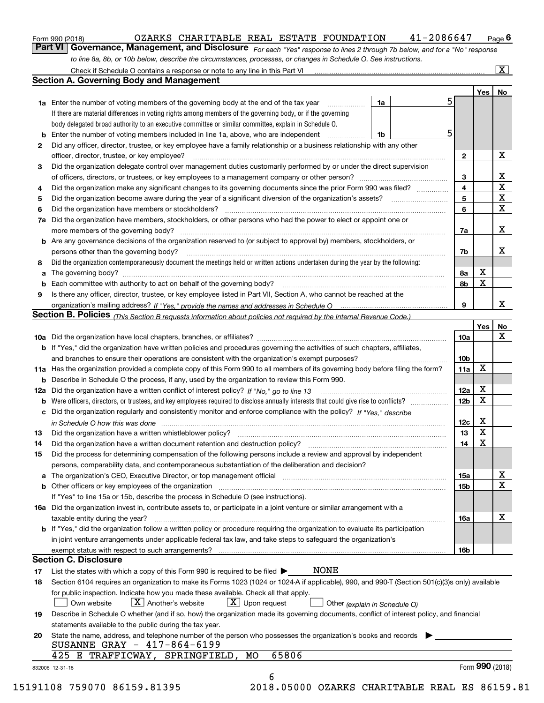| Form 990 (2018) |  |  |
|-----------------|--|--|
|                 |  |  |

#### $_{\rm Form}$ 990 (2018) OZARKS CHARITABLE REAL ESTATE FOUNDATION 4 $1$ -2086647  $_{\rm Page}$

orm 990 (2018) OZARKS CHARITABLE REAL ESTATE FOUNDATION 41-2086647 <sub>Page</sub> 6<br><mark>Part VI | Governance, Management, and Disclosure</mark> <sub>For each "Yes" response to lines 2 through 7b below, and for a "No" response</sub> *to line 8a, 8b, or 10b below, describe the circumstances, processes, or changes in Schedule O. See instructions.*

|    | 1a                                                                                                                                                                                                                             | 5               |                 | Yes   No                |
|----|--------------------------------------------------------------------------------------------------------------------------------------------------------------------------------------------------------------------------------|-----------------|-----------------|-------------------------|
|    | <b>1a</b> Enter the number of voting members of the governing body at the end of the tax year<br>If there are material differences in voting rights among members of the governing body, or if the governing                   |                 |                 |                         |
|    | body delegated broad authority to an executive committee or similar committee, explain in Schedule O.                                                                                                                          |                 |                 |                         |
| b  | Enter the number of voting members included in line 1a, above, who are independent<br>1b                                                                                                                                       | 5               |                 |                         |
|    | Did any officer, director, trustee, or key employee have a family relationship or a business relationship with any other                                                                                                       |                 |                 |                         |
| 2  | officer, director, trustee, or key employee?                                                                                                                                                                                   | $\mathbf{2}$    |                 | X                       |
|    | Did the organization delegate control over management duties customarily performed by or under the direct supervision                                                                                                          |                 |                 |                         |
| 3  |                                                                                                                                                                                                                                |                 |                 | $\mathbf{X}$            |
|    |                                                                                                                                                                                                                                | 3               |                 | $\overline{\textbf{x}}$ |
| 4  | Did the organization make any significant changes to its governing documents since the prior Form 990 was filed?                                                                                                               | 4<br>5          |                 | $\overline{\mathbf{x}}$ |
| 5  |                                                                                                                                                                                                                                | 6               |                 | $\overline{\mathbf{x}}$ |
| 6  | Did the organization have members or stockholders?<br>Did the organization have members, stockholders, or other persons who had the power to elect or appoint one or                                                           |                 |                 |                         |
| 7a |                                                                                                                                                                                                                                |                 |                 | X                       |
|    |                                                                                                                                                                                                                                | 7a              |                 |                         |
|    | <b>b</b> Are any governance decisions of the organization reserved to (or subject to approval by) members, stockholders, or                                                                                                    |                 |                 | X                       |
|    | persons other than the governing body?                                                                                                                                                                                         | 7b              |                 |                         |
| 8  | Did the organization contemporaneously document the meetings held or written actions undertaken during the year by the following:                                                                                              |                 |                 |                         |
| a  |                                                                                                                                                                                                                                | 8а              | X               |                         |
|    |                                                                                                                                                                                                                                | 8b              | X               |                         |
| 9  | Is there any officer, director, trustee, or key employee listed in Part VII, Section A, who cannot be reached at the                                                                                                           |                 |                 |                         |
|    |                                                                                                                                                                                                                                | 9               |                 | X                       |
|    | Section B. Policies <sub>(This</sub> Section B requests information about policies not required by the Internal Revenue Code.)                                                                                                 |                 |                 |                         |
|    |                                                                                                                                                                                                                                |                 | Yes             | No                      |
|    |                                                                                                                                                                                                                                | 10a             |                 | X                       |
|    | <b>b</b> If "Yes," did the organization have written policies and procedures governing the activities of such chapters, affiliates,                                                                                            |                 |                 |                         |
|    |                                                                                                                                                                                                                                | 10 <sub>b</sub> |                 |                         |
|    | 11a Has the organization provided a complete copy of this Form 990 to all members of its governing body before filing the form?                                                                                                | 11a             | X               |                         |
|    | <b>b</b> Describe in Schedule O the process, if any, used by the organization to review this Form 990.                                                                                                                         |                 |                 |                         |
|    |                                                                                                                                                                                                                                | 12a             | X               |                         |
| b  |                                                                                                                                                                                                                                | 12 <sub>b</sub> | X               |                         |
|    | c Did the organization regularly and consistently monitor and enforce compliance with the policy? If "Yes," describe                                                                                                           |                 |                 |                         |
|    | in Schedule O how this was done measured and the control of the control of the state of the control of the control of the control of the control of the control of the control of the control of the control of the control of | 12c             | X               |                         |
| 13 |                                                                                                                                                                                                                                | 13              | $\mathbf x$     |                         |
| 14 |                                                                                                                                                                                                                                | 14              | X               |                         |
| 15 | Did the process for determining compensation of the following persons include a review and approval by independent                                                                                                             |                 |                 |                         |
|    | persons, comparability data, and contemporaneous substantiation of the deliberation and decision?                                                                                                                              |                 |                 |                         |
|    |                                                                                                                                                                                                                                | 15a             |                 | X                       |
|    |                                                                                                                                                                                                                                | 15b             |                 | $\overline{\mathbf{x}}$ |
|    | If "Yes" to line 15a or 15b, describe the process in Schedule O (see instructions).                                                                                                                                            |                 |                 |                         |
|    | 16a Did the organization invest in, contribute assets to, or participate in a joint venture or similar arrangement with a                                                                                                      |                 |                 |                         |
|    | taxable entity during the year?                                                                                                                                                                                                | 16a             |                 | $\mathbf X$             |
|    | b If "Yes," did the organization follow a written policy or procedure requiring the organization to evaluate its participation                                                                                                 |                 |                 |                         |
|    | in joint venture arrangements under applicable federal tax law, and take steps to safeguard the organization's                                                                                                                 |                 |                 |                         |
|    |                                                                                                                                                                                                                                | 16b             |                 |                         |
|    | <b>Section C. Disclosure</b>                                                                                                                                                                                                   |                 |                 |                         |
| 17 | <b>NONE</b><br>List the states with which a copy of this Form 990 is required to be filed $\blacktriangleright$                                                                                                                |                 |                 |                         |
| 18 | Section 6104 requires an organization to make its Forms 1023 (1024 or 1024-A if applicable), 990, and 990-T (Section 501(c)(3)s only) available                                                                                |                 |                 |                         |
|    | for public inspection. Indicate how you made these available. Check all that apply.                                                                                                                                            |                 |                 |                         |
|    | $\lfloor x \rfloor$ Upon request<br>$\vert X \vert$ Another's website<br>Own website<br>Other (explain in Schedule O)                                                                                                          |                 |                 |                         |
| 19 | Describe in Schedule O whether (and if so, how) the organization made its governing documents, conflict of interest policy, and financial                                                                                      |                 |                 |                         |
|    | statements available to the public during the tax year.                                                                                                                                                                        |                 |                 |                         |
| 20 | State the name, address, and telephone number of the person who possesses the organization's books and records                                                                                                                 |                 |                 |                         |
|    | SUSANNE GRAY - 417-864-6199                                                                                                                                                                                                    |                 |                 |                         |
|    | 65806<br>425 E TRAFFICWAY, SPRINGFIELD,<br>MO                                                                                                                                                                                  |                 |                 |                         |
|    |                                                                                                                                                                                                                                |                 | Form 990 (2018) |                         |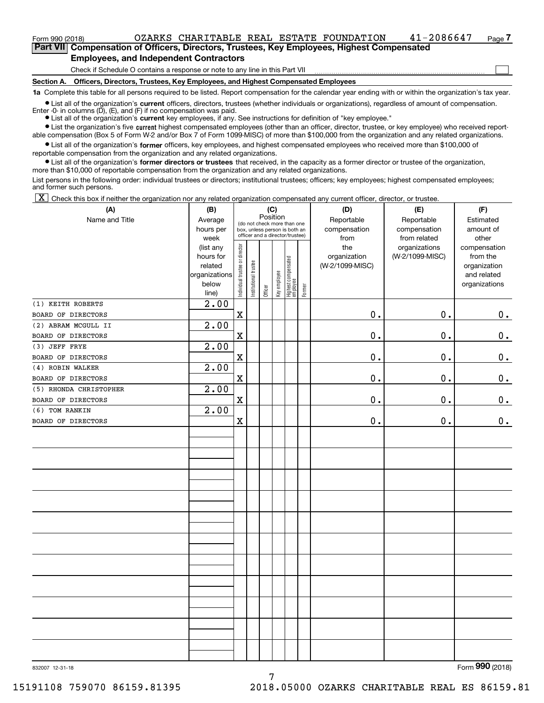### $_{\rm Form}$ 990 (2018) OZARKS CHARITABLE REAL ESTATE FOUNDATION 4 $1$ -2086647  $_{\rm Page}$

**7Part VII Compensation of Officers, Directors, Trustees, Key Employees, Highest Compensated Employees, and Independent Contractors**

Check if Schedule O contains a response or note to any line in this Part VII

**Section A. Officers, Directors, Trustees, Key Employees, and Highest Compensated Employees**

**1a**  Complete this table for all persons required to be listed. Report compensation for the calendar year ending with or within the organization's tax year.

**•** List all of the organization's current officers, directors, trustees (whether individuals or organizations), regardless of amount of compensation. Enter -0- in columns  $(D)$ ,  $(E)$ , and  $(F)$  if no compensation was paid.

● List all of the organization's **current** key employees, if any. See instructions for definition of "key employee."

**•** List the organization's five current highest compensated employees (other than an officer, director, trustee, or key employee) who received reportable compensation (Box 5 of Form W-2 and/or Box 7 of Form 1099-MISC) of more than \$100,000 from the organization and any related organizations.

 $\bullet$  List all of the organization's **former** officers, key employees, and highest compensated employees who received more than \$100,000 of reportable compensation from the organization and any related organizations.

**•** List all of the organization's former directors or trustees that received, in the capacity as a former director or trustee of the organization, more than \$10,000 of reportable compensation from the organization and any related organizations.

List persons in the following order: individual trustees or directors; institutional trustees; officers; key employees; highest compensated employees; and former such persons.

 $\boxed{\textbf{X}}$  Check this box if neither the organization nor any related organization compensated any current officer, director, or trustee.

| (A)                    | (B)                    |                                |                       |          | (C)          |                                 |        | (D)             | (E)             | (F)                          |
|------------------------|------------------------|--------------------------------|-----------------------|----------|--------------|---------------------------------|--------|-----------------|-----------------|------------------------------|
| Name and Title         | Average                |                                |                       | Position |              | (do not check more than one     |        | Reportable      | Reportable      | Estimated                    |
|                        | hours per              |                                |                       |          |              | box, unless person is both an   |        | compensation    | compensation    | amount of                    |
|                        | week                   |                                |                       |          |              | officer and a director/trustee) |        | from            | from related    | other                        |
|                        | (list any              |                                |                       |          |              |                                 |        | the             | organizations   | compensation                 |
|                        | hours for              |                                |                       |          |              |                                 |        | organization    | (W-2/1099-MISC) | from the                     |
|                        | related                |                                |                       |          |              |                                 |        | (W-2/1099-MISC) |                 | organization                 |
|                        | organizations<br>below |                                |                       |          |              |                                 |        |                 |                 | and related<br>organizations |
|                        | line)                  | Individual trustee or director | Institutional trustee | Officer  | Key employee | Highest compensated<br>employee | Former |                 |                 |                              |
| (1) KEITH ROBERTS      | 2.00                   |                                |                       |          |              |                                 |        |                 |                 |                              |
| BOARD OF DIRECTORS     |                        | $\mathbf X$                    |                       |          |              |                                 |        | $\mathbf 0$ .   | 0.              | 0.                           |
| (2) ABRAM MCGULL II    | 2.00                   |                                |                       |          |              |                                 |        |                 |                 |                              |
| BOARD OF DIRECTORS     |                        | $\mathbf X$                    |                       |          |              |                                 |        | $\mathfrak o$ . | $\mathbf 0$ .   | 0.                           |
| (3) JEFF FRYE          | 2.00                   |                                |                       |          |              |                                 |        |                 |                 |                              |
| BOARD OF DIRECTORS     |                        | $\mathbf X$                    |                       |          |              |                                 |        | 0.              | 0.              | $\mathbf 0$ .                |
| (4) ROBIN WALKER       | 2.00                   |                                |                       |          |              |                                 |        |                 |                 |                              |
| BOARD OF DIRECTORS     |                        | $\mathbf x$                    |                       |          |              |                                 |        | $\mathbf 0$ .   | 0.              | $0_{.}$                      |
| (5) RHONDA CHRISTOPHER | 2.00                   |                                |                       |          |              |                                 |        |                 |                 |                              |
| BOARD OF DIRECTORS     |                        | $\mathbf x$                    |                       |          |              |                                 |        | $\mathbf 0$ .   | 0.              | $0_{.}$                      |
| (6) TOM RANKIN         | 2.00                   |                                |                       |          |              |                                 |        |                 |                 |                              |
| BOARD OF DIRECTORS     |                        | $\mathbf X$                    |                       |          |              |                                 |        | 0.              | 0.              | 0.                           |
|                        |                        |                                |                       |          |              |                                 |        |                 |                 |                              |
|                        |                        |                                |                       |          |              |                                 |        |                 |                 |                              |
|                        |                        |                                |                       |          |              |                                 |        |                 |                 |                              |
|                        |                        |                                |                       |          |              |                                 |        |                 |                 |                              |
|                        |                        |                                |                       |          |              |                                 |        |                 |                 |                              |
|                        |                        |                                |                       |          |              |                                 |        |                 |                 |                              |
|                        |                        |                                |                       |          |              |                                 |        |                 |                 |                              |
|                        |                        |                                |                       |          |              |                                 |        |                 |                 |                              |
|                        |                        |                                |                       |          |              |                                 |        |                 |                 |                              |
|                        |                        |                                |                       |          |              |                                 |        |                 |                 |                              |
|                        |                        |                                |                       |          |              |                                 |        |                 |                 |                              |
|                        |                        |                                |                       |          |              |                                 |        |                 |                 |                              |
|                        |                        |                                |                       |          |              |                                 |        |                 |                 |                              |
|                        |                        |                                |                       |          |              |                                 |        |                 |                 |                              |
|                        |                        |                                |                       |          |              |                                 |        |                 |                 |                              |
|                        |                        |                                |                       |          |              |                                 |        |                 |                 |                              |
|                        |                        |                                |                       |          |              |                                 |        |                 |                 |                              |
|                        |                        |                                |                       |          |              |                                 |        |                 |                 |                              |
|                        |                        |                                |                       |          |              |                                 |        |                 |                 |                              |
|                        |                        |                                |                       |          |              |                                 |        |                 |                 |                              |
|                        |                        |                                |                       |          |              |                                 |        |                 |                 |                              |

7

Form (2018) **990**

 $\mathcal{L}^{\text{max}}$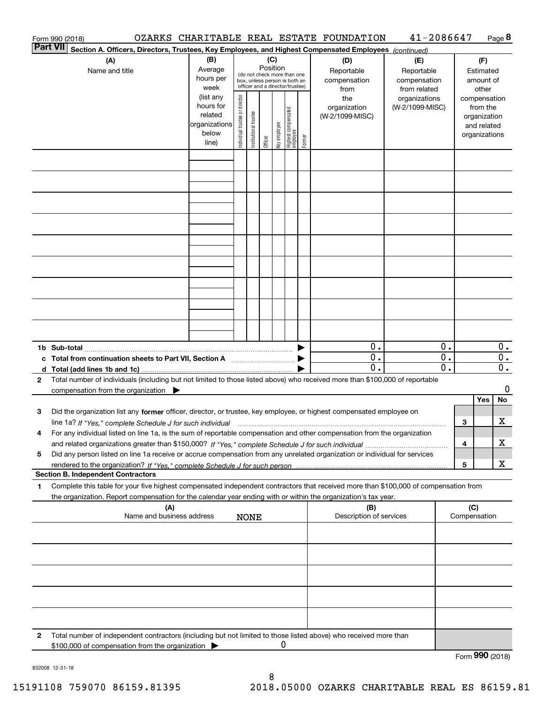|                 | Form 990 (2018)                                                                                                                                                                                                                                                                                                                                                    |                                                                      |                                |                       |          |              |                                                                                                 |        | OZARKS CHARITABLE REAL ESTATE FOUNDATION       | 41-2086647                                       |          |                     |                                                                                   | Page 8      |
|-----------------|--------------------------------------------------------------------------------------------------------------------------------------------------------------------------------------------------------------------------------------------------------------------------------------------------------------------------------------------------------------------|----------------------------------------------------------------------|--------------------------------|-----------------------|----------|--------------|-------------------------------------------------------------------------------------------------|--------|------------------------------------------------|--------------------------------------------------|----------|---------------------|-----------------------------------------------------------------------------------|-------------|
| <b>Part VII</b> | Section A. Officers, Directors, Trustees, Key Employees, and Highest Compensated Employees (continued)                                                                                                                                                                                                                                                             |                                                                      |                                |                       |          |              |                                                                                                 |        |                                                |                                                  |          |                     |                                                                                   |             |
|                 | (A)<br>Name and title                                                                                                                                                                                                                                                                                                                                              | (B)<br>Average<br>hours per<br>week                                  |                                |                       | Position | (C)          | (do not check more than one<br>box, unless person is both an<br>officer and a director/trustee) |        | (D)<br>Reportable<br>compensation              | (E)<br>Reportable<br>compensation                |          |                     | (F)<br>Estimated<br>amount of                                                     |             |
|                 |                                                                                                                                                                                                                                                                                                                                                                    | (list any<br>hours for<br>related<br>organizations<br>below<br>line) | Individual trustee or director | Institutional trustee | Officer  | Key employee | Highest compensated<br>  employee                                                               | Former | from<br>the<br>organization<br>(W-2/1099-MISC) | from related<br>organizations<br>(W-2/1099-MISC) |          |                     | other<br>compensation<br>from the<br>organization<br>and related<br>organizations |             |
|                 |                                                                                                                                                                                                                                                                                                                                                                    |                                                                      |                                |                       |          |              |                                                                                                 |        |                                                |                                                  |          |                     |                                                                                   |             |
|                 |                                                                                                                                                                                                                                                                                                                                                                    |                                                                      |                                |                       |          |              |                                                                                                 |        |                                                |                                                  |          |                     |                                                                                   |             |
|                 |                                                                                                                                                                                                                                                                                                                                                                    |                                                                      |                                |                       |          |              |                                                                                                 |        |                                                |                                                  |          |                     |                                                                                   |             |
|                 |                                                                                                                                                                                                                                                                                                                                                                    |                                                                      |                                |                       |          |              |                                                                                                 |        |                                                |                                                  |          |                     |                                                                                   |             |
|                 |                                                                                                                                                                                                                                                                                                                                                                    |                                                                      |                                |                       |          |              |                                                                                                 |        |                                                |                                                  |          |                     |                                                                                   |             |
|                 |                                                                                                                                                                                                                                                                                                                                                                    |                                                                      |                                |                       |          |              |                                                                                                 |        |                                                |                                                  |          |                     |                                                                                   |             |
|                 |                                                                                                                                                                                                                                                                                                                                                                    |                                                                      |                                |                       |          |              |                                                                                                 |        | 0.                                             |                                                  | 0.       |                     |                                                                                   | $0$ .       |
|                 | c Total from continuation sheets to Part VII, Section A manufactured by                                                                                                                                                                                                                                                                                            |                                                                      |                                |                       |          |              |                                                                                                 |        | 0.<br>0.                                       |                                                  | 0.<br>0. |                     |                                                                                   | 0.<br>$0$ . |
| $\mathbf{2}$    | Total number of individuals (including but not limited to those listed above) who received more than \$100,000 of reportable<br>compensation from the organization                                                                                                                                                                                                 |                                                                      |                                |                       |          |              |                                                                                                 |        |                                                |                                                  |          |                     | Yes                                                                               | 0<br>No     |
| 3               | Did the organization list any former officer, director, or trustee, key employee, or highest compensated employee on<br>line 1a? If "Yes," complete Schedule J for such individual manumanamental contents and the numerous manumaname<br>For any individual listed on line 1a, is the sum of reportable compensation and other compensation from the organization |                                                                      |                                |                       |          |              |                                                                                                 |        |                                                |                                                  |          | 3                   |                                                                                   | х           |
| 5               | Did any person listed on line 1a receive or accrue compensation from any unrelated organization or individual for services                                                                                                                                                                                                                                         |                                                                      |                                |                       |          |              |                                                                                                 |        |                                                |                                                  |          | 4                   |                                                                                   | X           |
|                 | <b>Section B. Independent Contractors</b>                                                                                                                                                                                                                                                                                                                          |                                                                      |                                |                       |          |              |                                                                                                 |        |                                                |                                                  |          | 5                   |                                                                                   | х           |
| 1               | Complete this table for your five highest compensated independent contractors that received more than \$100,000 of compensation from<br>the organization. Report compensation for the calendar year ending with or within the organization's tax year.                                                                                                             |                                                                      |                                |                       |          |              |                                                                                                 |        |                                                |                                                  |          |                     |                                                                                   |             |
|                 | (A)<br>Name and business address                                                                                                                                                                                                                                                                                                                                   |                                                                      |                                | <b>NONE</b>           |          |              |                                                                                                 |        | (B)<br>Description of services                 |                                                  |          | (C)<br>Compensation |                                                                                   |             |
|                 |                                                                                                                                                                                                                                                                                                                                                                    |                                                                      |                                |                       |          |              |                                                                                                 |        |                                                |                                                  |          |                     |                                                                                   |             |
|                 |                                                                                                                                                                                                                                                                                                                                                                    |                                                                      |                                |                       |          |              |                                                                                                 |        |                                                |                                                  |          |                     |                                                                                   |             |
|                 |                                                                                                                                                                                                                                                                                                                                                                    |                                                                      |                                |                       |          |              |                                                                                                 |        |                                                |                                                  |          |                     |                                                                                   |             |
| 2               | Total number of independent contractors (including but not limited to those listed above) who received more than                                                                                                                                                                                                                                                   |                                                                      |                                |                       |          |              |                                                                                                 |        |                                                |                                                  |          |                     |                                                                                   |             |
|                 | \$100,000 of compensation from the organization                                                                                                                                                                                                                                                                                                                    |                                                                      |                                |                       |          | 0            |                                                                                                 |        |                                                |                                                  |          | Form 990 (2018)     |                                                                                   |             |

8

832008 12-31-18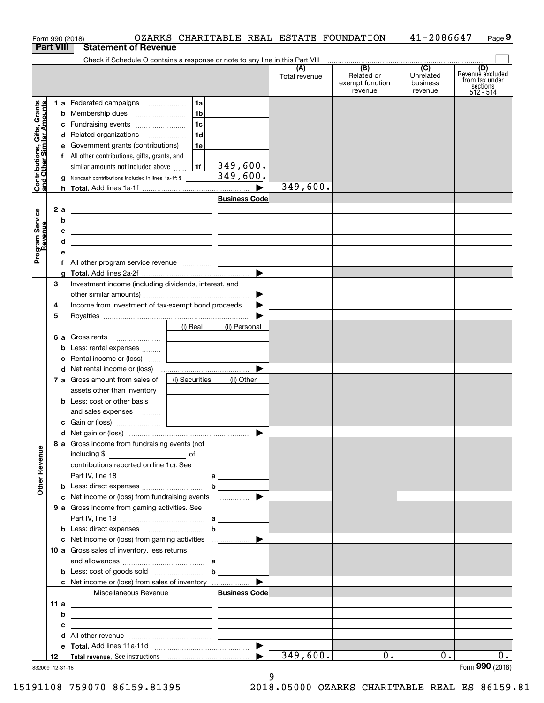| <b>Part VIII</b>                                          | Form 990 (2018)                                                                                                       |                |                      | OZARKS CHARITABLE REAL ESTATE FOUNDATION |                                                              | 41-2086647                                           | Page 9                                                             |
|-----------------------------------------------------------|-----------------------------------------------------------------------------------------------------------------------|----------------|----------------------|------------------------------------------|--------------------------------------------------------------|------------------------------------------------------|--------------------------------------------------------------------|
|                                                           | <b>Statement of Revenue</b>                                                                                           |                |                      |                                          |                                                              |                                                      |                                                                    |
|                                                           | Check if Schedule O contains a response or note to any line in this Part VIII                                         |                |                      | (A)<br>Total revenue                     | $\overline{(B)}$<br>Related or<br>exempt function<br>revenue | $\overline{(C)}$<br>Unrelated<br>business<br>revenue | (D)<br>Revenue excluded<br>from tax under<br>sections<br>512 - 514 |
|                                                           | 1 a Federated campaigns                                                                                               | 1a             |                      |                                          |                                                              |                                                      |                                                                    |
| Contributions, Gifts, Grants<br>and Other Similar Amounts | <b>b</b> Membership dues                                                                                              | 1 <sub>b</sub> |                      |                                          |                                                              |                                                      |                                                                    |
|                                                           | c Fundraising events                                                                                                  | 1c             |                      |                                          |                                                              |                                                      |                                                                    |
|                                                           | d Related organizations                                                                                               | 1d             |                      |                                          |                                                              |                                                      |                                                                    |
|                                                           | e Government grants (contributions)                                                                                   | 1e             |                      |                                          |                                                              |                                                      |                                                                    |
|                                                           | f All other contributions, gifts, grants, and                                                                         |                |                      |                                          |                                                              |                                                      |                                                                    |
|                                                           | similar amounts not included above                                                                                    | 1f             | 349,600.             |                                          |                                                              |                                                      |                                                                    |
|                                                           | g Noncash contributions included in lines 1a-1f: \$                                                                   |                | 349,600.             |                                          |                                                              |                                                      |                                                                    |
|                                                           |                                                                                                                       |                |                      | 349,600.                                 |                                                              |                                                      |                                                                    |
|                                                           |                                                                                                                       |                | <b>Business Code</b> |                                          |                                                              |                                                      |                                                                    |
| 2a                                                        | the contract of the contract of the contract of the contract of the contract of                                       |                |                      |                                          |                                                              |                                                      |                                                                    |
| b                                                         | <u> 1989 - Johann John Stone, meil in der Stone aus der Stone aus der Stone aus der Stone aus der Stone anderen S</u> |                |                      |                                          |                                                              |                                                      |                                                                    |
| с                                                         | <u> 1989 - John Harry Harry Harry Harry Harry Harry Harry Harry Harry Harry Harry Harry Harry Harry Harry Harry H</u> |                |                      |                                          |                                                              |                                                      |                                                                    |
| d                                                         | <u> 1989 - Johann Barn, mars and de Branch Barn, mars and de Branch Barn, mars and de Branch Barn, mars and de Br</u> |                |                      |                                          |                                                              |                                                      |                                                                    |
| Program Service<br>Revenue<br>е                           |                                                                                                                       |                |                      |                                          |                                                              |                                                      |                                                                    |
|                                                           | f All other program service revenue                                                                                   |                |                      |                                          |                                                              |                                                      |                                                                    |
| a                                                         |                                                                                                                       |                | ▶                    |                                          |                                                              |                                                      |                                                                    |
| 3                                                         | Investment income (including dividends, interest, and                                                                 |                |                      |                                          |                                                              |                                                      |                                                                    |
|                                                           |                                                                                                                       |                | ▶                    |                                          |                                                              |                                                      |                                                                    |
| 4                                                         | Income from investment of tax-exempt bond proceeds                                                                    |                |                      |                                          |                                                              |                                                      |                                                                    |
| 5                                                         |                                                                                                                       |                |                      |                                          |                                                              |                                                      |                                                                    |
|                                                           |                                                                                                                       | (i) Real       | (ii) Personal        |                                          |                                                              |                                                      |                                                                    |
|                                                           | 6 a Gross rents                                                                                                       |                |                      |                                          |                                                              |                                                      |                                                                    |
|                                                           | <b>b</b> Less: rental expenses                                                                                        |                |                      |                                          |                                                              |                                                      |                                                                    |
|                                                           | c Rental income or (loss)                                                                                             |                |                      |                                          |                                                              |                                                      |                                                                    |
|                                                           |                                                                                                                       |                |                      |                                          |                                                              |                                                      |                                                                    |
|                                                           | 7 a Gross amount from sales of                                                                                        | (i) Securities | (ii) Other           |                                          |                                                              |                                                      |                                                                    |
|                                                           | assets other than inventory<br><b>b</b> Less: cost or other basis                                                     |                |                      |                                          |                                                              |                                                      |                                                                    |
|                                                           | and sales expenses                                                                                                    |                |                      |                                          |                                                              |                                                      |                                                                    |
|                                                           |                                                                                                                       |                |                      |                                          |                                                              |                                                      |                                                                    |
|                                                           |                                                                                                                       |                |                      |                                          |                                                              |                                                      |                                                                    |
|                                                           | 8 a Gross income from fundraising events (not                                                                         |                |                      |                                          |                                                              |                                                      |                                                                    |
|                                                           |                                                                                                                       |                |                      |                                          |                                                              |                                                      |                                                                    |
|                                                           | contributions reported on line 1c). See                                                                               |                |                      |                                          |                                                              |                                                      |                                                                    |
|                                                           |                                                                                                                       |                | b                    |                                          |                                                              |                                                      |                                                                    |
|                                                           | c Net income or (loss) from fundraising events                                                                        |                | ▶<br>.               |                                          |                                                              |                                                      |                                                                    |
|                                                           | 9 a Gross income from gaming activities. See                                                                          |                |                      |                                          |                                                              |                                                      |                                                                    |
|                                                           |                                                                                                                       |                |                      |                                          |                                                              |                                                      |                                                                    |
|                                                           |                                                                                                                       |                | $\mathbf b$          |                                          |                                                              |                                                      |                                                                    |
|                                                           |                                                                                                                       |                | ▶                    |                                          |                                                              |                                                      |                                                                    |
|                                                           | 10 a Gross sales of inventory, less returns                                                                           |                |                      |                                          |                                                              |                                                      |                                                                    |
|                                                           |                                                                                                                       |                |                      |                                          |                                                              |                                                      |                                                                    |
|                                                           | <b>b</b> Less: cost of goods sold $\ldots$ <b>b</b>                                                                   |                |                      |                                          |                                                              |                                                      |                                                                    |
|                                                           | <b>c</b> Net income or (loss) from sales of inventory                                                                 |                | ▶                    |                                          |                                                              |                                                      |                                                                    |
|                                                           | Miscellaneous Revenue                                                                                                 |                | <b>Business Code</b> |                                          |                                                              |                                                      |                                                                    |
| 11a                                                       | <u> 1989 - Johann Barn, mars eta biztanleria (h. 1989).</u>                                                           |                |                      |                                          |                                                              |                                                      |                                                                    |
| b                                                         | <u> 1989 - Johann Barbara, martxa eta idazlea (h. 1989).</u>                                                          |                |                      |                                          |                                                              |                                                      |                                                                    |
| с                                                         | the contract of the contract of the contract of the contract of the contract of                                       |                |                      |                                          |                                                              |                                                      |                                                                    |
|                                                           |                                                                                                                       |                |                      |                                          |                                                              |                                                      |                                                                    |
|                                                           |                                                                                                                       |                |                      |                                          |                                                              |                                                      |                                                                    |
|                                                           |                                                                                                                       |                |                      | 349,600.                                 | 0.                                                           | $0$ .                                                | $0$ .                                                              |

9

832009 12-31-18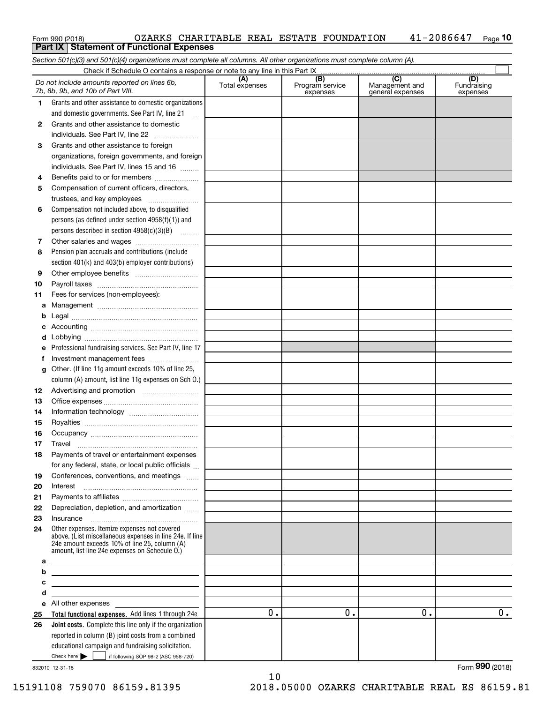| Form 990 (2018) |                                                   |  |  | OZARKS CHARITABLE REAL ESTATE FOUNDATION | $41 - 2086647$ Page 10 |  |
|-----------------|---------------------------------------------------|--|--|------------------------------------------|------------------------|--|
|                 | <b>Part IX   Statement of Functional Expenses</b> |  |  |                                          |                        |  |

 $\overline{\Box}$ 

*Section 501(c)(3) and 501(c)(4) organizations must complete all columns. All other organizations must complete column (A).* Check if Schedule O contains a response or note to any line in this Part IX

|    | Do not include amounts reported on lines 6b,<br>7b, 8b, 9b, and 10b of Part VIII.                                                                                                                           | (A)<br>Total expenses | (B)<br>Program service<br>expenses | (C)<br>Management and<br>general expenses | (D)<br>Fundraising<br>expenses |
|----|-------------------------------------------------------------------------------------------------------------------------------------------------------------------------------------------------------------|-----------------------|------------------------------------|-------------------------------------------|--------------------------------|
| 1  | Grants and other assistance to domestic organizations                                                                                                                                                       |                       |                                    |                                           |                                |
|    | and domestic governments. See Part IV, line 21                                                                                                                                                              |                       |                                    |                                           |                                |
| 2  | Grants and other assistance to domestic                                                                                                                                                                     |                       |                                    |                                           |                                |
|    | individuals. See Part IV, line 22                                                                                                                                                                           |                       |                                    |                                           |                                |
| з  | Grants and other assistance to foreign                                                                                                                                                                      |                       |                                    |                                           |                                |
|    | organizations, foreign governments, and foreign                                                                                                                                                             |                       |                                    |                                           |                                |
|    | individuals. See Part IV, lines 15 and 16                                                                                                                                                                   |                       |                                    |                                           |                                |
| 4  | Benefits paid to or for members                                                                                                                                                                             |                       |                                    |                                           |                                |
| 5  | Compensation of current officers, directors,                                                                                                                                                                |                       |                                    |                                           |                                |
|    | trustees, and key employees                                                                                                                                                                                 |                       |                                    |                                           |                                |
| 6  | Compensation not included above, to disqualified                                                                                                                                                            |                       |                                    |                                           |                                |
|    | persons (as defined under section $4958(f)(1)$ ) and                                                                                                                                                        |                       |                                    |                                           |                                |
|    | persons described in section 4958(c)(3)(B)                                                                                                                                                                  |                       |                                    |                                           |                                |
| 7  |                                                                                                                                                                                                             |                       |                                    |                                           |                                |
| 8  | Pension plan accruals and contributions (include                                                                                                                                                            |                       |                                    |                                           |                                |
|    | section 401(k) and 403(b) employer contributions)                                                                                                                                                           |                       |                                    |                                           |                                |
| 9  |                                                                                                                                                                                                             |                       |                                    |                                           |                                |
| 10 |                                                                                                                                                                                                             |                       |                                    |                                           |                                |
| 11 | Fees for services (non-employees):                                                                                                                                                                          |                       |                                    |                                           |                                |
| a  |                                                                                                                                                                                                             |                       |                                    |                                           |                                |
| b  |                                                                                                                                                                                                             |                       |                                    |                                           |                                |
| c  |                                                                                                                                                                                                             |                       |                                    |                                           |                                |
| d  |                                                                                                                                                                                                             |                       |                                    |                                           |                                |
| e  | Professional fundraising services. See Part IV, line 17                                                                                                                                                     |                       |                                    |                                           |                                |
| f  | Investment management fees                                                                                                                                                                                  |                       |                                    |                                           |                                |
| g  | Other. (If line 11g amount exceeds 10% of line 25,                                                                                                                                                          |                       |                                    |                                           |                                |
|    | column (A) amount, list line 11g expenses on Sch 0.)                                                                                                                                                        |                       |                                    |                                           |                                |
| 12 |                                                                                                                                                                                                             |                       |                                    |                                           |                                |
| 13 |                                                                                                                                                                                                             |                       |                                    |                                           |                                |
| 14 |                                                                                                                                                                                                             |                       |                                    |                                           |                                |
| 15 |                                                                                                                                                                                                             |                       |                                    |                                           |                                |
| 16 |                                                                                                                                                                                                             |                       |                                    |                                           |                                |
| 17 | Travel                                                                                                                                                                                                      |                       |                                    |                                           |                                |
| 18 | Payments of travel or entertainment expenses                                                                                                                                                                |                       |                                    |                                           |                                |
|    | for any federal, state, or local public officials                                                                                                                                                           |                       |                                    |                                           |                                |
| 19 | Conferences, conventions, and meetings                                                                                                                                                                      |                       |                                    |                                           |                                |
| 20 | Interest                                                                                                                                                                                                    |                       |                                    |                                           |                                |
| 21 |                                                                                                                                                                                                             |                       |                                    |                                           |                                |
| 22 | Depreciation, depletion, and amortization                                                                                                                                                                   |                       |                                    |                                           |                                |
| 23 | Insurance                                                                                                                                                                                                   |                       |                                    |                                           |                                |
| 24 | Other expenses. Itemize expenses not covered<br>above. (List miscellaneous expenses in line 24e. If line<br>24e amount exceeds 10% of line 25, column (A)<br>amount, list line 24e expenses on Schedule O.) |                       |                                    |                                           |                                |
| а  |                                                                                                                                                                                                             |                       |                                    |                                           |                                |
| b  | <u> 1989 - Johann Stein, marwolaethau a bhann an t-Amhainn an t-Amhainn an t-Amhainn an t-Amhainn an t-Amhainn a</u>                                                                                        |                       |                                    |                                           |                                |
| c  |                                                                                                                                                                                                             |                       |                                    |                                           |                                |
| d  | <u> 1989 - Johann Stein, mars an t-Amerikaansk ferskeiz (* 1958)</u>                                                                                                                                        |                       |                                    |                                           |                                |
| е  | All other expenses                                                                                                                                                                                          |                       |                                    |                                           |                                |
| 25 | Total functional expenses. Add lines 1 through 24e                                                                                                                                                          | 0.                    | 0.                                 | 0.                                        | 0.                             |
| 26 | Joint costs. Complete this line only if the organization                                                                                                                                                    |                       |                                    |                                           |                                |
|    | reported in column (B) joint costs from a combined                                                                                                                                                          |                       |                                    |                                           |                                |
|    | educational campaign and fundraising solicitation.                                                                                                                                                          |                       |                                    |                                           |                                |
|    | Check here $\blacktriangleright$<br>if following SOP 98-2 (ASC 958-720)                                                                                                                                     |                       |                                    |                                           | Form 990 (2018)                |
|    | 832010 12-31-18                                                                                                                                                                                             |                       |                                    |                                           |                                |

15191108 759070 86159.81395 2018.05000 OZARKS CHARITABLE REAL ES 86159.81

10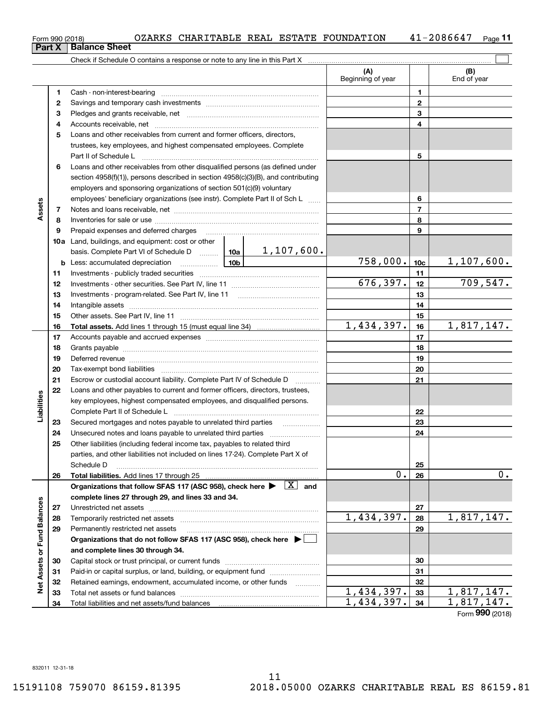| Form 990 (2018) |  | OZARKS CHARITABLE REAL ESTATE FOUNDATION |  |  | $41 - 2086647$ | Page |
|-----------------|--|------------------------------------------|--|--|----------------|------|
|-----------------|--|------------------------------------------|--|--|----------------|------|

|                             |    | Check if Schedule O contains a response or note to any line in this Part X                                                          |                          |                          |                 |                    |
|-----------------------------|----|-------------------------------------------------------------------------------------------------------------------------------------|--------------------------|--------------------------|-----------------|--------------------|
|                             |    |                                                                                                                                     |                          | (A)<br>Beginning of year |                 | (B)<br>End of year |
|                             | 1  | Cash - non-interest-bearing                                                                                                         |                          |                          | 1               |                    |
|                             | 2  |                                                                                                                                     |                          | $\mathbf{2}$             |                 |                    |
|                             | з  |                                                                                                                                     |                          | 3                        |                 |                    |
|                             | 4  |                                                                                                                                     |                          | 4                        |                 |                    |
|                             | 5  | Loans and other receivables from current and former officers, directors,                                                            |                          |                          |                 |                    |
|                             |    | trustees, key employees, and highest compensated employees. Complete                                                                |                          |                          |                 |                    |
|                             |    | Part II of Schedule L                                                                                                               |                          |                          | 5               |                    |
|                             | 6  | Loans and other receivables from other disqualified persons (as defined under                                                       |                          |                          |                 |                    |
|                             |    | section $4958(f)(1)$ , persons described in section $4958(c)(3)(B)$ , and contributing                                              |                          |                          |                 |                    |
|                             |    | employers and sponsoring organizations of section 501(c)(9) voluntary                                                               |                          |                          |                 |                    |
|                             |    | employees' beneficiary organizations (see instr). Complete Part II of Sch L                                                         |                          |                          | 6               |                    |
| Assets                      | 7  |                                                                                                                                     |                          |                          | $\overline{7}$  |                    |
|                             | 8  |                                                                                                                                     |                          |                          | 8               |                    |
|                             | 9  | Prepaid expenses and deferred charges                                                                                               |                          |                          | 9               |                    |
|                             |    | <b>10a</b> Land, buildings, and equipment: cost or other                                                                            |                          |                          |                 |                    |
|                             |    | basis. Complete Part VI of Schedule D    10a   1, 107, 600.                                                                         |                          |                          |                 |                    |
|                             |    | <u>  10b</u>  <br><b>b</b> Less: accumulated depreciation                                                                           |                          | 758,000.                 | 10 <sub>c</sub> | 1,107,600.         |
|                             | 11 |                                                                                                                                     |                          | 11                       |                 |                    |
|                             | 12 |                                                                                                                                     |                          | 676, 397.                | 12              | 709,547.           |
|                             | 13 |                                                                                                                                     |                          | 13                       |                 |                    |
|                             | 14 |                                                                                                                                     |                          | 14                       |                 |                    |
|                             | 15 |                                                                                                                                     |                          | 15                       |                 |                    |
|                             | 16 |                                                                                                                                     |                          | 1,434,397.               | 16              | 1,817,147.         |
|                             | 17 |                                                                                                                                     |                          |                          | 17              |                    |
|                             | 18 |                                                                                                                                     |                          | 18                       |                 |                    |
|                             | 19 |                                                                                                                                     |                          | 19                       |                 |                    |
|                             | 20 |                                                                                                                                     |                          | 20                       |                 |                    |
|                             | 21 | Escrow or custodial account liability. Complete Part IV of Schedule D                                                               | $\overline{\phantom{a}}$ |                          | 21              |                    |
|                             | 22 | Loans and other payables to current and former officers, directors, trustees,                                                       |                          |                          |                 |                    |
| bilities                    |    | key employees, highest compensated employees, and disqualified persons.                                                             |                          |                          |                 |                    |
|                             |    | Complete Part II of Schedule L                                                                                                      |                          |                          | 22              |                    |
| ھ∃<br>⊑                     | 23 | Secured mortgages and notes payable to unrelated third parties                                                                      |                          |                          | 23              |                    |
|                             | 24 |                                                                                                                                     |                          |                          | 24              |                    |
|                             | 25 | Other liabilities (including federal income tax, payables to related third                                                          |                          |                          |                 |                    |
|                             |    | parties, and other liabilities not included on lines 17-24). Complete Part X of                                                     |                          |                          |                 |                    |
|                             |    | Schedule D                                                                                                                          |                          |                          | 25              |                    |
|                             | 26 | Total liabilities. Add lines 17 through 25                                                                                          |                          | 0.                       | 26              | 0.                 |
|                             |    | Organizations that follow SFAS 117 (ASC 958), check here $\blacktriangleright \begin{array}{ c } \hline X & \text{and} \end{array}$ |                          |                          |                 |                    |
|                             |    | complete lines 27 through 29, and lines 33 and 34.                                                                                  |                          |                          |                 |                    |
|                             | 27 | Unrestricted net assets                                                                                                             |                          |                          | 27              |                    |
|                             | 28 | Temporarily restricted net assets                                                                                                   |                          | 1,434,397.               | 28              | 1,817,147.         |
|                             | 29 | Permanently restricted net assets                                                                                                   |                          |                          | 29              |                    |
|                             |    | Organizations that do not follow SFAS 117 (ASC 958), check here ▶ □                                                                 |                          |                          |                 |                    |
| Net Assets or Fund Balances |    | and complete lines 30 through 34.                                                                                                   |                          |                          |                 |                    |
|                             | 30 |                                                                                                                                     |                          |                          | 30              |                    |
|                             | 31 | Paid-in or capital surplus, or land, building, or equipment fund                                                                    |                          |                          | 31              |                    |
|                             | 32 | Retained earnings, endowment, accumulated income, or other funds                                                                    | .                        |                          | 32              |                    |
|                             | 33 | Total net assets or fund balances                                                                                                   |                          | 1,434,397.               | 33              | 1,817,147.         |
|                             | 34 | Total liabilities and net assets/fund balances                                                                                      |                          | 1,434,397.               | 34              | 1,817,147.         |
|                             |    |                                                                                                                                     |                          |                          |                 | Form 990 (2018)    |

**Part X Balance Sheet**

**11**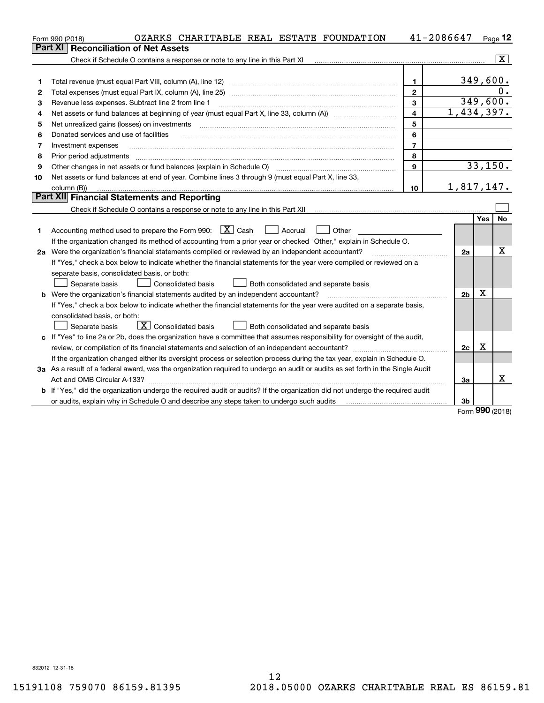|    | OZARKS CHARITABLE REAL ESTATE FOUNDATION<br>Form 990 (2018)                                                                                          |                         | 41-2086647     |             | Page $12$      |
|----|------------------------------------------------------------------------------------------------------------------------------------------------------|-------------------------|----------------|-------------|----------------|
|    | <b>Reconciliation of Net Assets</b><br>Part XI                                                                                                       |                         |                |             |                |
|    | Check if Schedule O contains a response or note to any line in this Part XI                                                                          |                         |                |             | $ \mathbf{X} $ |
|    |                                                                                                                                                      |                         |                |             |                |
| 1  | Total revenue (must equal Part VIII, column (A), line 12)                                                                                            | 1                       |                | 349,600.    |                |
| 2  |                                                                                                                                                      | $\mathbf{2}$            |                |             | 0.             |
| з  | Revenue less expenses. Subtract line 2 from line 1                                                                                                   | 3                       |                | 349, 600.   |                |
| 4  |                                                                                                                                                      | $\overline{\mathbf{4}}$ | 1,434,397.     |             |                |
| 5  | Net unrealized gains (losses) on investments                                                                                                         | 5                       |                |             |                |
| 6  | Donated services and use of facilities                                                                                                               | 6                       |                |             |                |
| 7  | Investment expenses                                                                                                                                  | $\overline{7}$          |                |             |                |
| 8  | Prior period adjustments                                                                                                                             | 8                       |                |             |                |
| 9  | Other changes in net assets or fund balances (explain in Schedule O) [11] manufacture changes in net assets or fund balances (explain in Schedule O) | 9                       |                | 33,150.     |                |
| 10 | Net assets or fund balances at end of year. Combine lines 3 through 9 (must equal Part X, line 33,                                                   |                         |                |             |                |
|    | column (B))                                                                                                                                          | 10                      | 1,817,147.     |             |                |
|    | Part XII Financial Statements and Reporting                                                                                                          |                         |                |             |                |
|    |                                                                                                                                                      |                         |                |             |                |
|    |                                                                                                                                                      |                         |                | Yes         | <b>No</b>      |
| 1  | Accounting method used to prepare the Form 990: $\boxed{X}$ Cash<br>Accrual<br>Other                                                                 |                         |                |             |                |
|    | If the organization changed its method of accounting from a prior year or checked "Other," explain in Schedule O.                                    |                         |                |             |                |
|    | 2a Were the organization's financial statements compiled or reviewed by an independent accountant?                                                   |                         | 2a             |             | Χ              |
|    | If "Yes," check a box below to indicate whether the financial statements for the year were compiled or reviewed on a                                 |                         |                |             |                |
|    | separate basis, consolidated basis, or both:                                                                                                         |                         |                |             |                |
|    | Separate basis<br>Consolidated basis<br>Both consolidated and separate basis                                                                         |                         |                |             |                |
|    | <b>b</b> Were the organization's financial statements audited by an independent accountant?                                                          |                         | 2 <sub>b</sub> | х           |                |
|    | If "Yes," check a box below to indicate whether the financial statements for the year were audited on a separate basis,                              |                         |                |             |                |
|    | consolidated basis, or both:                                                                                                                         |                         |                |             |                |
|    | $\mathbf{X}$ Consolidated basis<br>Separate basis<br>Both consolidated and separate basis                                                            |                         |                |             |                |
|    | c If "Yes" to line 2a or 2b, does the organization have a committee that assumes responsibility for oversight of the audit,                          |                         |                |             |                |
|    | review, or compilation of its financial statements and selection of an independent accountant?                                                       |                         | 2c             | $\mathbf X$ |                |
|    | If the organization changed either its oversight process or selection process during the tax year, explain in Schedule O.                            |                         |                |             |                |
|    | 3a As a result of a federal award, was the organization required to undergo an audit or audits as set forth in the Single Audit                      |                         |                |             |                |
|    | Act and OMB Circular A-133?                                                                                                                          |                         | За             |             | x              |
|    | b If "Yes," did the organization undergo the required audit or audits? If the organization did not undergo the required audit                        |                         |                |             |                |
|    | or audits, explain why in Schedule O and describe any steps taken to undergo such audits                                                             |                         | 3b             | $\Omega$    |                |

Form (2018) **990**

832012 12-31-18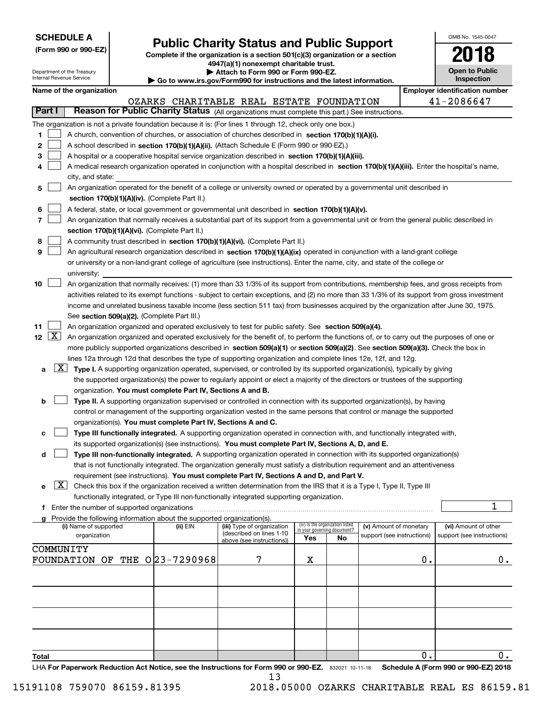| <b>SCHEDULE A</b> |
|-------------------|
|-------------------|

**(Form 990 or 990-EZ)**

# **Public Charity Status and Public Support**

**Complete if the organization is a section 501(c)(3) organization or a section 4947(a)(1) nonexempt charitable trust.**

| OMB No. 1545-0047                   |
|-------------------------------------|
| 2018                                |
| <b>Open to Public</b><br>Inspection |

|               |                       | Department of the Treasury<br>Internal Revenue Service |                                                      |                                                                        | Attach to Form 990 or Form 990-EZ.<br>$\blacktriangleright$ Go to www.irs.gov/Form990 for instructions and the latest information.            |                             |                                 |                                                      |    | <b>Open to Public</b><br><b>Inspection</b>         |
|---------------|-----------------------|--------------------------------------------------------|------------------------------------------------------|------------------------------------------------------------------------|-----------------------------------------------------------------------------------------------------------------------------------------------|-----------------------------|---------------------------------|------------------------------------------------------|----|----------------------------------------------------|
|               |                       | Name of the organization                               |                                                      |                                                                        |                                                                                                                                               |                             |                                 |                                                      |    | <b>Employer identification number</b>              |
|               |                       |                                                        |                                                      |                                                                        | OZARKS CHARITABLE REAL ESTATE FOUNDATION                                                                                                      |                             |                                 |                                                      |    | 41-2086647                                         |
| <b>Part I</b> |                       |                                                        |                                                      |                                                                        | Reason for Public Charity Status (All organizations must complete this part.) See instructions.                                               |                             |                                 |                                                      |    |                                                    |
|               |                       |                                                        |                                                      |                                                                        | The organization is not a private foundation because it is: (For lines 1 through 12, check only one box.)                                     |                             |                                 |                                                      |    |                                                    |
| 1             |                       |                                                        |                                                      |                                                                        | A church, convention of churches, or association of churches described in section 170(b)(1)(A)(i).                                            |                             |                                 |                                                      |    |                                                    |
| 2             |                       |                                                        |                                                      |                                                                        | A school described in section 170(b)(1)(A)(ii). (Attach Schedule E (Form 990 or 990-EZ).)                                                     |                             |                                 |                                                      |    |                                                    |
| 3             |                       |                                                        |                                                      |                                                                        | A hospital or a cooperative hospital service organization described in section 170(b)(1)(A)(iii).                                             |                             |                                 |                                                      |    |                                                    |
| 4             |                       |                                                        |                                                      |                                                                        | A medical research organization operated in conjunction with a hospital described in section 170(b)(1)(A)(iii). Enter the hospital's name,    |                             |                                 |                                                      |    |                                                    |
|               |                       | city, and state:                                       |                                                      |                                                                        |                                                                                                                                               |                             |                                 |                                                      |    |                                                    |
| 5             |                       |                                                        |                                                      |                                                                        | An organization operated for the benefit of a college or university owned or operated by a governmental unit described in                     |                             |                                 |                                                      |    |                                                    |
|               |                       |                                                        |                                                      | section 170(b)(1)(A)(iv). (Complete Part II.)                          |                                                                                                                                               |                             |                                 |                                                      |    |                                                    |
| 6             |                       |                                                        |                                                      |                                                                        | A federal, state, or local government or governmental unit described in section 170(b)(1)(A)(v).                                              |                             |                                 |                                                      |    |                                                    |
| 7             |                       |                                                        |                                                      |                                                                        | An organization that normally receives a substantial part of its support from a governmental unit or from the general public described in     |                             |                                 |                                                      |    |                                                    |
|               |                       |                                                        |                                                      | section 170(b)(1)(A)(vi). (Complete Part II.)                          |                                                                                                                                               |                             |                                 |                                                      |    |                                                    |
| 8             |                       |                                                        |                                                      |                                                                        | A community trust described in section 170(b)(1)(A)(vi). (Complete Part II.)                                                                  |                             |                                 |                                                      |    |                                                    |
| 9             |                       |                                                        |                                                      |                                                                        | An agricultural research organization described in section 170(b)(1)(A)(ix) operated in conjunction with a land-grant college                 |                             |                                 |                                                      |    |                                                    |
|               |                       |                                                        |                                                      |                                                                        | or university or a non-land-grant college of agriculture (see instructions). Enter the name, city, and state of the college or                |                             |                                 |                                                      |    |                                                    |
|               |                       | university:                                            |                                                      |                                                                        |                                                                                                                                               |                             |                                 |                                                      |    |                                                    |
| 10            |                       |                                                        |                                                      |                                                                        | An organization that normally receives: (1) more than 33 1/3% of its support from contributions, membership fees, and gross receipts from     |                             |                                 |                                                      |    |                                                    |
|               |                       |                                                        |                                                      |                                                                        | activities related to its exempt functions - subject to certain exceptions, and (2) no more than 33 1/3% of its support from gross investment |                             |                                 |                                                      |    |                                                    |
|               |                       |                                                        |                                                      |                                                                        | income and unrelated business taxable income (less section 511 tax) from businesses acquired by the organization after June 30, 1975.         |                             |                                 |                                                      |    |                                                    |
|               |                       |                                                        |                                                      | See section 509(a)(2). (Complete Part III.)                            |                                                                                                                                               |                             |                                 |                                                      |    |                                                    |
| 11            |                       |                                                        |                                                      |                                                                        | An organization organized and operated exclusively to test for public safety. See section 509(a)(4).                                          |                             |                                 |                                                      |    |                                                    |
|               | 12 $\boxed{\text{X}}$ |                                                        |                                                      |                                                                        | An organization organized and operated exclusively for the benefit of, to perform the functions of, or to carry out the purposes of one or    |                             |                                 |                                                      |    |                                                    |
|               |                       |                                                        |                                                      |                                                                        | more publicly supported organizations described in section 509(a)(1) or section 509(a)(2). See section 509(a)(3). Check the box in            |                             |                                 |                                                      |    |                                                    |
|               | $\lfloor x \rfloor$   |                                                        |                                                      |                                                                        | lines 12a through 12d that describes the type of supporting organization and complete lines 12e, 12f, and 12g.                                |                             |                                 |                                                      |    |                                                    |
| а             |                       |                                                        |                                                      |                                                                        | Type I. A supporting organization operated, supervised, or controlled by its supported organization(s), typically by giving                   |                             |                                 |                                                      |    |                                                    |
|               |                       |                                                        |                                                      |                                                                        | the supported organization(s) the power to regularly appoint or elect a majority of the directors or trustees of the supporting               |                             |                                 |                                                      |    |                                                    |
| b             |                       |                                                        |                                                      | organization. You must complete Part IV, Sections A and B.             | Type II. A supporting organization supervised or controlled in connection with its supported organization(s), by having                       |                             |                                 |                                                      |    |                                                    |
|               |                       |                                                        |                                                      |                                                                        | control or management of the supporting organization vested in the same persons that control or manage the supported                          |                             |                                 |                                                      |    |                                                    |
|               |                       |                                                        |                                                      | organization(s). You must complete Part IV, Sections A and C.          |                                                                                                                                               |                             |                                 |                                                      |    |                                                    |
| с             |                       |                                                        |                                                      |                                                                        | Type III functionally integrated. A supporting organization operated in connection with, and functionally integrated with,                    |                             |                                 |                                                      |    |                                                    |
|               |                       |                                                        |                                                      |                                                                        | its supported organization(s) (see instructions). You must complete Part IV, Sections A, D, and E.                                            |                             |                                 |                                                      |    |                                                    |
| d             |                       |                                                        |                                                      |                                                                        | Type III non-functionally integrated. A supporting organization operated in connection with its supported organization(s)                     |                             |                                 |                                                      |    |                                                    |
|               |                       |                                                        |                                                      |                                                                        | that is not functionally integrated. The organization generally must satisfy a distribution requirement and an attentiveness                  |                             |                                 |                                                      |    |                                                    |
|               |                       |                                                        |                                                      |                                                                        | requirement (see instructions). You must complete Part IV, Sections A and D, and Part V.                                                      |                             |                                 |                                                      |    |                                                    |
| е             | X                     |                                                        |                                                      |                                                                        | Check this box if the organization received a written determination from the IRS that it is a Type I, Type II, Type III                       |                             |                                 |                                                      |    |                                                    |
|               |                       |                                                        |                                                      |                                                                        | functionally integrated, or Type III non-functionally integrated supporting organization.                                                     |                             |                                 |                                                      |    |                                                    |
|               |                       |                                                        | <b>f</b> Enter the number of supported organizations |                                                                        |                                                                                                                                               |                             |                                 |                                                      |    | 1                                                  |
|               |                       |                                                        |                                                      | Provide the following information about the supported organization(s). |                                                                                                                                               |                             | (iv) Is the organization listed |                                                      |    |                                                    |
|               |                       | (i) Name of supported<br>organization                  |                                                      | (ii) EIN                                                               | (iii) Type of organization<br>(described on lines 1-10                                                                                        | in your governing document? |                                 | (v) Amount of monetary<br>support (see instructions) |    | (vi) Amount of other<br>support (see instructions) |
|               |                       |                                                        |                                                      |                                                                        | above (see instructions))                                                                                                                     | Yes                         | No                              |                                                      |    |                                                    |
|               |                       | COMMUNITY                                              |                                                      |                                                                        |                                                                                                                                               |                             |                                 |                                                      |    |                                                    |
|               |                       | FOUNDATION                                             | OF                                                   | THE 023-7290968                                                        | 7                                                                                                                                             | х                           |                                 |                                                      | 0. | $0$ .                                              |
|               |                       |                                                        |                                                      |                                                                        |                                                                                                                                               |                             |                                 |                                                      |    |                                                    |
|               |                       |                                                        |                                                      |                                                                        |                                                                                                                                               |                             |                                 |                                                      |    |                                                    |
|               |                       |                                                        |                                                      |                                                                        |                                                                                                                                               |                             |                                 |                                                      |    |                                                    |
|               |                       |                                                        |                                                      |                                                                        |                                                                                                                                               |                             |                                 |                                                      |    |                                                    |
|               |                       |                                                        |                                                      |                                                                        |                                                                                                                                               |                             |                                 |                                                      |    |                                                    |
|               |                       |                                                        |                                                      |                                                                        |                                                                                                                                               |                             |                                 |                                                      |    |                                                    |
|               |                       |                                                        |                                                      |                                                                        |                                                                                                                                               |                             |                                 |                                                      |    |                                                    |
| <b>Total</b>  |                       |                                                        |                                                      |                                                                        |                                                                                                                                               |                             |                                 |                                                      | 0. | $0_{.}$                                            |

LHA For Paperwork Reduction Act Notice, see the Instructions for Form 990 or 990-EZ. 832021 10-11-18 Schedule A (Form 990 or 990-EZ) 2018 13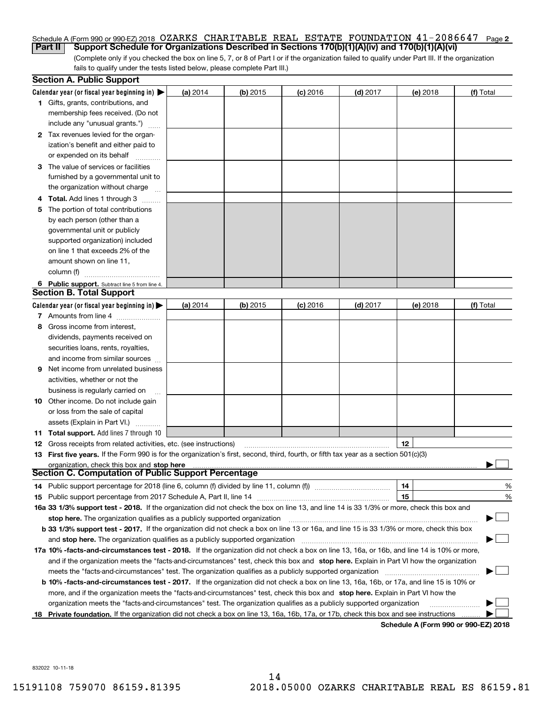#### Schedule A (Form 990 or 990-EZ) 2018 OZARKS CHARITABLE REAL ESTATE FOUNDATION 41-2086647 Page **2 Part II Support Schedule for Organizations Described in Sections 170(b)(1)(A)(iv) and 170(b)(1)(A)(vi)**

(Complete only if you checked the box on line 5, 7, or 8 of Part I or if the organization failed to qualify under Part III. If the organization fails to qualify under the tests listed below, please complete Part III.)

|    | <b>Section A. Public Support</b>                                                                                                               |          |            |            |            |          |                                      |
|----|------------------------------------------------------------------------------------------------------------------------------------------------|----------|------------|------------|------------|----------|--------------------------------------|
|    | Calendar year (or fiscal year beginning in) $\blacktriangleright$                                                                              | (a) 2014 | $(b)$ 2015 | $(c)$ 2016 | $(d)$ 2017 | (e) 2018 | (f) Total                            |
|    | <b>1</b> Gifts, grants, contributions, and                                                                                                     |          |            |            |            |          |                                      |
|    | membership fees received. (Do not                                                                                                              |          |            |            |            |          |                                      |
|    | include any "unusual grants.")                                                                                                                 |          |            |            |            |          |                                      |
|    | 2 Tax revenues levied for the organ-                                                                                                           |          |            |            |            |          |                                      |
|    | ization's benefit and either paid to                                                                                                           |          |            |            |            |          |                                      |
|    | or expended on its behalf                                                                                                                      |          |            |            |            |          |                                      |
|    | 3 The value of services or facilities                                                                                                          |          |            |            |            |          |                                      |
|    | furnished by a governmental unit to                                                                                                            |          |            |            |            |          |                                      |
|    | the organization without charge                                                                                                                |          |            |            |            |          |                                      |
|    | <b>4 Total.</b> Add lines 1 through 3                                                                                                          |          |            |            |            |          |                                      |
| 5. | The portion of total contributions                                                                                                             |          |            |            |            |          |                                      |
|    | by each person (other than a                                                                                                                   |          |            |            |            |          |                                      |
|    | governmental unit or publicly                                                                                                                  |          |            |            |            |          |                                      |
|    | supported organization) included                                                                                                               |          |            |            |            |          |                                      |
|    | on line 1 that exceeds 2% of the                                                                                                               |          |            |            |            |          |                                      |
|    | amount shown on line 11,                                                                                                                       |          |            |            |            |          |                                      |
|    | column (f)                                                                                                                                     |          |            |            |            |          |                                      |
|    | 6 Public support. Subtract line 5 from line 4.                                                                                                 |          |            |            |            |          |                                      |
|    | <b>Section B. Total Support</b>                                                                                                                |          |            |            |            |          |                                      |
|    | Calendar year (or fiscal year beginning in) $\blacktriangleright$                                                                              | (a) 2014 | $(b)$ 2015 | $(c)$ 2016 | $(d)$ 2017 | (e) 2018 | (f) Total                            |
|    | 7 Amounts from line 4                                                                                                                          |          |            |            |            |          |                                      |
| 8  | Gross income from interest,                                                                                                                    |          |            |            |            |          |                                      |
|    | dividends, payments received on                                                                                                                |          |            |            |            |          |                                      |
|    | securities loans, rents, royalties,                                                                                                            |          |            |            |            |          |                                      |
|    | and income from similar sources                                                                                                                |          |            |            |            |          |                                      |
| 9  | Net income from unrelated business                                                                                                             |          |            |            |            |          |                                      |
|    | activities, whether or not the                                                                                                                 |          |            |            |            |          |                                      |
|    | business is regularly carried on                                                                                                               |          |            |            |            |          |                                      |
|    | <b>10</b> Other income. Do not include gain                                                                                                    |          |            |            |            |          |                                      |
|    | or loss from the sale of capital                                                                                                               |          |            |            |            |          |                                      |
|    | assets (Explain in Part VI.)                                                                                                                   |          |            |            |            |          |                                      |
|    | 11 Total support. Add lines 7 through 10                                                                                                       |          |            |            |            |          |                                      |
|    | <b>12</b> Gross receipts from related activities, etc. (see instructions)                                                                      |          |            |            |            | 12       |                                      |
|    | 13 First five years. If the Form 990 is for the organization's first, second, third, fourth, or fifth tax year as a section 501(c)(3)          |          |            |            |            |          |                                      |
|    | organization, check this box and stop here                                                                                                     |          |            |            |            |          |                                      |
|    | Section C. Computation of Public Support Percentage                                                                                            |          |            |            |            |          |                                      |
|    | 14 Public support percentage for 2018 (line 6, column (f) divided by line 11, column (f) <i>mummumumumum</i>                                   |          |            |            |            | 14       | %                                    |
|    |                                                                                                                                                |          |            |            |            | 15       | %                                    |
|    | 16a 33 1/3% support test - 2018. If the organization did not check the box on line 13, and line 14 is 33 1/3% or more, check this box and      |          |            |            |            |          |                                      |
|    | stop here. The organization qualifies as a publicly supported organization                                                                     |          |            |            |            |          |                                      |
|    | b 33 1/3% support test - 2017. If the organization did not check a box on line 13 or 16a, and line 15 is 33 1/3% or more, check this box       |          |            |            |            |          |                                      |
|    | and stop here. The organization qualifies as a publicly supported organization                                                                 |          |            |            |            |          |                                      |
|    | 17a 10% -facts-and-circumstances test - 2018. If the organization did not check a box on line 13, 16a, or 16b, and line 14 is 10% or more,     |          |            |            |            |          |                                      |
|    | and if the organization meets the "facts-and-circumstances" test, check this box and stop here. Explain in Part VI how the organization        |          |            |            |            |          |                                      |
|    | meets the "facts-and-circumstances" test. The organization qualifies as a publicly supported organization                                      |          |            |            |            |          |                                      |
|    | <b>b 10% -facts-and-circumstances test - 2017.</b> If the organization did not check a box on line 13, 16a, 16b, or 17a, and line 15 is 10% or |          |            |            |            |          |                                      |
|    | more, and if the organization meets the "facts-and-circumstances" test, check this box and stop here. Explain in Part VI how the               |          |            |            |            |          |                                      |
|    | organization meets the "facts-and-circumstances" test. The organization qualifies as a publicly supported organization                         |          |            |            |            |          |                                      |
|    | 18 Private foundation. If the organization did not check a box on line 13, 16a, 16b, 17a, or 17b, check this box and see instructions          |          |            |            |            |          |                                      |
|    |                                                                                                                                                |          |            |            |            |          | Schedule A (Form 990 or 990-F7) 2018 |

**Schedule A (Form 990 or 990-EZ) 2018**

832022 10-11-18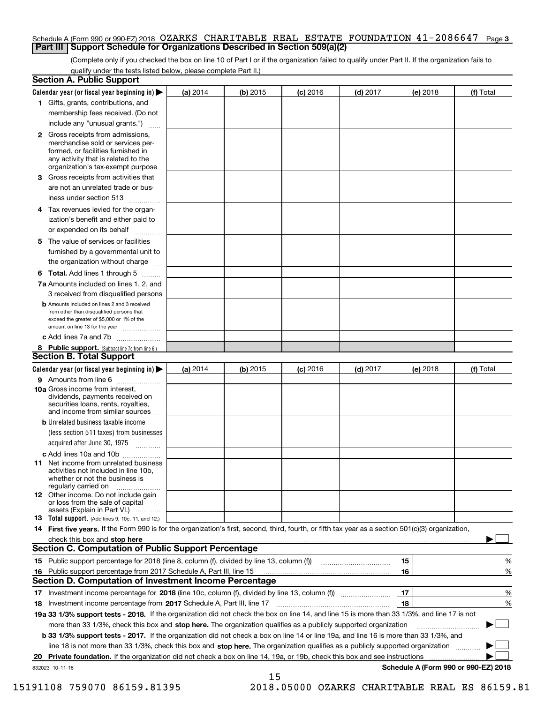#### Schedule A (Form 990 or 990-EZ) 2018 OZARKS CHARITABLE REAL ESTATE FOUNDATION 41-2086647 Page **3 Part III Support Schedule for Organizations Described in Section 509(a)(2)**

(Complete only if you checked the box on line 10 of Part I or if the organization failed to qualify under Part II. If the organization fails to qualify under the tests listed below, please complete Part II.)

| <b>Section A. Public Support</b>                                                                                                                                                                |            |            |            |            |          |                                      |
|-------------------------------------------------------------------------------------------------------------------------------------------------------------------------------------------------|------------|------------|------------|------------|----------|--------------------------------------|
| Calendar year (or fiscal year beginning in)                                                                                                                                                     | $(a)$ 2014 | $(b)$ 2015 | $(c)$ 2016 | $(d)$ 2017 | (e) 2018 | (f) Total                            |
| 1 Gifts, grants, contributions, and                                                                                                                                                             |            |            |            |            |          |                                      |
| membership fees received. (Do not                                                                                                                                                               |            |            |            |            |          |                                      |
| include any "unusual grants.")                                                                                                                                                                  |            |            |            |            |          |                                      |
| <b>2</b> Gross receipts from admissions,<br>merchandise sold or services per-<br>formed, or facilities furnished in<br>any activity that is related to the<br>organization's tax-exempt purpose |            |            |            |            |          |                                      |
| 3 Gross receipts from activities that<br>are not an unrelated trade or bus-                                                                                                                     |            |            |            |            |          |                                      |
| iness under section 513                                                                                                                                                                         |            |            |            |            |          |                                      |
| 4 Tax revenues levied for the organ-<br>ization's benefit and either paid to                                                                                                                    |            |            |            |            |          |                                      |
| or expended on its behalf                                                                                                                                                                       |            |            |            |            |          |                                      |
| 5 The value of services or facilities<br>furnished by a governmental unit to                                                                                                                    |            |            |            |            |          |                                      |
| the organization without charge                                                                                                                                                                 |            |            |            |            |          |                                      |
| <b>6 Total.</b> Add lines 1 through 5                                                                                                                                                           |            |            |            |            |          |                                      |
| 7a Amounts included on lines 1, 2, and<br>3 received from disqualified persons                                                                                                                  |            |            |            |            |          |                                      |
| <b>b</b> Amounts included on lines 2 and 3 received<br>from other than disqualified persons that<br>exceed the greater of \$5,000 or 1% of the<br>amount on line 13 for the year                |            |            |            |            |          |                                      |
| c Add lines 7a and 7b                                                                                                                                                                           |            |            |            |            |          |                                      |
| 8 Public support. (Subtract line 7c from line 6.)                                                                                                                                               |            |            |            |            |          |                                      |
| <b>Section B. Total Support</b>                                                                                                                                                                 |            |            |            |            |          |                                      |
| Calendar year (or fiscal year beginning in)                                                                                                                                                     | (a) $2014$ | (b) 2015   | $(c)$ 2016 | $(d)$ 2017 | (e) 2018 | (f) Total                            |
| 9 Amounts from line 6                                                                                                                                                                           |            |            |            |            |          |                                      |
| 10a Gross income from interest,<br>dividends, payments received on<br>securities loans, rents, royalties,<br>and income from similar sources                                                    |            |            |            |            |          |                                      |
| <b>b</b> Unrelated business taxable income<br>(less section 511 taxes) from businesses<br>acquired after June 30, 1975                                                                          |            |            |            |            |          |                                      |
| c Add lines 10a and 10b                                                                                                                                                                         |            |            |            |            |          |                                      |
| 11 Net income from unrelated business<br>activities not included in line 10b,<br>whether or not the business is<br>regularly carried on                                                         |            |            |            |            |          |                                      |
| <b>12</b> Other income. Do not include gain<br>or loss from the sale of capital<br>assets (Explain in Part VI.)                                                                                 |            |            |            |            |          |                                      |
| <b>13 Total support.</b> (Add lines 9, 10c, 11, and 12.)                                                                                                                                        |            |            |            |            |          |                                      |
| 14 First five years. If the Form 990 is for the organization's first, second, third, fourth, or fifth tax year as a section 501(c)(3) organization,                                             |            |            |            |            |          |                                      |
|                                                                                                                                                                                                 |            |            |            |            |          |                                      |
| Section C. Computation of Public Support Percentage                                                                                                                                             |            |            |            |            |          |                                      |
|                                                                                                                                                                                                 |            |            |            |            | 15       | %                                    |
| 16 Public support percentage from 2017 Schedule A, Part III, line 15                                                                                                                            |            |            |            |            | 16       | %                                    |
| <b>Section D. Computation of Investment Income Percentage</b>                                                                                                                                   |            |            |            |            |          |                                      |
| 17 Investment income percentage for 2018 (line 10c, column (f), divided by line 13, column (f))<br>18 Investment income percentage from 2017 Schedule A, Part III, line 17                      |            |            |            |            | 17<br>18 | %<br>%                               |
| 19a 33 1/3% support tests - 2018. If the organization did not check the box on line 14, and line 15 is more than 33 1/3%, and line 17 is not                                                    |            |            |            |            |          |                                      |
| more than 33 1/3%, check this box and stop here. The organization qualifies as a publicly supported organization                                                                                |            |            |            |            |          |                                      |
| <b>b 33 1/3% support tests - 2017.</b> If the organization did not check a box on line 14 or line 19a, and line 16 is more than 33 1/3%, and                                                    |            |            |            |            |          |                                      |
| line 18 is not more than 33 1/3%, check this box and stop here. The organization qualifies as a publicly supported organization                                                                 |            |            |            |            |          |                                      |
| <b>Private foundation.</b> If the organization did not check a box on line 14, 19a, or 19b, check this box and see instructions<br>20                                                           |            |            |            |            |          |                                      |
| 832023 10-11-18                                                                                                                                                                                 |            |            |            |            |          | Schedule A (Form 990 or 990-EZ) 2018 |
|                                                                                                                                                                                                 |            | 15         |            |            |          |                                      |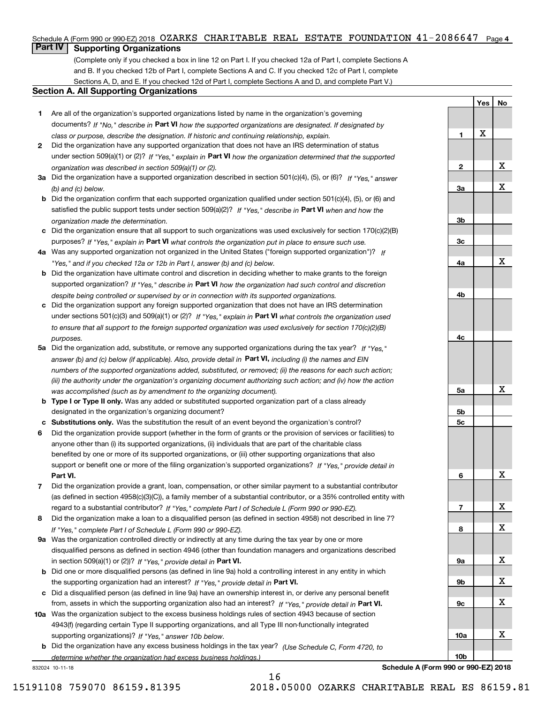#### Schedule A (Form 990 or 990-EZ) 2018 OZARKS CHARITABLE REAL ESTATE FOUNDATION  $41$  –  $2086647$  Page 4

## **Part IV Supporting Organizations**

(Complete only if you checked a box in line 12 on Part I. If you checked 12a of Part I, complete Sections A and B. If you checked 12b of Part I, complete Sections A and C. If you checked 12c of Part I, complete Sections A, D, and E. If you checked 12d of Part I, complete Sections A and D, and complete Part V.)

#### **Section A. All Supporting Organizations**

- **1** Are all of the organization's supported organizations listed by name in the organization's governing documents? If "No," describe in **Part VI** how the supported organizations are designated. If designated by *class or purpose, describe the designation. If historic and continuing relationship, explain.*
- **2** Did the organization have any supported organization that does not have an IRS determination of status under section 509(a)(1) or (2)? If "Yes," explain in Part VI how the organization determined that the supported *organization was described in section 509(a)(1) or (2).*
- **3a** Did the organization have a supported organization described in section 501(c)(4), (5), or (6)? If "Yes," answer *(b) and (c) below.*
- **b** Did the organization confirm that each supported organization qualified under section 501(c)(4), (5), or (6) and satisfied the public support tests under section 509(a)(2)? If "Yes," describe in **Part VI** when and how the *organization made the determination.*
- **c**Did the organization ensure that all support to such organizations was used exclusively for section 170(c)(2)(B) purposes? If "Yes," explain in **Part VI** what controls the organization put in place to ensure such use.
- **4a***If* Was any supported organization not organized in the United States ("foreign supported organization")? *"Yes," and if you checked 12a or 12b in Part I, answer (b) and (c) below.*
- **b** Did the organization have ultimate control and discretion in deciding whether to make grants to the foreign supported organization? If "Yes," describe in **Part VI** how the organization had such control and discretion *despite being controlled or supervised by or in connection with its supported organizations.*
- **c** Did the organization support any foreign supported organization that does not have an IRS determination under sections 501(c)(3) and 509(a)(1) or (2)? If "Yes," explain in **Part VI** what controls the organization used *to ensure that all support to the foreign supported organization was used exclusively for section 170(c)(2)(B) purposes.*
- **5a** Did the organization add, substitute, or remove any supported organizations during the tax year? If "Yes," answer (b) and (c) below (if applicable). Also, provide detail in **Part VI,** including (i) the names and EIN *numbers of the supported organizations added, substituted, or removed; (ii) the reasons for each such action; (iii) the authority under the organization's organizing document authorizing such action; and (iv) how the action was accomplished (such as by amendment to the organizing document).*
- **b** Type I or Type II only. Was any added or substituted supported organization part of a class already designated in the organization's organizing document?
- **cSubstitutions only.**  Was the substitution the result of an event beyond the organization's control?
- **6** Did the organization provide support (whether in the form of grants or the provision of services or facilities) to **Part VI.** *If "Yes," provide detail in* support or benefit one or more of the filing organization's supported organizations? anyone other than (i) its supported organizations, (ii) individuals that are part of the charitable class benefited by one or more of its supported organizations, or (iii) other supporting organizations that also
- **7**Did the organization provide a grant, loan, compensation, or other similar payment to a substantial contributor *If "Yes," complete Part I of Schedule L (Form 990 or 990-EZ).* regard to a substantial contributor? (as defined in section 4958(c)(3)(C)), a family member of a substantial contributor, or a 35% controlled entity with
- **8** Did the organization make a loan to a disqualified person (as defined in section 4958) not described in line 7? *If "Yes," complete Part I of Schedule L (Form 990 or 990-EZ).*
- **9a** Was the organization controlled directly or indirectly at any time during the tax year by one or more in section 509(a)(1) or (2))? If "Yes," *provide detail in* <code>Part VI.</code> disqualified persons as defined in section 4946 (other than foundation managers and organizations described
- **b** Did one or more disqualified persons (as defined in line 9a) hold a controlling interest in any entity in which the supporting organization had an interest? If "Yes," provide detail in P**art VI**.
- **c**Did a disqualified person (as defined in line 9a) have an ownership interest in, or derive any personal benefit from, assets in which the supporting organization also had an interest? If "Yes," provide detail in P**art VI.**
- **10a** Was the organization subject to the excess business holdings rules of section 4943 because of section supporting organizations)? If "Yes," answer 10b below. 4943(f) (regarding certain Type II supporting organizations, and all Type III non-functionally integrated
- **b** Did the organization have any excess business holdings in the tax year? (Use Schedule C, Form 4720, to *determine whether the organization had excess business holdings.)*

16

832024 10-11-18

**Schedule A (Form 990 or 990-EZ) 2018**

**Yes**

X

**1**

**2**

**3a**

**3b**

**3c**

**4a**

**4b**

**4c**

**5a**

**5b5c**

**6**

**7**

**8**

**9a**

**9b**

**9c**

**10a**

**10b**

**No**

X

X

X

X

X

X

X

X

X

X

X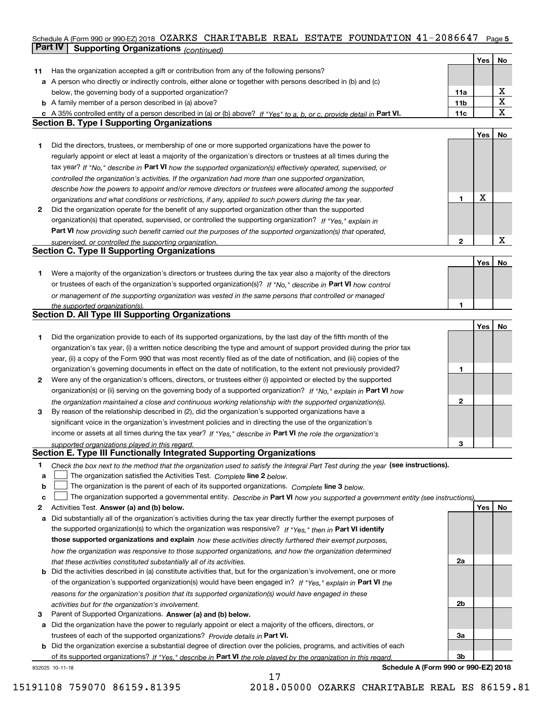## Schedule A (Form 990 or 990-EZ) 2018 OZARKS CHARITABLE REAL ESTATE FOUNDATION 41-2086647 Page 5 **Part IV** Supporting Organizations (*continued*)

|    |                                                                                                                                                                                                               |     | Yes | No |
|----|---------------------------------------------------------------------------------------------------------------------------------------------------------------------------------------------------------------|-----|-----|----|
| 11 | Has the organization accepted a gift or contribution from any of the following persons?                                                                                                                       |     |     |    |
|    | a A person who directly or indirectly controls, either alone or together with persons described in (b) and (c)                                                                                                |     |     |    |
|    | below, the governing body of a supported organization?                                                                                                                                                        | 11a |     | х  |
|    | <b>b</b> A family member of a person described in (a) above?                                                                                                                                                  | 11b |     | X  |
|    | c A 35% controlled entity of a person described in (a) or (b) above? If "Yes" to a, b, or c, provide detail in Part VI.                                                                                       | 11c |     | х  |
|    | <b>Section B. Type I Supporting Organizations</b>                                                                                                                                                             |     |     |    |
|    |                                                                                                                                                                                                               |     | Yes | No |
| 1  | Did the directors, trustees, or membership of one or more supported organizations have the power to                                                                                                           |     |     |    |
|    | regularly appoint or elect at least a majority of the organization's directors or trustees at all times during the                                                                                            |     |     |    |
|    | tax year? If "No," describe in Part VI how the supported organization(s) effectively operated, supervised, or                                                                                                 |     |     |    |
|    |                                                                                                                                                                                                               |     |     |    |
|    | controlled the organization's activities. If the organization had more than one supported organization,                                                                                                       |     |     |    |
|    | describe how the powers to appoint and/or remove directors or trustees were allocated among the supported                                                                                                     | 1   | X   |    |
| 2  | organizations and what conditions or restrictions, if any, applied to such powers during the tax year.<br>Did the organization operate for the benefit of any supported organization other than the supported |     |     |    |
|    |                                                                                                                                                                                                               |     |     |    |
|    | organization(s) that operated, supervised, or controlled the supporting organization? If "Yes," explain in                                                                                                    |     |     |    |
|    | Part VI how providing such benefit carried out the purposes of the supported organization(s) that operated,                                                                                                   | 2   |     | X  |
|    | supervised, or controlled the supporting organization.<br><b>Section C. Type II Supporting Organizations</b>                                                                                                  |     |     |    |
|    |                                                                                                                                                                                                               |     |     |    |
|    |                                                                                                                                                                                                               |     | Yes | No |
| 1  | Were a majority of the organization's directors or trustees during the tax year also a majority of the directors                                                                                              |     |     |    |
|    | or trustees of each of the organization's supported organization(s)? If "No," describe in Part VI how control                                                                                                 |     |     |    |
|    | or management of the supporting organization was vested in the same persons that controlled or managed                                                                                                        |     |     |    |
|    | the supported organization(s).<br><b>Section D. All Type III Supporting Organizations</b>                                                                                                                     | 1   |     |    |
|    |                                                                                                                                                                                                               |     |     |    |
|    |                                                                                                                                                                                                               |     | Yes | No |
| 1  | Did the organization provide to each of its supported organizations, by the last day of the fifth month of the                                                                                                |     |     |    |
|    | organization's tax year, (i) a written notice describing the type and amount of support provided during the prior tax                                                                                         |     |     |    |
|    | year, (ii) a copy of the Form 990 that was most recently filed as of the date of notification, and (iii) copies of the                                                                                        |     |     |    |
|    | organization's governing documents in effect on the date of notification, to the extent not previously provided?                                                                                              | 1   |     |    |
| 2  | Were any of the organization's officers, directors, or trustees either (i) appointed or elected by the supported                                                                                              |     |     |    |
|    | organization(s) or (ii) serving on the governing body of a supported organization? If "No," explain in Part VI how                                                                                            |     |     |    |
|    | the organization maintained a close and continuous working relationship with the supported organization(s).                                                                                                   | 2   |     |    |
| 3  | By reason of the relationship described in (2), did the organization's supported organizations have a                                                                                                         |     |     |    |
|    | significant voice in the organization's investment policies and in directing the use of the organization's                                                                                                    |     |     |    |
|    | income or assets at all times during the tax year? If "Yes," describe in Part VI the role the organization's                                                                                                  |     |     |    |
|    | supported organizations played in this regard.<br>Section E. Type III Functionally Integrated Supporting Organizations                                                                                        | З   |     |    |
|    |                                                                                                                                                                                                               |     |     |    |
| 1  | Check the box next to the method that the organization used to satisfy the Integral Part Test during the year (see instructions).                                                                             |     |     |    |
| a  | The organization satisfied the Activities Test. Complete line 2 below.                                                                                                                                        |     |     |    |
| b  | The organization is the parent of each of its supported organizations. Complete line 3 below.                                                                                                                 |     |     |    |
| c  | The organization supported a governmental entity. Describe in Part VI how you supported a government entity (see instructions)                                                                                |     |     |    |
| 2  | Activities Test. Answer (a) and (b) below.                                                                                                                                                                    |     | Yes | No |
| а  | Did substantially all of the organization's activities during the tax year directly further the exempt purposes of                                                                                            |     |     |    |
|    | the supported organization(s) to which the organization was responsive? If "Yes," then in Part VI identify                                                                                                    |     |     |    |
|    | those supported organizations and explain how these activities directly furthered their exempt purposes,                                                                                                      |     |     |    |
|    | how the organization was responsive to those supported organizations, and how the organization determined                                                                                                     |     |     |    |
|    | that these activities constituted substantially all of its activities.                                                                                                                                        | 2a  |     |    |
| b  | Did the activities described in (a) constitute activities that, but for the organization's involvement, one or more                                                                                           |     |     |    |
|    | of the organization's supported organization(s) would have been engaged in? If "Yes," explain in Part VI the                                                                                                  |     |     |    |
|    | reasons for the organization's position that its supported organization(s) would have engaged in these                                                                                                        |     |     |    |
|    | activities but for the organization's involvement.                                                                                                                                                            | 2b  |     |    |
| з  | Parent of Supported Organizations. Answer (a) and (b) below.                                                                                                                                                  |     |     |    |
| а  | Did the organization have the power to regularly appoint or elect a majority of the officers, directors, or                                                                                                   |     |     |    |
|    | trustees of each of the supported organizations? Provide details in Part VI.                                                                                                                                  | За  |     |    |
|    | <b>b</b> Did the organization exercise a substantial degree of direction over the policies, programs, and activities of each                                                                                  |     |     |    |
|    | of its supported organizations? If "Yes," describe in Part VI the role played by the organization in this regard                                                                                              | Зb  |     |    |
|    | Schedule A (Form 990 or 990-EZ) 2018<br>832025 10-11-18                                                                                                                                                       |     |     |    |

17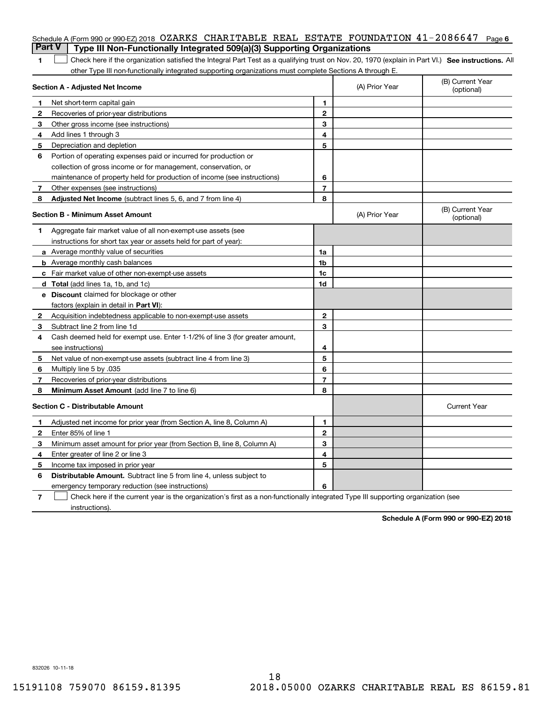| <b>Part V</b> | Schedule A (Form 990 or 990-EZ) 2018 OZARKS CHARITABLE REAL ESTATE FOUNDATION $41\text{--}2086647$<br>Type III Non-Functionally Integrated 509(a)(3) Supporting Organizations |                |                | Page 6                         |
|---------------|-------------------------------------------------------------------------------------------------------------------------------------------------------------------------------|----------------|----------------|--------------------------------|
| 1             | Check here if the organization satisfied the Integral Part Test as a qualifying trust on Nov. 20, 1970 (explain in Part VI.) See instructions. Al                             |                |                |                                |
|               | other Type III non-functionally integrated supporting organizations must complete Sections A through E.                                                                       |                |                |                                |
|               | Section A - Adjusted Net Income                                                                                                                                               |                | (A) Prior Year | (B) Current Year<br>(optional) |
| 1             | Net short-term capital gain                                                                                                                                                   | 1.             |                |                                |
| 2             | Recoveries of prior-year distributions                                                                                                                                        | $\mathbf{2}$   |                |                                |
| 3             | Other gross income (see instructions)                                                                                                                                         | 3              |                |                                |
| 4             | Add lines 1 through 3                                                                                                                                                         | 4              |                |                                |
| 5             | Depreciation and depletion                                                                                                                                                    | 5              |                |                                |
| 6             | Portion of operating expenses paid or incurred for production or                                                                                                              |                |                |                                |
|               | collection of gross income or for management, conservation, or                                                                                                                |                |                |                                |
|               | maintenance of property held for production of income (see instructions)                                                                                                      | 6              |                |                                |
| 7             | Other expenses (see instructions)                                                                                                                                             | $\overline{7}$ |                |                                |
| 8             | Adjusted Net Income (subtract lines 5, 6, and 7 from line 4)                                                                                                                  | 8              |                |                                |
|               | Section B - Minimum Asset Amount                                                                                                                                              |                | (A) Prior Year | (B) Current Year<br>(optional) |
| 1             | Aggregate fair market value of all non-exempt-use assets (see                                                                                                                 |                |                |                                |
|               | instructions for short tax year or assets held for part of year):                                                                                                             |                |                |                                |
|               | <b>a</b> Average monthly value of securities                                                                                                                                  | 1a             |                |                                |
|               | <b>b</b> Average monthly cash balances                                                                                                                                        | 1b             |                |                                |
|               | <b>c</b> Fair market value of other non-exempt-use assets                                                                                                                     | 1c             |                |                                |
|               | d Total (add lines 1a, 1b, and 1c)                                                                                                                                            | 1d             |                |                                |
|               | <b>e</b> Discount claimed for blockage or other                                                                                                                               |                |                |                                |
|               | factors (explain in detail in Part VI):                                                                                                                                       |                |                |                                |
| 2             | Acquisition indebtedness applicable to non-exempt-use assets                                                                                                                  | $\mathbf{2}$   |                |                                |
| 3             | Subtract line 2 from line 1d                                                                                                                                                  | 3              |                |                                |
| 4             | Cash deemed held for exempt use. Enter 1-1/2% of line 3 (for greater amount,                                                                                                  |                |                |                                |
|               | see instructions)                                                                                                                                                             | 4              |                |                                |
| 5             | Net value of non-exempt-use assets (subtract line 4 from line 3)                                                                                                              | 5              |                |                                |
| 6             | Multiply line 5 by .035                                                                                                                                                       | 6              |                |                                |
| 7             | Recoveries of prior-year distributions                                                                                                                                        | $\overline{7}$ |                |                                |
| 8             | Minimum Asset Amount (add line 7 to line 6)                                                                                                                                   | 8              |                |                                |
|               | <b>Section C - Distributable Amount</b>                                                                                                                                       |                |                | <b>Current Year</b>            |
|               | Adjusted net income for prior year (from Section A, line 8, Column A)                                                                                                         | 1              |                |                                |
|               | Enter 85% of line 1                                                                                                                                                           | 2              |                |                                |
| 3             | Minimum asset amount for prior year (from Section B, line 8, Column A)                                                                                                        | 3              |                |                                |
| 4             | Enter greater of line 2 or line 3                                                                                                                                             | 4              |                |                                |
| 5             | Income tax imposed in prior year                                                                                                                                              | 5              |                |                                |
| 6             | <b>Distributable Amount.</b> Subtract line 5 from line 4, unless subject to                                                                                                   |                |                |                                |
|               | emergency temporary reduction (see instructions)                                                                                                                              | 6              |                |                                |
| 7             | Check here if the current year is the organization's first as a non-functionally integrated Type III supporting organization (see                                             |                |                |                                |

**Schedule A (Form 990 or 990-EZ) 2018**

832026 10-11-18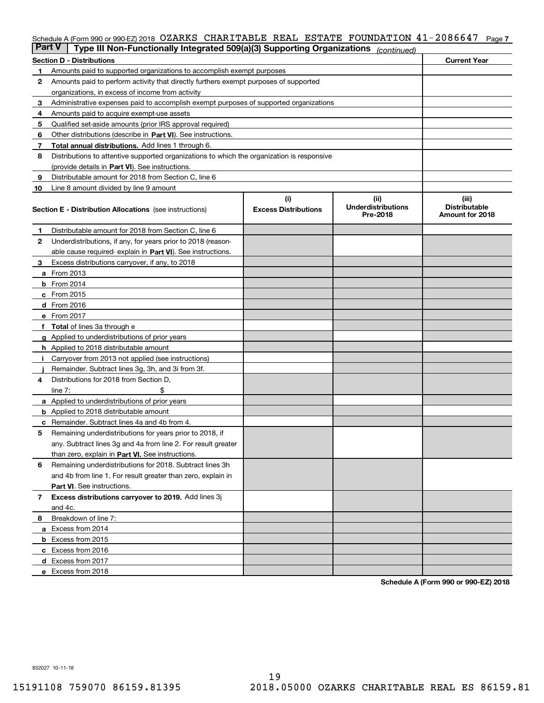#### Schedule A (Form 990 or 990-EZ) 2018 OZARKS CHARITABLE REAL ESTATE FOUNDATION 41-2086647 Page 7

| <b>Part V</b> | Type III Non-Functionally Integrated 509(a)(3) Supporting Organizations                                                   |                                    | (continued)                                   |                                                  |  |  |  |  |  |  |  |  |
|---------------|---------------------------------------------------------------------------------------------------------------------------|------------------------------------|-----------------------------------------------|--------------------------------------------------|--|--|--|--|--|--|--|--|
|               | <b>Section D - Distributions</b>                                                                                          |                                    |                                               | <b>Current Year</b>                              |  |  |  |  |  |  |  |  |
| 1             | Amounts paid to supported organizations to accomplish exempt purposes                                                     |                                    |                                               |                                                  |  |  |  |  |  |  |  |  |
| 2             | Amounts paid to perform activity that directly furthers exempt purposes of supported                                      |                                    |                                               |                                                  |  |  |  |  |  |  |  |  |
|               | organizations, in excess of income from activity                                                                          |                                    |                                               |                                                  |  |  |  |  |  |  |  |  |
| 3             | Administrative expenses paid to accomplish exempt purposes of supported organizations                                     |                                    |                                               |                                                  |  |  |  |  |  |  |  |  |
| 4             | Amounts paid to acquire exempt-use assets                                                                                 |                                    |                                               |                                                  |  |  |  |  |  |  |  |  |
| 5             | Qualified set-aside amounts (prior IRS approval required)                                                                 |                                    |                                               |                                                  |  |  |  |  |  |  |  |  |
| 6             | Other distributions (describe in Part VI). See instructions.                                                              |                                    |                                               |                                                  |  |  |  |  |  |  |  |  |
| 7             | <b>Total annual distributions.</b> Add lines 1 through 6.                                                                 |                                    |                                               |                                                  |  |  |  |  |  |  |  |  |
| 8             | Distributions to attentive supported organizations to which the organization is responsive                                |                                    |                                               |                                                  |  |  |  |  |  |  |  |  |
|               | (provide details in Part VI). See instructions.                                                                           |                                    |                                               |                                                  |  |  |  |  |  |  |  |  |
| 9             | Distributable amount for 2018 from Section C, line 6                                                                      |                                    |                                               |                                                  |  |  |  |  |  |  |  |  |
| 10            | Line 8 amount divided by line 9 amount                                                                                    |                                    |                                               |                                                  |  |  |  |  |  |  |  |  |
|               | <b>Section E - Distribution Allocations</b> (see instructions)                                                            | (i)<br><b>Excess Distributions</b> | (ii)<br><b>Underdistributions</b><br>Pre-2018 | (iii)<br><b>Distributable</b><br>Amount for 2018 |  |  |  |  |  |  |  |  |
| 1             | Distributable amount for 2018 from Section C, line 6                                                                      |                                    |                                               |                                                  |  |  |  |  |  |  |  |  |
| 2             | Underdistributions, if any, for years prior to 2018 (reason-                                                              |                                    |                                               |                                                  |  |  |  |  |  |  |  |  |
|               | able cause required- explain in Part VI). See instructions.                                                               |                                    |                                               |                                                  |  |  |  |  |  |  |  |  |
| З             | Excess distributions carryover, if any, to 2018                                                                           |                                    |                                               |                                                  |  |  |  |  |  |  |  |  |
|               | <b>a</b> From 2013                                                                                                        |                                    |                                               |                                                  |  |  |  |  |  |  |  |  |
|               | $b$ From 2014                                                                                                             |                                    |                                               |                                                  |  |  |  |  |  |  |  |  |
|               | $c$ From 2015                                                                                                             |                                    |                                               |                                                  |  |  |  |  |  |  |  |  |
|               | d From 2016                                                                                                               |                                    |                                               |                                                  |  |  |  |  |  |  |  |  |
|               | e From 2017                                                                                                               |                                    |                                               |                                                  |  |  |  |  |  |  |  |  |
|               | Total of lines 3a through e                                                                                               |                                    |                                               |                                                  |  |  |  |  |  |  |  |  |
| g             | Applied to underdistributions of prior years                                                                              |                                    |                                               |                                                  |  |  |  |  |  |  |  |  |
|               | <b>h</b> Applied to 2018 distributable amount                                                                             |                                    |                                               |                                                  |  |  |  |  |  |  |  |  |
|               | Carryover from 2013 not applied (see instructions)                                                                        |                                    |                                               |                                                  |  |  |  |  |  |  |  |  |
|               | Remainder. Subtract lines 3g, 3h, and 3i from 3f.                                                                         |                                    |                                               |                                                  |  |  |  |  |  |  |  |  |
| 4             | Distributions for 2018 from Section D,                                                                                    |                                    |                                               |                                                  |  |  |  |  |  |  |  |  |
|               | line $7:$                                                                                                                 |                                    |                                               |                                                  |  |  |  |  |  |  |  |  |
|               | <b>a</b> Applied to underdistributions of prior years                                                                     |                                    |                                               |                                                  |  |  |  |  |  |  |  |  |
|               | <b>b</b> Applied to 2018 distributable amount                                                                             |                                    |                                               |                                                  |  |  |  |  |  |  |  |  |
|               | c Remainder. Subtract lines 4a and 4b from 4.                                                                             |                                    |                                               |                                                  |  |  |  |  |  |  |  |  |
| 5             | Remaining underdistributions for years prior to 2018, if<br>any. Subtract lines 3g and 4a from line 2. For result greater |                                    |                                               |                                                  |  |  |  |  |  |  |  |  |
|               |                                                                                                                           |                                    |                                               |                                                  |  |  |  |  |  |  |  |  |
| 6             | than zero, explain in Part VI. See instructions.<br>Remaining underdistributions for 2018. Subtract lines 3h              |                                    |                                               |                                                  |  |  |  |  |  |  |  |  |
|               | and 4b from line 1. For result greater than zero, explain in                                                              |                                    |                                               |                                                  |  |  |  |  |  |  |  |  |
|               | Part VI. See instructions.                                                                                                |                                    |                                               |                                                  |  |  |  |  |  |  |  |  |
| 7             | Excess distributions carryover to 2019. Add lines 3j                                                                      |                                    |                                               |                                                  |  |  |  |  |  |  |  |  |
|               | and 4c.                                                                                                                   |                                    |                                               |                                                  |  |  |  |  |  |  |  |  |
| 8             | Breakdown of line 7:                                                                                                      |                                    |                                               |                                                  |  |  |  |  |  |  |  |  |
|               | a Excess from 2014                                                                                                        |                                    |                                               |                                                  |  |  |  |  |  |  |  |  |
|               | <b>b</b> Excess from 2015                                                                                                 |                                    |                                               |                                                  |  |  |  |  |  |  |  |  |
|               | c Excess from 2016                                                                                                        |                                    |                                               |                                                  |  |  |  |  |  |  |  |  |
|               | d Excess from 2017                                                                                                        |                                    |                                               |                                                  |  |  |  |  |  |  |  |  |
|               | e Excess from 2018                                                                                                        |                                    |                                               |                                                  |  |  |  |  |  |  |  |  |
|               |                                                                                                                           |                                    |                                               |                                                  |  |  |  |  |  |  |  |  |

**Schedule A (Form 990 or 990-EZ) 2018**

832027 10-11-18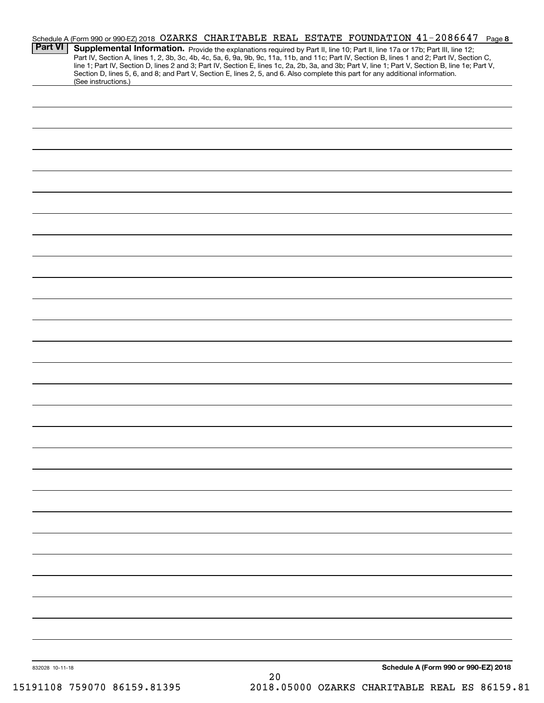| <b>Part VI</b>  | Schedule A (Form 990 or 990-EZ) 2018 OZARKS CHARITABLE REAL ESTATE FOUNDATION 41-2086647 Page 8<br>Supplemental Information. Provide the explanations required by Part II, line 10; Part II, line 17a or 17b; Part III, line 12;<br>Part IV, Section A, lines 1, 2, 3b, 3c, 4b, 4c, 5a, 6, 9a, 9b, 9c, 11a, 11b, and 11c; Part IV, Section B, lines 1 and 2; Part IV, Section C,<br>line 1; Part IV, Section D, lines 2 and 3; Part IV, Section E, lines 1c, 2a, 2b, 3a, and 3b; Part V, line 1; Part V, Section B, line 1e; Part V,<br>Section D, lines 5, 6, and 8; and Part V, Section E, lines 2, 5, and 6. Also complete this part for any additional information.<br>(See instructions.) |                                      |
|-----------------|------------------------------------------------------------------------------------------------------------------------------------------------------------------------------------------------------------------------------------------------------------------------------------------------------------------------------------------------------------------------------------------------------------------------------------------------------------------------------------------------------------------------------------------------------------------------------------------------------------------------------------------------------------------------------------------------|--------------------------------------|
|                 |                                                                                                                                                                                                                                                                                                                                                                                                                                                                                                                                                                                                                                                                                                |                                      |
|                 |                                                                                                                                                                                                                                                                                                                                                                                                                                                                                                                                                                                                                                                                                                |                                      |
|                 |                                                                                                                                                                                                                                                                                                                                                                                                                                                                                                                                                                                                                                                                                                |                                      |
|                 |                                                                                                                                                                                                                                                                                                                                                                                                                                                                                                                                                                                                                                                                                                |                                      |
|                 |                                                                                                                                                                                                                                                                                                                                                                                                                                                                                                                                                                                                                                                                                                |                                      |
|                 |                                                                                                                                                                                                                                                                                                                                                                                                                                                                                                                                                                                                                                                                                                |                                      |
|                 |                                                                                                                                                                                                                                                                                                                                                                                                                                                                                                                                                                                                                                                                                                |                                      |
|                 |                                                                                                                                                                                                                                                                                                                                                                                                                                                                                                                                                                                                                                                                                                |                                      |
|                 |                                                                                                                                                                                                                                                                                                                                                                                                                                                                                                                                                                                                                                                                                                |                                      |
|                 |                                                                                                                                                                                                                                                                                                                                                                                                                                                                                                                                                                                                                                                                                                |                                      |
|                 |                                                                                                                                                                                                                                                                                                                                                                                                                                                                                                                                                                                                                                                                                                |                                      |
|                 |                                                                                                                                                                                                                                                                                                                                                                                                                                                                                                                                                                                                                                                                                                |                                      |
|                 |                                                                                                                                                                                                                                                                                                                                                                                                                                                                                                                                                                                                                                                                                                |                                      |
|                 |                                                                                                                                                                                                                                                                                                                                                                                                                                                                                                                                                                                                                                                                                                |                                      |
|                 |                                                                                                                                                                                                                                                                                                                                                                                                                                                                                                                                                                                                                                                                                                |                                      |
|                 |                                                                                                                                                                                                                                                                                                                                                                                                                                                                                                                                                                                                                                                                                                |                                      |
|                 |                                                                                                                                                                                                                                                                                                                                                                                                                                                                                                                                                                                                                                                                                                |                                      |
|                 |                                                                                                                                                                                                                                                                                                                                                                                                                                                                                                                                                                                                                                                                                                |                                      |
|                 |                                                                                                                                                                                                                                                                                                                                                                                                                                                                                                                                                                                                                                                                                                |                                      |
|                 |                                                                                                                                                                                                                                                                                                                                                                                                                                                                                                                                                                                                                                                                                                |                                      |
|                 |                                                                                                                                                                                                                                                                                                                                                                                                                                                                                                                                                                                                                                                                                                |                                      |
|                 |                                                                                                                                                                                                                                                                                                                                                                                                                                                                                                                                                                                                                                                                                                |                                      |
|                 |                                                                                                                                                                                                                                                                                                                                                                                                                                                                                                                                                                                                                                                                                                |                                      |
|                 |                                                                                                                                                                                                                                                                                                                                                                                                                                                                                                                                                                                                                                                                                                |                                      |
|                 |                                                                                                                                                                                                                                                                                                                                                                                                                                                                                                                                                                                                                                                                                                |                                      |
| 832028 10-11-18 | $20$                                                                                                                                                                                                                                                                                                                                                                                                                                                                                                                                                                                                                                                                                           | Schedule A (Form 990 or 990-EZ) 2018 |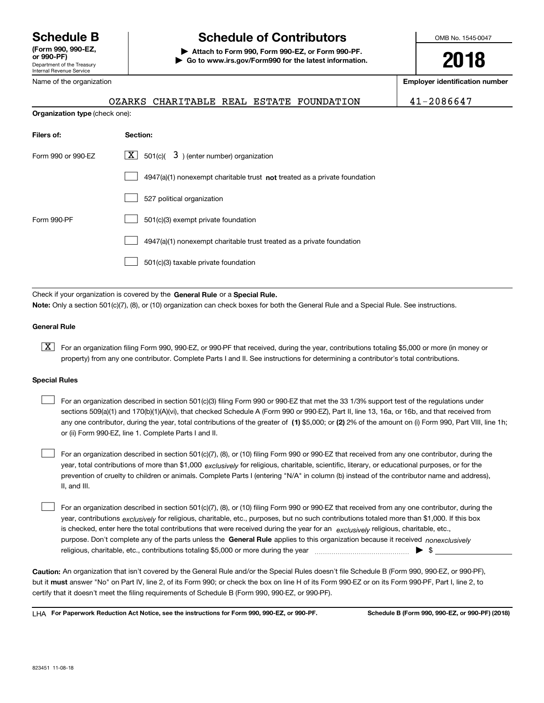Department of the Treasury Internal Revenue Service **(Form 990, 990-EZ, or 990-PF)** Name of the organization

# **Schedule B Schedule of Contributors**

**| Attach to Form 990, Form 990-EZ, or Form 990-PF. | Go to www.irs.gov/Form990 for the latest information.** OMB No. 1545-0047

**2018**

**Employer identification number**

| -2086647 |  |
|----------|--|
|----------|--|

|  | OZARKS CHARITABLE REAL ESTATE FOUNDATION |  |  |
|--|------------------------------------------|--|--|

**Organization type** (check one):

| Filers of:         | Section:                                                                    |
|--------------------|-----------------------------------------------------------------------------|
| Form 990 or 990-EZ | $\lfloor x \rfloor$ 501(c)( 3) (enter number) organization                  |
|                    | $4947(a)(1)$ nonexempt charitable trust not treated as a private foundation |
|                    | 527 political organization                                                  |
| Form 990-PF        | 501(c)(3) exempt private foundation                                         |
|                    | 4947(a)(1) nonexempt charitable trust treated as a private foundation       |
|                    | 501(c)(3) taxable private foundation                                        |
|                    |                                                                             |

Check if your organization is covered by the **General Rule** or a **Special Rule. Note:**  Only a section 501(c)(7), (8), or (10) organization can check boxes for both the General Rule and a Special Rule. See instructions.

#### **General Rule**

 $\boxed{\textbf{X}}$  For an organization filing Form 990, 990-EZ, or 990-PF that received, during the year, contributions totaling \$5,000 or more (in money or property) from any one contributor. Complete Parts I and II. See instructions for determining a contributor's total contributions.

#### **Special Rules**

| For an organization described in section 501(c)(3) filing Form 990 or 990-EZ that met the 33 1/3% support test of the regulations under               |
|-------------------------------------------------------------------------------------------------------------------------------------------------------|
| sections 509(a)(1) and 170(b)(1)(A)(vi), that checked Schedule A (Form 990 or 990-EZ), Part II, line 13, 16a, or 16b, and that received from          |
| any one contributor, during the year, total contributions of the greater of (1) \$5,000; or (2) 2% of the amount on (i) Form 990, Part VIII, line 1h; |
| or (ii) Form 990-EZ, line 1. Complete Parts I and II.                                                                                                 |

year, total contributions of more than \$1,000 *exclusively* for religious, charitable, scientific, literary, or educational purposes, or for the For an organization described in section 501(c)(7), (8), or (10) filing Form 990 or 990-EZ that received from any one contributor, during the prevention of cruelty to children or animals. Complete Parts I (entering "N/A" in column (b) instead of the contributor name and address), II, and III.  $\mathcal{L}^{\text{max}}$ 

purpose. Don't complete any of the parts unless the **General Rule** applies to this organization because it received *nonexclusively* year, contributions <sub>exclusively</sub> for religious, charitable, etc., purposes, but no such contributions totaled more than \$1,000. If this box is checked, enter here the total contributions that were received during the year for an  $\;$ exclusively religious, charitable, etc., For an organization described in section 501(c)(7), (8), or (10) filing Form 990 or 990-EZ that received from any one contributor, during the religious, charitable, etc., contributions totaling \$5,000 or more during the year  $\Box$ — $\Box$   $\Box$  $\mathcal{L}^{\text{max}}$ 

**Caution:**  An organization that isn't covered by the General Rule and/or the Special Rules doesn't file Schedule B (Form 990, 990-EZ, or 990-PF),  **must** but it answer "No" on Part IV, line 2, of its Form 990; or check the box on line H of its Form 990-EZ or on its Form 990-PF, Part I, line 2, to certify that it doesn't meet the filing requirements of Schedule B (Form 990, 990-EZ, or 990-PF).

**For Paperwork Reduction Act Notice, see the instructions for Form 990, 990-EZ, or 990-PF. Schedule B (Form 990, 990-EZ, or 990-PF) (2018)** LHA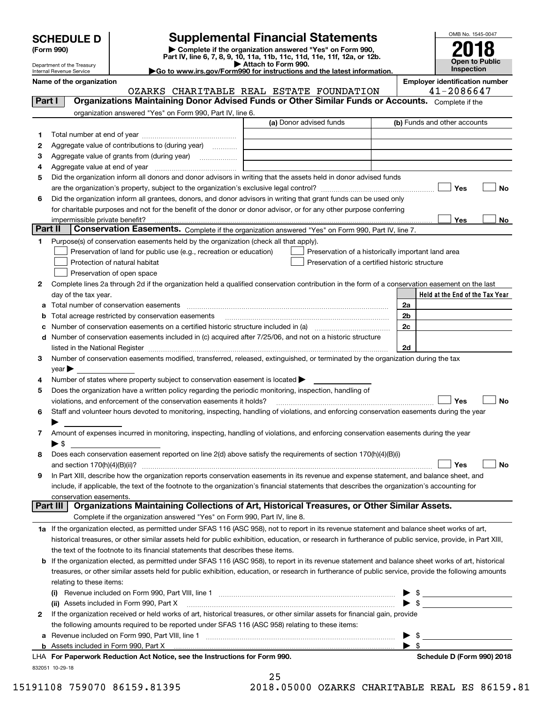| <b>SCHEDULE D</b> |  |
|-------------------|--|
|-------------------|--|

Department of the Treasury Internal Revenue Service

| (Form 990) |  |
|------------|--|
|------------|--|

# **Supplemental Financial Statements**

(Form 990)<br>
Pepartment of the Treasury<br>
Department of the Treasury<br>
Department of the Treasury<br>
Department of the Treasury<br> **Co to www.irs.gov/Form990 for instructions and the latest information.**<br> **Co to www.irs.gov/Form9** 

|  |  |  | ►Go to www.irs.gov/Form990 for instructions and the latest informati |  |  |  |
|--|--|--|----------------------------------------------------------------------|--|--|--|
|  |  |  |                                                                      |  |  |  |



|  | Name of the organization |  |  |  |  |  |  |
|--|--------------------------|--|--|--|--|--|--|
|--|--------------------------|--|--|--|--|--|--|

OZARKS CHARITABLE REAL ESTATE FOUNDATION

**Employer identification number**<br> $41 - 2086647$ 

| Part I   | Organizations Maintaining Donor Advised Funds or Other Similar Funds or Accounts. Complete if the                                                                                                                                                                                                                                                                 |                                                    |                                 |
|----------|-------------------------------------------------------------------------------------------------------------------------------------------------------------------------------------------------------------------------------------------------------------------------------------------------------------------------------------------------------------------|----------------------------------------------------|---------------------------------|
|          | organization answered "Yes" on Form 990, Part IV, line 6.                                                                                                                                                                                                                                                                                                         |                                                    |                                 |
|          |                                                                                                                                                                                                                                                                                                                                                                   | (a) Donor advised funds                            | (b) Funds and other accounts    |
| 1.       |                                                                                                                                                                                                                                                                                                                                                                   |                                                    |                                 |
| 2        | Aggregate value of contributions to (during year)                                                                                                                                                                                                                                                                                                                 |                                                    |                                 |
| з        | Aggregate value of grants from (during year)                                                                                                                                                                                                                                                                                                                      |                                                    |                                 |
| 4        |                                                                                                                                                                                                                                                                                                                                                                   |                                                    |                                 |
| 5        | Did the organization inform all donors and donor advisors in writing that the assets held in donor advised funds                                                                                                                                                                                                                                                  |                                                    |                                 |
|          |                                                                                                                                                                                                                                                                                                                                                                   |                                                    | Yes<br>No                       |
| 6        | Did the organization inform all grantees, donors, and donor advisors in writing that grant funds can be used only                                                                                                                                                                                                                                                 |                                                    |                                 |
|          | for charitable purposes and not for the benefit of the donor or donor advisor, or for any other purpose conferring                                                                                                                                                                                                                                                |                                                    |                                 |
|          | impermissible private benefit?                                                                                                                                                                                                                                                                                                                                    |                                                    | Yes<br>No.                      |
| Part II  | Conservation Easements. Complete if the organization answered "Yes" on Form 990, Part IV, line 7.                                                                                                                                                                                                                                                                 |                                                    |                                 |
| 1        | Purpose(s) of conservation easements held by the organization (check all that apply).                                                                                                                                                                                                                                                                             |                                                    |                                 |
|          | Preservation of land for public use (e.g., recreation or education)                                                                                                                                                                                                                                                                                               | Preservation of a historically important land area |                                 |
|          | Protection of natural habitat                                                                                                                                                                                                                                                                                                                                     | Preservation of a certified historic structure     |                                 |
|          | Preservation of open space                                                                                                                                                                                                                                                                                                                                        |                                                    |                                 |
| 2        | Complete lines 2a through 2d if the organization held a qualified conservation contribution in the form of a conservation easement on the last                                                                                                                                                                                                                    |                                                    |                                 |
|          | day of the tax year.                                                                                                                                                                                                                                                                                                                                              |                                                    | Held at the End of the Tax Year |
| a        | Total number of conservation easements                                                                                                                                                                                                                                                                                                                            |                                                    | 2a                              |
| b        | Total acreage restricted by conservation easements                                                                                                                                                                                                                                                                                                                |                                                    | 2b                              |
| с        |                                                                                                                                                                                                                                                                                                                                                                   |                                                    | 2c                              |
| d        | Number of conservation easements included in (c) acquired after 7/25/06, and not on a historic structure                                                                                                                                                                                                                                                          |                                                    |                                 |
|          | listed in the National Register [111] Marshall Register [11] Marshall Register [11] Marshall Register [11] Marshall Register [11] Marshall Register [11] Marshall Register [11] Marshall Register [11] Marshall Register [11]<br>Number of conservation easements modified, transferred, released, extinguished, or terminated by the organization during the tax |                                                    | 2d                              |
| З        |                                                                                                                                                                                                                                                                                                                                                                   |                                                    |                                 |
| 4        | year<br>Number of states where property subject to conservation easement is located                                                                                                                                                                                                                                                                               |                                                    |                                 |
| 5        | Does the organization have a written policy regarding the periodic monitoring, inspection, handling of                                                                                                                                                                                                                                                            |                                                    |                                 |
|          | violations, and enforcement of the conservation easements it holds?                                                                                                                                                                                                                                                                                               |                                                    | Yes<br>No                       |
| 6        | Staff and volunteer hours devoted to monitoring, inspecting, handling of violations, and enforcing conservation easements during the year                                                                                                                                                                                                                         |                                                    |                                 |
|          |                                                                                                                                                                                                                                                                                                                                                                   |                                                    |                                 |
| 7        | Amount of expenses incurred in monitoring, inspecting, handling of violations, and enforcing conservation easements during the year                                                                                                                                                                                                                               |                                                    |                                 |
|          | ▶ \$                                                                                                                                                                                                                                                                                                                                                              |                                                    |                                 |
| 8        | Does each conservation easement reported on line 2(d) above satisfy the requirements of section 170(h)(4)(B)(i)                                                                                                                                                                                                                                                   |                                                    |                                 |
|          | and section $170(h)(4)(B)(ii)?$                                                                                                                                                                                                                                                                                                                                   |                                                    | No<br>Yes                       |
| 9        | In Part XIII, describe how the organization reports conservation easements in its revenue and expense statement, and balance sheet, and                                                                                                                                                                                                                           |                                                    |                                 |
|          | include, if applicable, the text of the footnote to the organization's financial statements that describes the organization's accounting for                                                                                                                                                                                                                      |                                                    |                                 |
|          | conservation easements.                                                                                                                                                                                                                                                                                                                                           |                                                    |                                 |
| Part III | Organizations Maintaining Collections of Art, Historical Treasures, or Other Similar Assets.                                                                                                                                                                                                                                                                      |                                                    |                                 |
|          | Complete if the organization answered "Yes" on Form 990, Part IV, line 8.                                                                                                                                                                                                                                                                                         |                                                    |                                 |
|          | 1a If the organization elected, as permitted under SFAS 116 (ASC 958), not to report in its revenue statement and balance sheet works of art,                                                                                                                                                                                                                     |                                                    |                                 |
|          | historical treasures, or other similar assets held for public exhibition, education, or research in furtherance of public service, provide, in Part XIII,                                                                                                                                                                                                         |                                                    |                                 |
|          | the text of the footnote to its financial statements that describes these items.                                                                                                                                                                                                                                                                                  |                                                    |                                 |
| b        | If the organization elected, as permitted under SFAS 116 (ASC 958), to report in its revenue statement and balance sheet works of art, historical                                                                                                                                                                                                                 |                                                    |                                 |
|          | treasures, or other similar assets held for public exhibition, education, or research in furtherance of public service, provide the following amounts                                                                                                                                                                                                             |                                                    |                                 |
|          | relating to these items:                                                                                                                                                                                                                                                                                                                                          |                                                    |                                 |
|          |                                                                                                                                                                                                                                                                                                                                                                   |                                                    | $\frac{1}{2}$                   |
|          | (ii) Assets included in Form 990, Part X                                                                                                                                                                                                                                                                                                                          |                                                    | $\blacktriangleright$ s         |
| 2        | If the organization received or held works of art, historical treasures, or other similar assets for financial gain, provide                                                                                                                                                                                                                                      |                                                    |                                 |
|          | the following amounts required to be reported under SFAS 116 (ASC 958) relating to these items:                                                                                                                                                                                                                                                                   |                                                    |                                 |
| а        |                                                                                                                                                                                                                                                                                                                                                                   |                                                    | - \$                            |
| b        |                                                                                                                                                                                                                                                                                                                                                                   |                                                    | - \$<br>▶                       |
|          | LHA For Paperwork Reduction Act Notice, see the Instructions for Form 990.                                                                                                                                                                                                                                                                                        |                                                    | Schedule D (Form 990) 2018      |
|          | 832051 10-29-18                                                                                                                                                                                                                                                                                                                                                   |                                                    |                                 |

25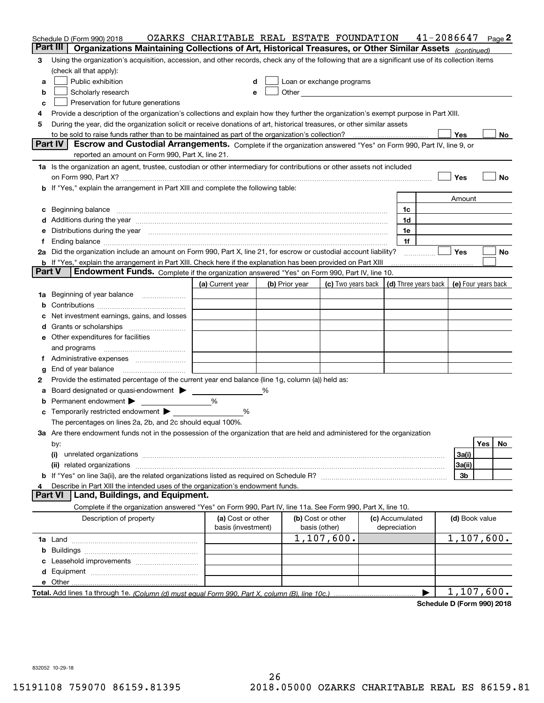|                     | Schedule D (Form 990) 2018<br>Part III                                                                                                                                                                                         | OZARKS CHARITABLE REAL ESTATE FOUNDATION |   |                                                                                                                                                                                                                               |                                                                             |  |                                 | 41-2086647            |                |     | Page 2 |
|---------------------|--------------------------------------------------------------------------------------------------------------------------------------------------------------------------------------------------------------------------------|------------------------------------------|---|-------------------------------------------------------------------------------------------------------------------------------------------------------------------------------------------------------------------------------|-----------------------------------------------------------------------------|--|---------------------------------|-----------------------|----------------|-----|--------|
|                     | Organizations Maintaining Collections of Art, Historical Treasures, or Other Similar Assets <sub>(continued)</sub>                                                                                                             |                                          |   |                                                                                                                                                                                                                               |                                                                             |  |                                 |                       |                |     |        |
| 3                   | Using the organization's acquisition, accession, and other records, check any of the following that are a significant use of its collection items                                                                              |                                          |   |                                                                                                                                                                                                                               |                                                                             |  |                                 |                       |                |     |        |
|                     | (check all that apply):                                                                                                                                                                                                        |                                          |   |                                                                                                                                                                                                                               |                                                                             |  |                                 |                       |                |     |        |
| a                   | Public exhibition                                                                                                                                                                                                              | d                                        |   | Loan or exchange programs                                                                                                                                                                                                     |                                                                             |  |                                 |                       |                |     |        |
| b                   | Scholarly research                                                                                                                                                                                                             | e                                        |   | Other and the contract of the contract of the contract of the contract of the contract of the contract of the contract of the contract of the contract of the contract of the contract of the contract of the contract of the |                                                                             |  |                                 |                       |                |     |        |
| c                   | Preservation for future generations                                                                                                                                                                                            |                                          |   |                                                                                                                                                                                                                               |                                                                             |  |                                 |                       |                |     |        |
| 4                   | Provide a description of the organization's collections and explain how they further the organization's exempt purpose in Part XIII.                                                                                           |                                          |   |                                                                                                                                                                                                                               |                                                                             |  |                                 |                       |                |     |        |
| 5                   | During the year, did the organization solicit or receive donations of art, historical treasures, or other similar assets                                                                                                       |                                          |   |                                                                                                                                                                                                                               |                                                                             |  |                                 |                       |                |     |        |
|                     | Yes<br>No                                                                                                                                                                                                                      |                                          |   |                                                                                                                                                                                                                               |                                                                             |  |                                 |                       |                |     |        |
|                     | <b>Part IV</b><br>Escrow and Custodial Arrangements. Complete if the organization answered "Yes" on Form 990, Part IV, line 9, or<br>reported an amount on Form 990, Part X, line 21.                                          |                                          |   |                                                                                                                                                                                                                               |                                                                             |  |                                 |                       |                |     |        |
|                     | 1a Is the organization an agent, trustee, custodian or other intermediary for contributions or other assets not included                                                                                                       |                                          |   |                                                                                                                                                                                                                               |                                                                             |  |                                 |                       |                |     |        |
|                     | on Form 990, Part X? [11] matter contracts and contracts and contracts are contracted as a function of the set of the set of the set of the set of the set of the set of the set of the set of the set of the set of the set o |                                          |   |                                                                                                                                                                                                                               |                                                                             |  |                                 |                       | Yes            |     | No     |
|                     | <b>b</b> If "Yes," explain the arrangement in Part XIII and complete the following table:                                                                                                                                      |                                          |   |                                                                                                                                                                                                                               |                                                                             |  |                                 |                       |                |     |        |
|                     |                                                                                                                                                                                                                                |                                          |   |                                                                                                                                                                                                                               |                                                                             |  |                                 |                       | Amount         |     |        |
|                     | c Beginning balance measurements and the contract of the contract of the contract of the contract of the contract of the contract of the contract of the contract of the contract of the contract of the contract of the contr |                                          |   |                                                                                                                                                                                                                               |                                                                             |  | 1c                              |                       |                |     |        |
|                     | d Additions during the year measurements are all an according to the year measurement of the year measurement of the state of the state of the state of the state of the state of the state of the state of the state of the s |                                          |   |                                                                                                                                                                                                                               |                                                                             |  | 1d                              |                       |                |     |        |
|                     | e Distributions during the year manufactured and contain an account of the state of the state of the state of the state of the state of the state of the state of the state of the state of the state of the state of the stat |                                          |   |                                                                                                                                                                                                                               |                                                                             |  | 1e                              |                       |                |     |        |
| f                   |                                                                                                                                                                                                                                |                                          |   |                                                                                                                                                                                                                               |                                                                             |  | 1f                              |                       |                |     |        |
|                     | 2a Did the organization include an amount on Form 990, Part X, line 21, for escrow or custodial account liability?                                                                                                             |                                          |   |                                                                                                                                                                                                                               |                                                                             |  |                                 |                       | <b>Yes</b>     |     | No     |
|                     | <b>b</b> If "Yes," explain the arrangement in Part XIII. Check here if the explanation has been provided on Part XIII                                                                                                          |                                          |   |                                                                                                                                                                                                                               |                                                                             |  |                                 |                       |                |     |        |
|                     | <b>Part V</b><br>Endowment Funds. Complete if the organization answered "Yes" on Form 990, Part IV, line 10.                                                                                                                   |                                          |   |                                                                                                                                                                                                                               |                                                                             |  |                                 |                       |                |     |        |
|                     |                                                                                                                                                                                                                                | (a) Current year                         |   | (b) Prior year                                                                                                                                                                                                                | (c) Two years back $\vert$ (d) Three years back $\vert$ (e) Four years back |  |                                 |                       |                |     |        |
|                     | 1a Beginning of year balance                                                                                                                                                                                                   |                                          |   |                                                                                                                                                                                                                               |                                                                             |  |                                 |                       |                |     |        |
|                     |                                                                                                                                                                                                                                |                                          |   |                                                                                                                                                                                                                               |                                                                             |  |                                 |                       |                |     |        |
|                     | c Net investment earnings, gains, and losses                                                                                                                                                                                   |                                          |   |                                                                                                                                                                                                                               |                                                                             |  |                                 |                       |                |     |        |
|                     |                                                                                                                                                                                                                                |                                          |   |                                                                                                                                                                                                                               |                                                                             |  |                                 |                       |                |     |        |
|                     | <b>e</b> Other expenditures for facilities                                                                                                                                                                                     |                                          |   |                                                                                                                                                                                                                               |                                                                             |  |                                 |                       |                |     |        |
|                     |                                                                                                                                                                                                                                |                                          |   |                                                                                                                                                                                                                               |                                                                             |  |                                 |                       |                |     |        |
|                     |                                                                                                                                                                                                                                |                                          |   |                                                                                                                                                                                                                               |                                                                             |  |                                 |                       |                |     |        |
| g                   | End of year balance                                                                                                                                                                                                            |                                          |   |                                                                                                                                                                                                                               |                                                                             |  |                                 |                       |                |     |        |
| 2                   | Provide the estimated percentage of the current year end balance (line 1g, column (a)) held as:                                                                                                                                |                                          |   |                                                                                                                                                                                                                               |                                                                             |  |                                 |                       |                |     |        |
|                     | a Board designated or quasi-endowment > _____                                                                                                                                                                                  |                                          | % |                                                                                                                                                                                                                               |                                                                             |  |                                 |                       |                |     |        |
|                     | <b>b</b> Permanent endowment $\blacktriangleright$                                                                                                                                                                             | %                                        |   |                                                                                                                                                                                                                               |                                                                             |  |                                 |                       |                |     |        |
|                     | <b>c</b> Temporarily restricted endowment $\blacktriangleright$                                                                                                                                                                | %                                        |   |                                                                                                                                                                                                                               |                                                                             |  |                                 |                       |                |     |        |
|                     | The percentages on lines 2a, 2b, and 2c should equal 100%.                                                                                                                                                                     |                                          |   |                                                                                                                                                                                                                               |                                                                             |  |                                 |                       |                |     |        |
|                     | 3a Are there endowment funds not in the possession of the organization that are held and administered for the organization                                                                                                     |                                          |   |                                                                                                                                                                                                                               |                                                                             |  |                                 |                       |                |     |        |
|                     | by:                                                                                                                                                                                                                            |                                          |   |                                                                                                                                                                                                                               |                                                                             |  |                                 |                       |                | Yes | No     |
|                     | (i)                                                                                                                                                                                                                            |                                          |   |                                                                                                                                                                                                                               |                                                                             |  |                                 |                       | 3a(i)          |     |        |
|                     |                                                                                                                                                                                                                                |                                          |   |                                                                                                                                                                                                                               |                                                                             |  |                                 |                       | 3a(ii)         |     |        |
|                     |                                                                                                                                                                                                                                |                                          |   |                                                                                                                                                                                                                               |                                                                             |  |                                 |                       | 3b             |     |        |
| 4<br><b>Part VI</b> | Describe in Part XIII the intended uses of the organization's endowment funds.<br>Land, Buildings, and Equipment.                                                                                                              |                                          |   |                                                                                                                                                                                                                               |                                                                             |  |                                 |                       |                |     |        |
|                     |                                                                                                                                                                                                                                |                                          |   |                                                                                                                                                                                                                               |                                                                             |  |                                 |                       |                |     |        |
|                     | Complete if the organization answered "Yes" on Form 990, Part IV, line 11a. See Form 990, Part X, line 10.                                                                                                                     |                                          |   |                                                                                                                                                                                                                               |                                                                             |  |                                 |                       |                |     |        |
|                     | Description of property                                                                                                                                                                                                        | (a) Cost or other<br>basis (investment)  |   |                                                                                                                                                                                                                               | (b) Cost or other<br>basis (other)                                          |  | (c) Accumulated<br>depreciation |                       | (d) Book value |     |        |
|                     |                                                                                                                                                                                                                                |                                          |   |                                                                                                                                                                                                                               | 1,107,600.                                                                  |  |                                 |                       | 1,107,600.     |     |        |
|                     |                                                                                                                                                                                                                                |                                          |   |                                                                                                                                                                                                                               |                                                                             |  |                                 |                       |                |     |        |
|                     |                                                                                                                                                                                                                                |                                          |   |                                                                                                                                                                                                                               |                                                                             |  |                                 |                       |                |     |        |
|                     |                                                                                                                                                                                                                                |                                          |   |                                                                                                                                                                                                                               |                                                                             |  |                                 |                       |                |     |        |
|                     |                                                                                                                                                                                                                                |                                          |   |                                                                                                                                                                                                                               |                                                                             |  |                                 |                       |                |     |        |
|                     |                                                                                                                                                                                                                                |                                          |   |                                                                                                                                                                                                                               |                                                                             |  |                                 | $\blacktriangleright$ | 1,107,600.     |     |        |

**Schedule D (Form 990) 2018**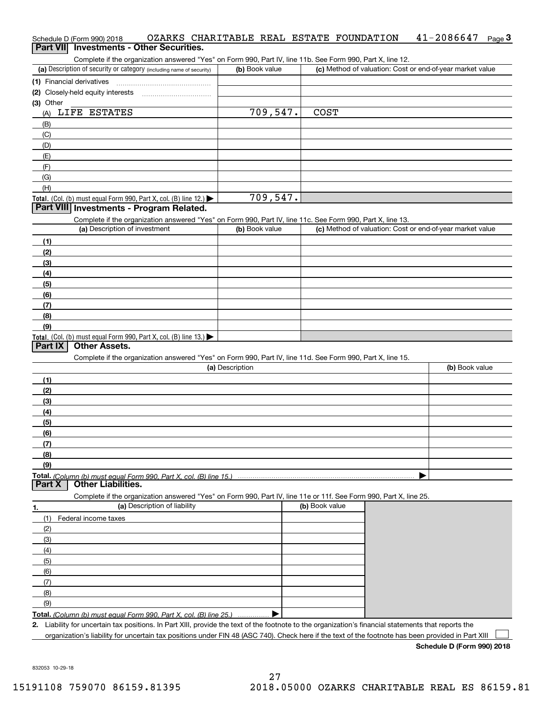#### Schedule D (Form 990) 2018 OZARKS CHARITABLE REAL ESTATE FOUNDATION 41-2086647 <sub>Page</sub> 3<br>| **Part VII** | Investments - Other Securities.  $41 - 2086647$  Page 3

Complete if the organization answered "Yes" on Form 990, Part IV, line 11b. See Form 990, Part X, line 12.

| (a) Description of security or category (including name of security)                   | (b) Book value | (c) Method of valuation: Cost or end-of-year market value |
|----------------------------------------------------------------------------------------|----------------|-----------------------------------------------------------|
| (1) Financial derivatives                                                              |                |                                                           |
| (2) Closely-held equity interests                                                      |                |                                                           |
| (3) Other                                                                              |                |                                                           |
| LIFE ESTATES<br>(A)                                                                    | 709,547.       | <b>COST</b>                                               |
| (B)                                                                                    |                |                                                           |
| (C)                                                                                    |                |                                                           |
| (D)                                                                                    |                |                                                           |
| (E)                                                                                    |                |                                                           |
| (F)                                                                                    |                |                                                           |
| (G)                                                                                    |                |                                                           |
| (H)                                                                                    |                |                                                           |
| Total. (Col. (b) must equal Form 990, Part X, col. (B) line 12.) $\blacktriangleright$ | 709,547.       |                                                           |

### **Part VIII Investments - Program Related.**

Complete if the organization answered "Yes" on Form 990, Part IV, line 11c. See Form 990, Part X, line 13.

| (a) Description of investment                                    | (b) Book value | (c) Method of valuation: Cost or end-of-year market value |
|------------------------------------------------------------------|----------------|-----------------------------------------------------------|
| (1)                                                              |                |                                                           |
| (2)                                                              |                |                                                           |
| $\frac{1}{2}$                                                    |                |                                                           |
| (4)                                                              |                |                                                           |
| (5)                                                              |                |                                                           |
| (6)                                                              |                |                                                           |
| (7)                                                              |                |                                                           |
| (8)                                                              |                |                                                           |
| (9)                                                              |                |                                                           |
| Total. (Col. (b) must equal Form 990, Part X, col. (B) line 13.) |                |                                                           |

#### **Part IX Other Assets.**

Complete if the organization answered "Yes" on Form 990, Part IV, line 11d. See Form 990, Part X, line 15.

| (a) Description | (b) Book value |
|-----------------|----------------|
| (1)             |                |
| (2)             |                |
| $\frac{1}{2}$   |                |
| (4)             |                |
| $\frac{1}{2}$   |                |
| (6)             |                |
| (7)             |                |
| (8)             |                |
| (9)             |                |
|                 |                |

#### **Part X Other Liabilities.**

Complete if the organization answered "Yes" on Form 990, Part IV, line 11e or 11f. See Form 990, Part X, line 25.

| 1.            | (a) Description of liability                                       | (b) Book value |
|---------------|--------------------------------------------------------------------|----------------|
| (1)           | Federal income taxes                                               |                |
| (2)           |                                                                    |                |
| (3)           |                                                                    |                |
| (4)           |                                                                    |                |
| (5)           |                                                                    |                |
| $\frac{6}{6}$ |                                                                    |                |
| (7)           |                                                                    |                |
| (8)           |                                                                    |                |
| (9)           |                                                                    |                |
|               | Total. (Column (b) must equal Form 990, Part X, col. (B) line 25.) |                |

**2.** Liability for uncertain tax positions. In Part XIII, provide the text of the footnote to the organization's financial statements that reports the

organization's liability for uncertain tax positions under FIN 48 (ASC 740). Check here if the text of the footnote has been provided in Part XIII  $\mathcal{L}^{\text{max}}$ 

**Schedule D (Form 990) 2018**

832053 10-29-18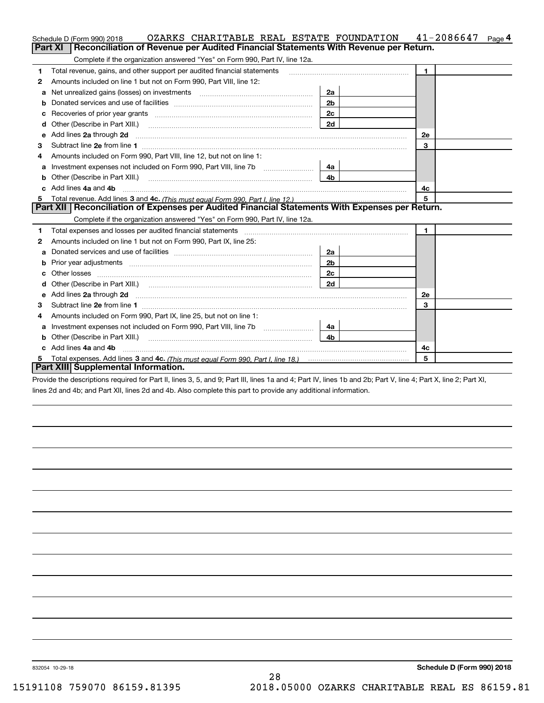|    | OZARKS CHARITABLE REAL ESTATE FOUNDATION<br>Schedule D (Form 990) 2018                                                                                                                                                              |                | $41 - 2086647$ Page 4 |
|----|-------------------------------------------------------------------------------------------------------------------------------------------------------------------------------------------------------------------------------------|----------------|-----------------------|
|    | Reconciliation of Revenue per Audited Financial Statements With Revenue per Return.<br>Part XI                                                                                                                                      |                |                       |
|    | Complete if the organization answered "Yes" on Form 990, Part IV, line 12a.                                                                                                                                                         |                |                       |
| 1  | Total revenue, gains, and other support per audited financial statements                                                                                                                                                            |                | $\mathbf{1}$          |
| 2  | Amounts included on line 1 but not on Form 990, Part VIII, line 12:                                                                                                                                                                 |                |                       |
| a  | Net unrealized gains (losses) on investments                                                                                                                                                                                        | 2a             |                       |
| b  |                                                                                                                                                                                                                                     | 2 <sub>b</sub> |                       |
| с  |                                                                                                                                                                                                                                     | 2c             |                       |
| d  | Other (Describe in Part XIII.)                                                                                                                                                                                                      | 2d             |                       |
| е  | Add lines 2a through 2d <b>must be a constructed as the constant of the S2a</b> through 2d mess construction of the construction of the construction of the construction of the construction of the construction of the constructio |                | 2e                    |
| 3  |                                                                                                                                                                                                                                     |                | 3                     |
| 4  | Amounts included on Form 990, Part VIII, line 12, but not on line 1:                                                                                                                                                                |                |                       |
| а  |                                                                                                                                                                                                                                     | 4a             |                       |
| b  |                                                                                                                                                                                                                                     | 4 <sub>b</sub> |                       |
| c. | Add lines 4a and 4b                                                                                                                                                                                                                 |                | 4с                    |
| 5  |                                                                                                                                                                                                                                     |                | 5                     |
|    | Part XII   Reconciliation of Expenses per Audited Financial Statements With Expenses per Return.                                                                                                                                    |                |                       |
|    | Complete if the organization answered "Yes" on Form 990, Part IV, line 12a.                                                                                                                                                         |                |                       |
| 1  |                                                                                                                                                                                                                                     |                | $\blacksquare$        |
| 2  | Amounts included on line 1 but not on Form 990, Part IX, line 25:                                                                                                                                                                   |                |                       |
| a  |                                                                                                                                                                                                                                     | 2a             |                       |
| b  |                                                                                                                                                                                                                                     | 2 <sub>b</sub> |                       |
| с  |                                                                                                                                                                                                                                     | 2 <sub>c</sub> |                       |
| d  |                                                                                                                                                                                                                                     | 2d             |                       |
| е  | Add lines 2a through 2d <b>must be a constructed as the constant of the constant of the constant of the construction</b>                                                                                                            |                | <b>2e</b>             |
| 3  |                                                                                                                                                                                                                                     |                | 3                     |
| 4  | Amounts included on Form 990, Part IX, line 25, but not on line 1:                                                                                                                                                                  |                |                       |
| a  |                                                                                                                                                                                                                                     | 4a l           |                       |
| b  | Other (Describe in Part XIII.)                                                                                                                                                                                                      | 4b.            |                       |
| c. | Add lines 4a and 4b                                                                                                                                                                                                                 |                | 4c                    |
|    |                                                                                                                                                                                                                                     |                | 5                     |
|    | Part XIII Supplemental Information.                                                                                                                                                                                                 |                |                       |

Provide the descriptions required for Part II, lines 3, 5, and 9; Part III, lines 1a and 4; Part IV, lines 1b and 2b; Part V, line 4; Part X, line 2; Part XI, lines 2d and 4b; and Part XII, lines 2d and 4b. Also complete this part to provide any additional information.

832054 10-29-18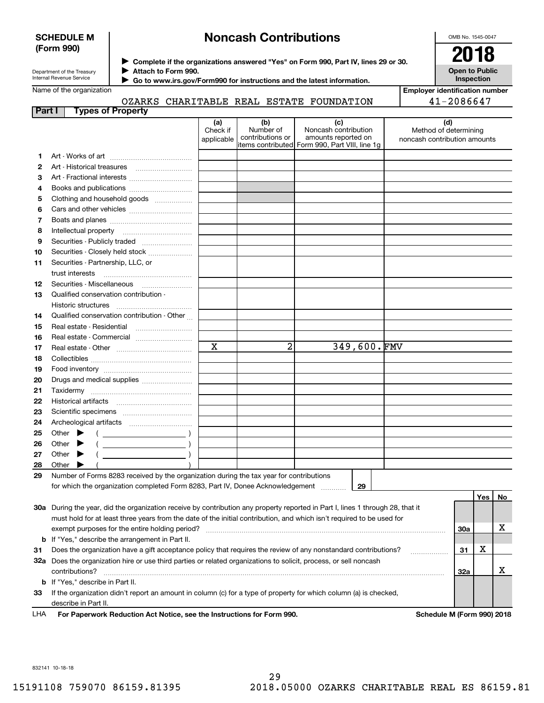#### **SCHEDULE M (Form 990)**

# **Noncash Contributions**

OMB No. 1545-0047

| Department of the Treasury |
|----------------------------|
| Internal Revenue Service   |

**Complete if the organizations answered "Yes" on Form 990, Part IV, lines 29 or 30.** <sup>J</sup>**2018 Attach to Form 990.** J

**Open to Public Inspection**

**Employer identification number**

41-2086647

|  | Name of the organization |
|--|--------------------------|
|--|--------------------------|

 **Go to www.irs.gov/Form990 for instructions and the latest information.** J

#### **Part I Types of Property** OZARKS CHARITABLE REAL ESTATE FOUNDATION

|    |                                                                                                                                                                                                                                     | (a)<br>Check if | (b)<br>Number of | (c)<br>Noncash contribution                                           | (d)<br>Method of determining |     |    |
|----|-------------------------------------------------------------------------------------------------------------------------------------------------------------------------------------------------------------------------------------|-----------------|------------------|-----------------------------------------------------------------------|------------------------------|-----|----|
|    |                                                                                                                                                                                                                                     | applicable      | contributions or | amounts reported on<br>items contributed Form 990, Part VIII, line 1g | noncash contribution amounts |     |    |
| 1. |                                                                                                                                                                                                                                     |                 |                  |                                                                       |                              |     |    |
| 2  |                                                                                                                                                                                                                                     |                 |                  |                                                                       |                              |     |    |
| З  |                                                                                                                                                                                                                                     |                 |                  |                                                                       |                              |     |    |
| 4  |                                                                                                                                                                                                                                     |                 |                  |                                                                       |                              |     |    |
| 5  | Clothing and household goods                                                                                                                                                                                                        |                 |                  |                                                                       |                              |     |    |
| 6  |                                                                                                                                                                                                                                     |                 |                  |                                                                       |                              |     |    |
| 7  |                                                                                                                                                                                                                                     |                 |                  |                                                                       |                              |     |    |
| 8  | Intellectual property                                                                                                                                                                                                               |                 |                  |                                                                       |                              |     |    |
| 9  |                                                                                                                                                                                                                                     |                 |                  |                                                                       |                              |     |    |
| 10 | Securities - Closely held stock                                                                                                                                                                                                     |                 |                  |                                                                       |                              |     |    |
| 11 | Securities - Partnership, LLC, or                                                                                                                                                                                                   |                 |                  |                                                                       |                              |     |    |
|    | trust interests                                                                                                                                                                                                                     |                 |                  |                                                                       |                              |     |    |
| 12 | Securities - Miscellaneous                                                                                                                                                                                                          |                 |                  |                                                                       |                              |     |    |
| 13 | Qualified conservation contribution -                                                                                                                                                                                               |                 |                  |                                                                       |                              |     |    |
|    | Historic structures                                                                                                                                                                                                                 |                 |                  |                                                                       |                              |     |    |
| 14 | Qualified conservation contribution - Other                                                                                                                                                                                         |                 |                  |                                                                       |                              |     |    |
| 15 | Real estate - Residential                                                                                                                                                                                                           |                 |                  |                                                                       |                              |     |    |
| 16 |                                                                                                                                                                                                                                     |                 |                  |                                                                       |                              |     |    |
| 17 |                                                                                                                                                                                                                                     | X               | 2                | 349,600.FMV                                                           |                              |     |    |
| 18 |                                                                                                                                                                                                                                     |                 |                  |                                                                       |                              |     |    |
| 19 |                                                                                                                                                                                                                                     |                 |                  |                                                                       |                              |     |    |
| 20 |                                                                                                                                                                                                                                     |                 |                  |                                                                       |                              |     |    |
| 21 |                                                                                                                                                                                                                                     |                 |                  |                                                                       |                              |     |    |
| 22 |                                                                                                                                                                                                                                     |                 |                  |                                                                       |                              |     |    |
| 23 |                                                                                                                                                                                                                                     |                 |                  |                                                                       |                              |     |    |
| 24 |                                                                                                                                                                                                                                     |                 |                  |                                                                       |                              |     |    |
| 25 | Other $\blacktriangleright$                                                                                                                                                                                                         |                 |                  |                                                                       |                              |     |    |
| 26 | Other $\blacktriangleright$                                                                                                                                                                                                         |                 |                  |                                                                       |                              |     |    |
| 27 | $\overline{\phantom{a}}$ )<br>Other $\blacktriangleright$                                                                                                                                                                           |                 |                  |                                                                       |                              |     |    |
| 28 | Other                                                                                                                                                                                                                               |                 |                  |                                                                       |                              |     |    |
| 29 | Number of Forms 8283 received by the organization during the tax year for contributions                                                                                                                                             |                 |                  |                                                                       |                              |     |    |
|    | for which the organization completed Form 8283, Part IV, Donee Acknowledgement                                                                                                                                                      |                 |                  | 29                                                                    |                              |     |    |
|    |                                                                                                                                                                                                                                     |                 |                  |                                                                       |                              | Yes | No |
|    | 30a During the year, did the organization receive by contribution any property reported in Part I, lines 1 through 28, that it                                                                                                      |                 |                  |                                                                       |                              |     |    |
|    | must hold for at least three years from the date of the initial contribution, and which isn't required to be used for                                                                                                               |                 |                  |                                                                       |                              |     |    |
|    | exempt purposes for the entire holding period?                                                                                                                                                                                      |                 |                  |                                                                       |                              | 30a | x  |
| b  | If "Yes," describe the arrangement in Part II.                                                                                                                                                                                      |                 |                  |                                                                       |                              | х   |    |
| 31 | Does the organization have a gift acceptance policy that requires the review of any nonstandard contributions?<br>32a Does the organization hire or use third parties or related organizations to solicit, process, or sell noncash |                 |                  |                                                                       |                              | 31  |    |
|    | contributions?                                                                                                                                                                                                                      |                 |                  |                                                                       |                              |     | x  |
|    | <b>b</b> If "Yes," describe in Part II.                                                                                                                                                                                             |                 |                  |                                                                       |                              | 32a |    |
| 33 | If the organization didn't report an amount in column (c) for a type of property for which column (a) is checked,                                                                                                                   |                 |                  |                                                                       |                              |     |    |

**For Paperwork Reduction Act Notice, see the Instructions for Form 990. Schedule M (Form 990) 2018** LHA

832141 10-18-18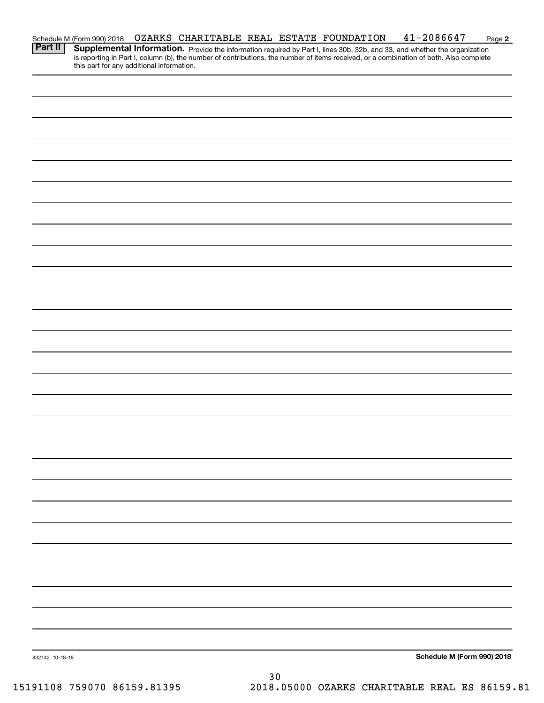|                 | Schedule M (Form 990) 2018                |  |    | OZARKS CHARITABLE REAL ESTATE FOUNDATION | $41 - 2086647$                                                                                                                                                                                                                                                       | Page 2 |
|-----------------|-------------------------------------------|--|----|------------------------------------------|----------------------------------------------------------------------------------------------------------------------------------------------------------------------------------------------------------------------------------------------------------------------|--------|
| <b>Part II</b>  | this part for any additional information. |  |    |                                          | Supplemental Information. Provide the information required by Part I, lines 30b, 32b, and 33, and whether the organization<br>is reporting in Part I, column (b), the number of contributions, the number of items received, or a combination of both. Also complete |        |
|                 |                                           |  |    |                                          |                                                                                                                                                                                                                                                                      |        |
|                 |                                           |  |    |                                          |                                                                                                                                                                                                                                                                      |        |
|                 |                                           |  |    |                                          |                                                                                                                                                                                                                                                                      |        |
|                 |                                           |  |    |                                          |                                                                                                                                                                                                                                                                      |        |
|                 |                                           |  |    |                                          |                                                                                                                                                                                                                                                                      |        |
|                 |                                           |  |    |                                          |                                                                                                                                                                                                                                                                      |        |
|                 |                                           |  |    |                                          |                                                                                                                                                                                                                                                                      |        |
|                 |                                           |  |    |                                          |                                                                                                                                                                                                                                                                      |        |
|                 |                                           |  |    |                                          |                                                                                                                                                                                                                                                                      |        |
|                 |                                           |  |    |                                          |                                                                                                                                                                                                                                                                      |        |
|                 |                                           |  |    |                                          |                                                                                                                                                                                                                                                                      |        |
|                 |                                           |  |    |                                          |                                                                                                                                                                                                                                                                      |        |
|                 |                                           |  |    |                                          |                                                                                                                                                                                                                                                                      |        |
|                 |                                           |  |    |                                          |                                                                                                                                                                                                                                                                      |        |
|                 |                                           |  |    |                                          |                                                                                                                                                                                                                                                                      |        |
|                 |                                           |  |    |                                          |                                                                                                                                                                                                                                                                      |        |
|                 |                                           |  |    |                                          |                                                                                                                                                                                                                                                                      |        |
|                 |                                           |  |    |                                          |                                                                                                                                                                                                                                                                      |        |
|                 |                                           |  |    |                                          |                                                                                                                                                                                                                                                                      |        |
|                 |                                           |  |    |                                          |                                                                                                                                                                                                                                                                      |        |
|                 |                                           |  |    |                                          |                                                                                                                                                                                                                                                                      |        |
|                 |                                           |  |    |                                          |                                                                                                                                                                                                                                                                      |        |
|                 |                                           |  |    |                                          |                                                                                                                                                                                                                                                                      |        |
|                 |                                           |  |    |                                          |                                                                                                                                                                                                                                                                      |        |
|                 |                                           |  |    |                                          |                                                                                                                                                                                                                                                                      |        |
|                 |                                           |  |    |                                          |                                                                                                                                                                                                                                                                      |        |
|                 |                                           |  |    |                                          |                                                                                                                                                                                                                                                                      |        |
|                 |                                           |  |    |                                          |                                                                                                                                                                                                                                                                      |        |
|                 |                                           |  |    |                                          |                                                                                                                                                                                                                                                                      |        |
|                 |                                           |  |    |                                          |                                                                                                                                                                                                                                                                      |        |
|                 |                                           |  |    |                                          |                                                                                                                                                                                                                                                                      |        |
| 832142 10-18-18 |                                           |  |    |                                          | Schedule M (Form 990) 2018                                                                                                                                                                                                                                           |        |
|                 |                                           |  |    |                                          |                                                                                                                                                                                                                                                                      |        |
|                 |                                           |  | 30 |                                          |                                                                                                                                                                                                                                                                      |        |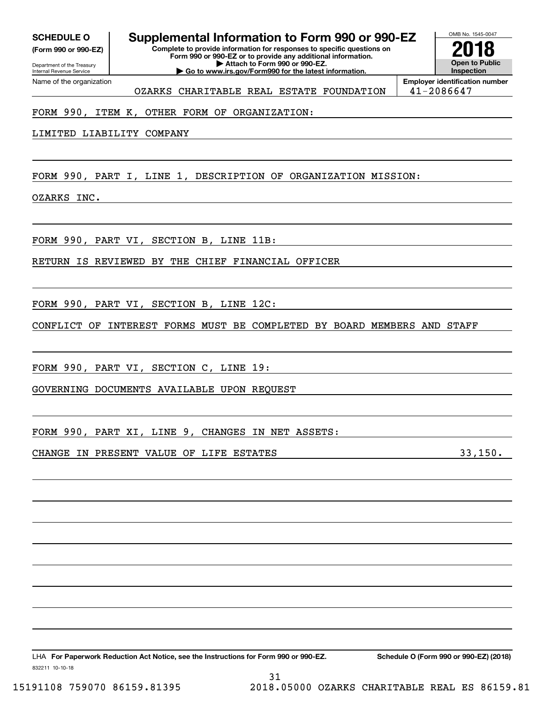**(Form 990 or 990-EZ)**

Department of the Treasury Internal Revenue Service Name of the organization

# **SCHEDULE O Supplemental Information to Form 990 or 990-EZ**

**Complete to provide information for responses to specific questions on Form 990 or 990-EZ or to provide any additional information. | Attach to Form 990 or 990-EZ. | Go to www.irs.gov/Form990 for the latest information.**

**Open to Public Inspection2018**

OMB No. 1545-0047

OZARKS CHARITABLE REAL ESTATE FOUNDATION | 41-2086647

**Employer identification number**

### FORM 990, ITEM K, OTHER FORM OF ORGANIZATION:

LIMITED LIABILITY COMPANY

FORM 990, PART I, LINE 1, DESCRIPTION OF ORGANIZATION MISSION:

OZARKS INC.

FORM 990, PART VI, SECTION B, LINE 11B:

RETURN IS REVIEWED BY THE CHIEF FINANCIAL OFFICER

FORM 990, PART VI, SECTION B, LINE 12C:

CONFLICT OF INTEREST FORMS MUST BE COMPLETED BY BOARD MEMBERS AND STAFF

31

FORM 990, PART VI, SECTION C, LINE 19:

GOVERNING DOCUMENTS AVAILABLE UPON REQUEST

FORM 990, PART XI, LINE 9, CHANGES IN NET ASSETS:

CHANGE IN PRESENT VALUE OF LIFE ESTATES **1998** 23,150.

832211 10-10-18 LHA For Paperwork Reduction Act Notice, see the Instructions for Form 990 or 990-EZ. Schedule O (Form 990 or 990-EZ) (2018)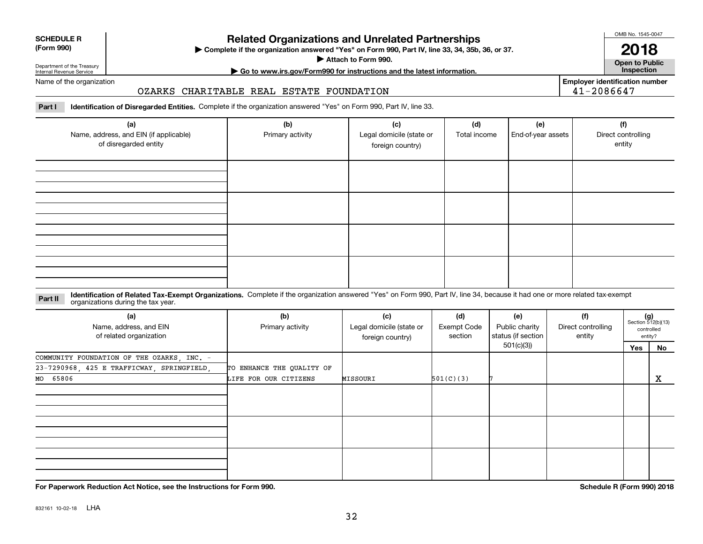| <b>SCHEDULE R</b> |  |
|-------------------|--|
| (Form 990)        |  |

# **Related Organizations and Unrelated Partnerships**

**Complete if the organization answered "Yes" on Form 990, Part IV, line 33, 34, 35b, 36, or 37.** |

**Attach to Form 990.**  |

OMB No. 1545-0047

**Open to Public | Go to www.irs.gov/Form990 for instructions and the latest information. Inspection 2018**

Department of the Treasury Internal Revenue Service Name of the organization

# OZARKS CHARITABLE REAL ESTATE FOUNDATION

**Employer identification number** 41-2086647

**Part I Identification of Disregarded Entities.**  Complete if the organization answered "Yes" on Form 990, Part IV, line 33.

| (a)<br>Name, address, and EIN (if applicable)<br>of disregarded entity | (b)<br>Primary activity | (c)<br>Legal domicile (state or<br>foreign country) | (d)<br>Total income | (e)<br>End-of-year assets | (f)<br>Direct controlling<br>entity |
|------------------------------------------------------------------------|-------------------------|-----------------------------------------------------|---------------------|---------------------------|-------------------------------------|
|                                                                        |                         |                                                     |                     |                           |                                     |
|                                                                        |                         |                                                     |                     |                           |                                     |
|                                                                        |                         |                                                     |                     |                           |                                     |
|                                                                        |                         |                                                     |                     |                           |                                     |

#### **Identification of Related Tax-Exempt Organizations.** Complete if the organization answered "Yes" on Form 990, Part IV, line 34, because it had one or more related tax-exempt **Part II** organizations during the tax year.

| (a)<br>Name, address, and EIN<br>of related organization | (b)<br>Primary activity   | (c)<br>Legal domicile (state or<br>foreign country) | (d)<br>Exempt Code<br>section | (e)<br>Public charity<br>status (if section | (f)<br>Direct controlling<br>entity | $(g)$<br>Section 512(b)(13)<br>controlled<br>entity? |    |
|----------------------------------------------------------|---------------------------|-----------------------------------------------------|-------------------------------|---------------------------------------------|-------------------------------------|------------------------------------------------------|----|
|                                                          |                           |                                                     |                               | 501(c)(3))                                  |                                     | Yes                                                  | No |
| COMMUNITY FOUNDATION OF THE OZARKS, INC. -               |                           |                                                     |                               |                                             |                                     |                                                      |    |
| 23-7290968, 425 E TRAFFICWAY, SPRINGFIELD,               | TO ENHANCE THE QUALITY OF |                                                     |                               |                                             |                                     |                                                      |    |
| MO 65806                                                 | LIFE FOR OUR CITIZENS     | MISSOURI                                            | 501(C)(3)                     |                                             |                                     |                                                      | x  |
|                                                          |                           |                                                     |                               |                                             |                                     |                                                      |    |
|                                                          |                           |                                                     |                               |                                             |                                     |                                                      |    |
|                                                          |                           |                                                     |                               |                                             |                                     |                                                      |    |

**For Paperwork Reduction Act Notice, see the Instructions for Form 990. Schedule R (Form 990) 2018**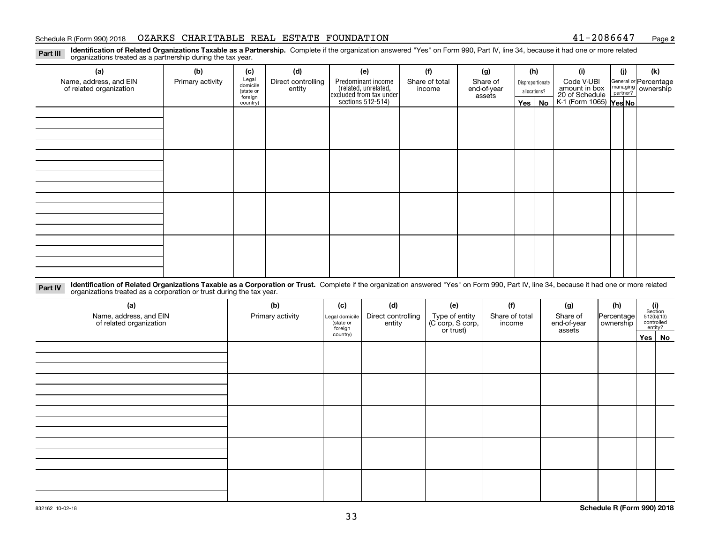#### Schedule R (Form 990) 2018 OZARKS CHARITABLE REAL ESTATE FOUNDATION 41-2086647 <sub>Page</sub>

**2**

**Identification of Related Organizations Taxable as a Partnership.** Complete if the organization answered "Yes" on Form 990, Part IV, line 34, because it had one or more related **Part III** organizations treated as a partnership during the tax year.

| (a)                     | (b)              | (c)                  | (d)                | (e)                                                                 | (f)            | (g)                   |              | (h)              | (i)                                      | (j) | (k)                                                       |
|-------------------------|------------------|----------------------|--------------------|---------------------------------------------------------------------|----------------|-----------------------|--------------|------------------|------------------------------------------|-----|-----------------------------------------------------------|
| Name, address, and EIN  | Primary activity | Legal<br>domicile    | Direct controlling | Predominant income                                                  | Share of total | Share of              |              | Disproportionate | Code V-UBI<br>amount in box              |     | General or Percentage<br>managing<br>partner?<br>partner? |
| of related organization |                  | (state or<br>foreign | entity             | related, unrelated,<br>excluded from tax under<br>sections 512-514) | income         | end-of-year<br>assets | allocations? |                  | 20 of Schedule<br>K-1 (Form 1065) Yes No |     |                                                           |
|                         |                  | country)             |                    |                                                                     |                |                       |              | Yes   No         |                                          |     |                                                           |
|                         |                  |                      |                    |                                                                     |                |                       |              |                  |                                          |     |                                                           |
|                         |                  |                      |                    |                                                                     |                |                       |              |                  |                                          |     |                                                           |
|                         |                  |                      |                    |                                                                     |                |                       |              |                  |                                          |     |                                                           |
|                         |                  |                      |                    |                                                                     |                |                       |              |                  |                                          |     |                                                           |
|                         |                  |                      |                    |                                                                     |                |                       |              |                  |                                          |     |                                                           |
|                         |                  |                      |                    |                                                                     |                |                       |              |                  |                                          |     |                                                           |
|                         |                  |                      |                    |                                                                     |                |                       |              |                  |                                          |     |                                                           |
|                         |                  |                      |                    |                                                                     |                |                       |              |                  |                                          |     |                                                           |
|                         |                  |                      |                    |                                                                     |                |                       |              |                  |                                          |     |                                                           |
|                         |                  |                      |                    |                                                                     |                |                       |              |                  |                                          |     |                                                           |
|                         |                  |                      |                    |                                                                     |                |                       |              |                  |                                          |     |                                                           |
|                         |                  |                      |                    |                                                                     |                |                       |              |                  |                                          |     |                                                           |
|                         |                  |                      |                    |                                                                     |                |                       |              |                  |                                          |     |                                                           |
|                         |                  |                      |                    |                                                                     |                |                       |              |                  |                                          |     |                                                           |
|                         |                  |                      |                    |                                                                     |                |                       |              |                  |                                          |     |                                                           |
|                         |                  |                      |                    |                                                                     |                |                       |              |                  |                                          |     |                                                           |
|                         |                  |                      |                    |                                                                     |                |                       |              |                  |                                          |     |                                                           |

**Identification of Related Organizations Taxable as a Corporation or Trust.** Complete if the organization answered "Yes" on Form 990, Part IV, line 34, because it had one or more related **Part IV** organizations treated as a corporation or trust during the tax year.

| (a)<br>Name, address, and EIN<br>of related organization | (b)<br>Primary activity | (c)<br>Legal domicile<br>state or<br>foreign | (d)<br>Direct controlling<br>entity | (e)<br>Type of entity<br>(C corp, S corp,<br>or trust) | (f)<br>Share of total<br>income | (g)<br>Share of<br>end-of-year<br>assets | (h)<br>Percentage<br>ownership | (i)<br>Section<br>$512(b)(13)$<br>controlled<br>entity? |        |
|----------------------------------------------------------|-------------------------|----------------------------------------------|-------------------------------------|--------------------------------------------------------|---------------------------------|------------------------------------------|--------------------------------|---------------------------------------------------------|--------|
|                                                          |                         | country)                                     |                                     |                                                        |                                 |                                          |                                |                                                         | Yes No |
|                                                          |                         |                                              |                                     |                                                        |                                 |                                          |                                |                                                         |        |
|                                                          |                         |                                              |                                     |                                                        |                                 |                                          |                                |                                                         |        |
|                                                          |                         |                                              |                                     |                                                        |                                 |                                          |                                |                                                         |        |
|                                                          |                         |                                              |                                     |                                                        |                                 |                                          |                                |                                                         |        |
|                                                          |                         |                                              |                                     |                                                        |                                 |                                          |                                |                                                         |        |
|                                                          |                         |                                              |                                     |                                                        |                                 |                                          |                                |                                                         |        |
|                                                          |                         |                                              |                                     |                                                        |                                 |                                          |                                |                                                         |        |
|                                                          |                         |                                              |                                     |                                                        |                                 |                                          |                                |                                                         |        |
|                                                          |                         |                                              |                                     |                                                        |                                 |                                          |                                |                                                         |        |
|                                                          |                         |                                              |                                     |                                                        |                                 |                                          |                                |                                                         |        |
|                                                          |                         |                                              |                                     |                                                        |                                 |                                          |                                |                                                         |        |
|                                                          |                         |                                              |                                     |                                                        |                                 |                                          |                                |                                                         |        |
|                                                          |                         |                                              |                                     |                                                        |                                 |                                          |                                |                                                         |        |
|                                                          |                         |                                              |                                     |                                                        |                                 |                                          |                                |                                                         |        |
|                                                          |                         |                                              |                                     |                                                        |                                 |                                          |                                |                                                         |        |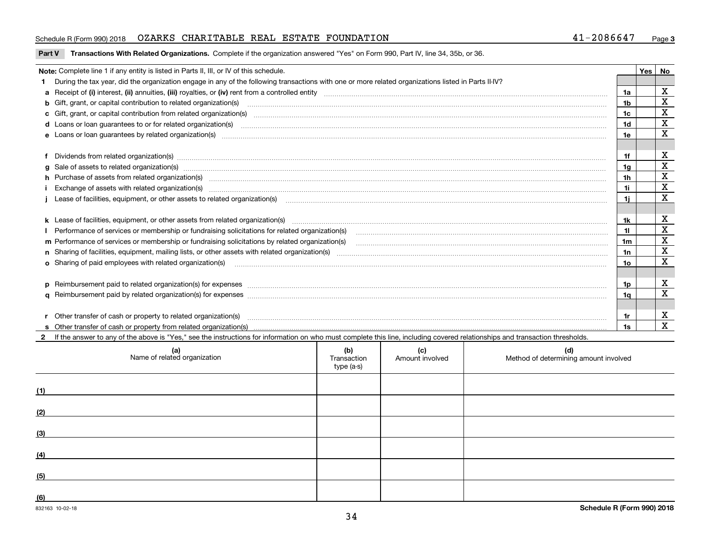#### Schedule R (Form 990) 2018 OZARKS CHARITABLE REAL ESTATE FOUNDATION 41-2086647 <sub>Page</sub>

#### **Part V** T**ransactions With Related Organizations.** Complete if the organization answered "Yes" on Form 990, Part IV, line 34, 35b, or 36.

| Note: Complete line 1 if any entity is listed in Parts II, III, or IV of this schedule.                                                                                                                                        |     | <b>Yes</b> | No          |
|--------------------------------------------------------------------------------------------------------------------------------------------------------------------------------------------------------------------------------|-----|------------|-------------|
| During the tax year, did the organization engage in any of the following transactions with one or more related organizations listed in Parts II-IV?                                                                            |     |            |             |
|                                                                                                                                                                                                                                |     |            | х           |
|                                                                                                                                                                                                                                | 1b  |            | $\mathbf X$ |
| c Gift, grant, or capital contribution from related organization(s) material content and contribution from related organization(s) material content and content and contribution from related organization(s) material content |     |            | X           |
|                                                                                                                                                                                                                                | 1d  |            | $\mathbf X$ |
| e Loans or loan quarantees by related organization(s)                                                                                                                                                                          | 1e  |            | X           |
|                                                                                                                                                                                                                                |     |            |             |
| f Dividends from related organization(s) material contracts and contracts are contracted as a contract of the contract of the contract of the contract of the contract of the contract of the contract of the contract of the  | 1f  |            | X           |
|                                                                                                                                                                                                                                | 1g  |            | X           |
| h Purchase of assets from related organization(s) www.assettion.com/www.assettion.com/www.assettion.com/www.assettion.com/www.assettion.com/www.assettion.com/www.assettion.com/www.assettion.com/www.assettion.com/www.assett | 1h  |            | х           |
|                                                                                                                                                                                                                                | 1i. |            | х           |
|                                                                                                                                                                                                                                | 1i. |            | x           |
|                                                                                                                                                                                                                                |     |            |             |
|                                                                                                                                                                                                                                | 1k. |            | х           |
| Performance of services or membership or fundraising solicitations for related organization(s)                                                                                                                                 | 11  |            | X           |
| m Performance of services or membership or fundraising solicitations by related organization(s)                                                                                                                                | 1m  |            | $\mathbf X$ |
|                                                                                                                                                                                                                                | 1n  |            | $\mathbf X$ |
| o Sharing of paid employees with related organization(s) manufactured and content to the content of the content of the content of the content of the content of the content of the content of the content of the content of th | 10  |            | X           |
|                                                                                                                                                                                                                                |     |            |             |
| p Reimbursement paid to related organization(s) for expenses [111] production in the content of the content of the content of the content of the content of the content of the content of the content of the content of the co | 1o  |            | х           |
|                                                                                                                                                                                                                                | 1a  |            | x           |
|                                                                                                                                                                                                                                |     |            |             |
|                                                                                                                                                                                                                                | 1r  |            | х           |
|                                                                                                                                                                                                                                | 1s  |            | X           |

**2**If the answer to any of the above is "Yes," see the instructions for information on who must complete this line, including covered relationships and transaction thresholds.

|     | (a)<br>Name of related organization | (b)<br>Transaction<br>type (a-s) | (c)<br>Amount involved | (d)<br>Method of determining amount involved |
|-----|-------------------------------------|----------------------------------|------------------------|----------------------------------------------|
| (1) |                                     |                                  |                        |                                              |
| (2) |                                     |                                  |                        |                                              |
| (3) |                                     |                                  |                        |                                              |
| (4) |                                     |                                  |                        |                                              |
| (5) |                                     |                                  |                        |                                              |
| (6) |                                     |                                  |                        |                                              |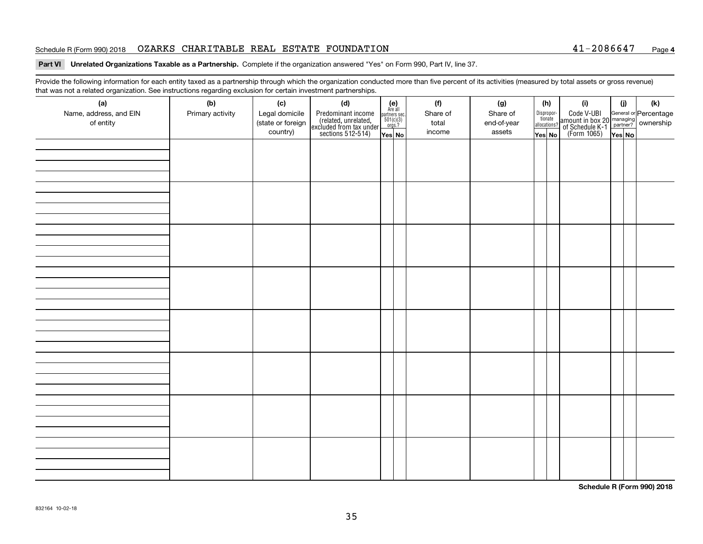#### Schedule R (Form 990) 2018 OZARKS CHARITABLE REAL ESTATE FOUNDATION 41-2086647 <sub>Page</sub>

#### **4**

#### **Part VI Unrelated Organizations Taxable as a Partnership. Complete if the organization answered "Yes" on Form 990, Part IV, line 37.**

Provide the following information for each entity taxed as a partnership through which the organization conducted more than five percent of its activities (measured by total assets or gross revenue) that was not a related organization. See instructions regarding exclusion for certain investment partnerships.

| (a)<br>Name, address, and EIN<br>of entity | $\tilde{}$<br>(b)<br>Primary activity | (c)<br>Legal domicile<br>(state or foreign<br>country) | (d)<br>Predominant income<br>(related, unrelated,<br>excluded from tax under<br>sections 512-514) | $(e)$<br>Are all<br>$\begin{array}{c}\n\text{partners} \sec.\n\\ \n501(c)(3)\n\\ \n0rgs.?\n\end{array}$<br>Yes No | (f)<br>Share of<br>total<br>income | (g)<br>Share of<br>end-of-year<br>assets | (h)<br>Dispropor-<br>tionate<br>allocations?<br>Yes No | (i)<br>Code V-UBI<br>amount in box 20 managing<br>of Schedule K-1<br>(Form 1065)<br>$\overline{Yes}$ No | (i)<br>Yes No | (k) |
|--------------------------------------------|---------------------------------------|--------------------------------------------------------|---------------------------------------------------------------------------------------------------|-------------------------------------------------------------------------------------------------------------------|------------------------------------|------------------------------------------|--------------------------------------------------------|---------------------------------------------------------------------------------------------------------|---------------|-----|
|                                            |                                       |                                                        |                                                                                                   |                                                                                                                   |                                    |                                          |                                                        |                                                                                                         |               |     |
|                                            |                                       |                                                        |                                                                                                   |                                                                                                                   |                                    |                                          |                                                        |                                                                                                         |               |     |
|                                            |                                       |                                                        |                                                                                                   |                                                                                                                   |                                    |                                          |                                                        |                                                                                                         |               |     |
|                                            |                                       |                                                        |                                                                                                   |                                                                                                                   |                                    |                                          |                                                        |                                                                                                         |               |     |
|                                            |                                       |                                                        |                                                                                                   |                                                                                                                   |                                    |                                          |                                                        |                                                                                                         |               |     |
|                                            |                                       |                                                        |                                                                                                   |                                                                                                                   |                                    |                                          |                                                        |                                                                                                         |               |     |
|                                            |                                       |                                                        |                                                                                                   |                                                                                                                   |                                    |                                          |                                                        |                                                                                                         |               |     |
|                                            |                                       |                                                        |                                                                                                   |                                                                                                                   |                                    |                                          |                                                        |                                                                                                         |               |     |

**Schedule R (Form 990) 2018**